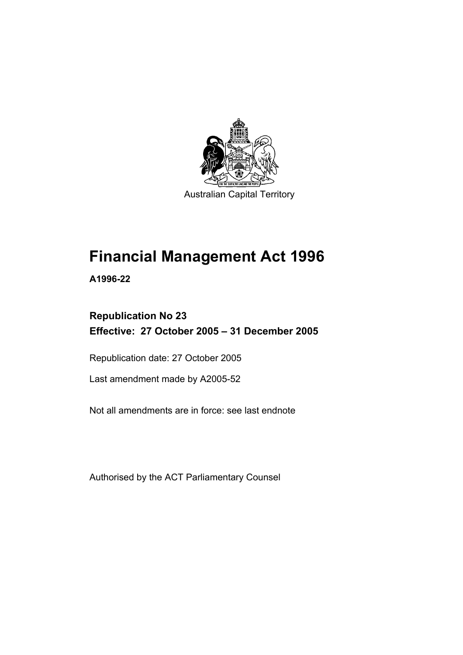

Australian Capital Territory

# **Financial Management Act 1996**

**A1996-22** 

## **Republication No 23 Effective: 27 October 2005 – 31 December 2005**

Republication date: 27 October 2005

Last amendment made by A2005-52

Not all amendments are in force: see last endnote

Authorised by the ACT Parliamentary Counsel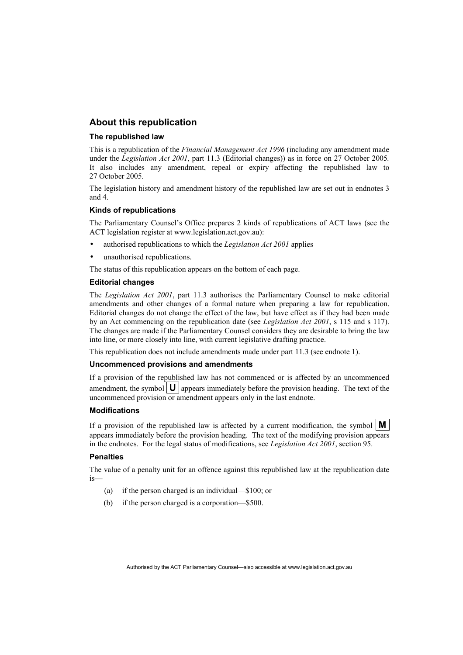#### **About this republication**

#### **The republished law**

This is a republication of the *Financial Management Act 1996* (including any amendment made under the *Legislation Act 2001*, part 11.3 (Editorial changes)) as in force on 27 October 2005*.*  It also includes any amendment, repeal or expiry affecting the republished law to 27 October 2005.

The legislation history and amendment history of the republished law are set out in endnotes 3 and 4.

#### **Kinds of republications**

The Parliamentary Counsel's Office prepares 2 kinds of republications of ACT laws (see the ACT legislation register at www.legislation.act.gov.au):

- authorised republications to which the *Legislation Act 2001* applies
- unauthorised republications.

The status of this republication appears on the bottom of each page.

#### **Editorial changes**

The *Legislation Act 2001*, part 11.3 authorises the Parliamentary Counsel to make editorial amendments and other changes of a formal nature when preparing a law for republication. Editorial changes do not change the effect of the law, but have effect as if they had been made by an Act commencing on the republication date (see *Legislation Act 2001*, s 115 and s 117). The changes are made if the Parliamentary Counsel considers they are desirable to bring the law into line, or more closely into line, with current legislative drafting practice.

This republication does not include amendments made under part 11.3 (see endnote 1).

#### **Uncommenced provisions and amendments**

If a provision of the republished law has not commenced or is affected by an uncommenced amendment, the symbol  $\mathbf{U}$  appears immediately before the provision heading. The text of the uncommenced provision or amendment appears only in the last endnote.

#### **Modifications**

If a provision of the republished law is affected by a current modification, the symbol  $\mathbf{M}$ appears immediately before the provision heading. The text of the modifying provision appears in the endnotes. For the legal status of modifications, see *Legislation Act 2001*, section 95.

#### **Penalties**

The value of a penalty unit for an offence against this republished law at the republication date is—

- (a) if the person charged is an individual—\$100; or
- (b) if the person charged is a corporation—\$500.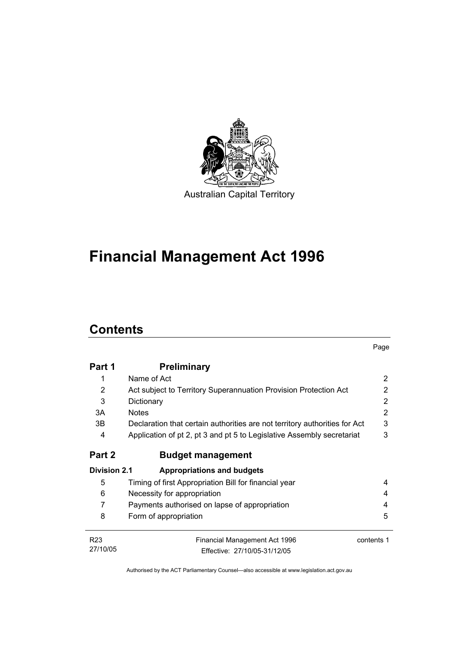

# **Financial Management Act 1996**

# **Contents**

|                     |                                                                            | Page       |
|---------------------|----------------------------------------------------------------------------|------------|
| Part 1              | <b>Preliminary</b>                                                         |            |
| 1                   | Name of Act                                                                | 2          |
| 2                   | Act subject to Territory Superannuation Provision Protection Act           | 2          |
| 3                   | Dictionary                                                                 | 2          |
| 3A                  | <b>Notes</b>                                                               | 2          |
| 3B                  | Declaration that certain authorities are not territory authorities for Act | 3          |
| 4                   | Application of pt 2, pt 3 and pt 5 to Legislative Assembly secretariat     | 3          |
| Part 2              | <b>Budget management</b>                                                   |            |
| <b>Division 2.1</b> | <b>Appropriations and budgets</b>                                          |            |
| 5                   | Timing of first Appropriation Bill for financial year                      | 4          |
| 6                   | Necessity for appropriation                                                | 4          |
| 7                   | Payments authorised on lapse of appropriation                              | 4          |
| 8                   | Form of appropriation                                                      | 5          |
| R <sub>23</sub>     | Financial Management Act 1996                                              | contents 1 |
| 27/10/05            | Fffective: 27/10/05-31/12/05                                               |            |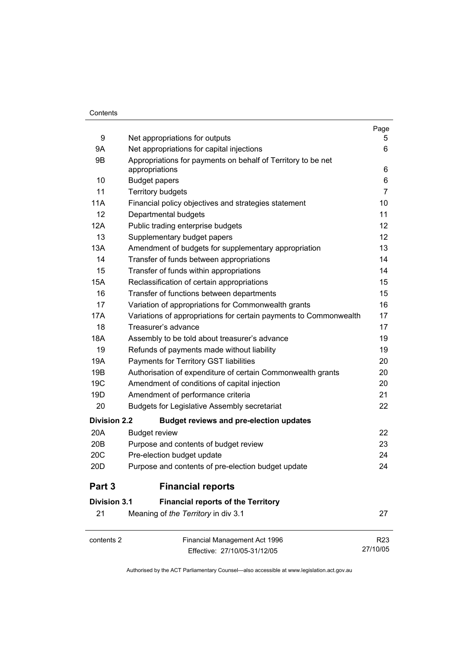#### **Contents**

|                     |                                                                                | Page            |
|---------------------|--------------------------------------------------------------------------------|-----------------|
| 9                   | Net appropriations for outputs                                                 | 5               |
| 9Α                  | Net appropriations for capital injections                                      | 6               |
| 9B                  | Appropriations for payments on behalf of Territory to be net<br>appropriations | 6               |
| 10                  | <b>Budget papers</b>                                                           | 6               |
| 11                  | <b>Territory budgets</b>                                                       | $\overline{7}$  |
| 11A                 | Financial policy objectives and strategies statement                           | 10              |
| 12                  | Departmental budgets                                                           | 11              |
| 12A                 | Public trading enterprise budgets                                              | 12              |
| 13                  | Supplementary budget papers                                                    | 12              |
| 13A                 | Amendment of budgets for supplementary appropriation                           | 13              |
| 14                  | Transfer of funds between appropriations                                       | 14              |
| 15                  | Transfer of funds within appropriations                                        | 14              |
| 15A                 | Reclassification of certain appropriations                                     | 15              |
| 16                  | Transfer of functions between departments                                      | 15              |
| 17                  | Variation of appropriations for Commonwealth grants                            | 16              |
| 17A                 | Variations of appropriations for certain payments to Commonwealth              | 17              |
| 18                  | Treasurer's advance                                                            | 17              |
| <b>18A</b>          | Assembly to be told about treasurer's advance                                  | 19              |
| 19                  | Refunds of payments made without liability                                     | 19              |
| 19A                 | Payments for Territory GST liabilities                                         | 20              |
| 19B                 | Authorisation of expenditure of certain Commonwealth grants                    | 20              |
| 19 <sub>C</sub>     | Amendment of conditions of capital injection                                   | 20              |
| 19D                 | Amendment of performance criteria                                              | 21              |
| 20                  | <b>Budgets for Legislative Assembly secretariat</b>                            | 22              |
| <b>Division 2.2</b> | <b>Budget reviews and pre-election updates</b>                                 |                 |
| 20A                 | <b>Budget review</b>                                                           | 22              |
| 20 <sub>B</sub>     | Purpose and contents of budget review                                          | 23              |
| 20C                 | Pre-election budget update                                                     | 24              |
| 20 <sub>D</sub>     | Purpose and contents of pre-election budget update                             | 24              |
| Part 3              | <b>Financial reports</b>                                                       |                 |
| <b>Division 3.1</b> | <b>Financial reports of the Territory</b>                                      |                 |
| 21                  | Meaning of the Territory in div 3.1                                            | 27              |
| contents 2          | Financial Management Act 1996                                                  | R <sub>23</sub> |
|                     | Effective: 27/10/05-31/12/05                                                   | 27/10/05        |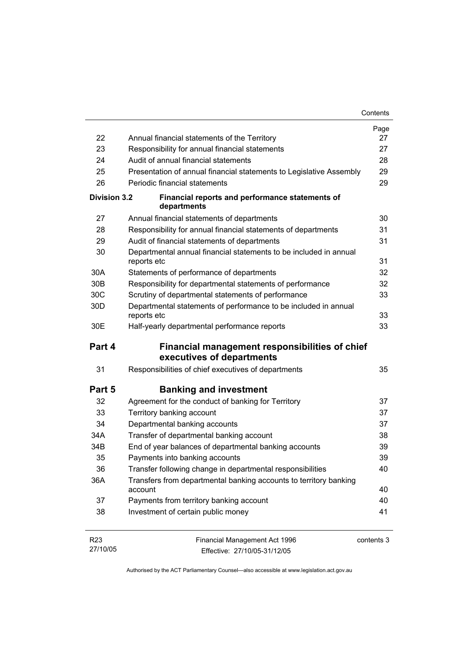|                     |                                                                                  | Contents   |
|---------------------|----------------------------------------------------------------------------------|------------|
|                     |                                                                                  | Page       |
| 22                  | Annual financial statements of the Territory                                     | 27         |
| 23                  | Responsibility for annual financial statements                                   | 27         |
| 24                  | Audit of annual financial statements                                             | 28         |
| 25                  | Presentation of annual financial statements to Legislative Assembly              | 29         |
| 26                  | Periodic financial statements                                                    | 29         |
| <b>Division 3.2</b> | Financial reports and performance statements of<br>departments                   |            |
| 27                  | Annual financial statements of departments                                       | 30         |
| 28                  | Responsibility for annual financial statements of departments                    | 31         |
| 29                  | Audit of financial statements of departments                                     | 31         |
| 30                  | Departmental annual financial statements to be included in annual<br>reports etc | 31         |
| 30A                 | Statements of performance of departments                                         | 32         |
| 30 <sub>B</sub>     | Responsibility for departmental statements of performance                        | 32         |
| 30C                 | Scrutiny of departmental statements of performance                               | 33         |
| 30 <sub>D</sub>     | Departmental statements of performance to be included in annual<br>reports etc   | 33         |
| 30E                 | Half-yearly departmental performance reports                                     | 33         |
| Part 4              | Financial management responsibilities of chief                                   |            |
|                     | executives of departments                                                        |            |
| 31                  | Responsibilities of chief executives of departments                              | 35         |
| Part 5              | <b>Banking and investment</b>                                                    |            |
| 32                  | Agreement for the conduct of banking for Territory                               | 37         |
| 33                  | Territory banking account                                                        | 37         |
| 34                  | Departmental banking accounts                                                    | 37         |
| 34A                 | Transfer of departmental banking account                                         | 38         |
| 34B                 | End of year balances of departmental banking accounts                            | 39         |
| 35                  | Payments into banking accounts                                                   | 39         |
| 36                  | Transfer following change in departmental responsibilities                       | 40         |
| 36A                 | Transfers from departmental banking accounts to territory banking<br>account     | 40         |
| 37                  | Payments from territory banking account                                          | 40         |
| 38                  | Investment of certain public money                                               | 41         |
| R <sub>23</sub>     | Financial Management Act 1996                                                    | contents 3 |

27/10/05 Effective: 27/10/05-31/12/05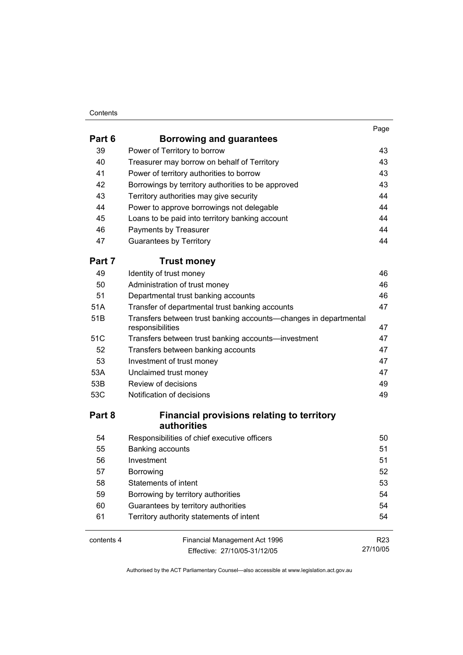#### **Contents**

| Part 6     | <b>Borrowing and guarantees</b>                                                      | . ugu           |
|------------|--------------------------------------------------------------------------------------|-----------------|
| 39         | Power of Territory to borrow                                                         | 43              |
| 40         | Treasurer may borrow on behalf of Territory                                          | 43              |
| 41         | Power of territory authorities to borrow                                             | 43              |
| 42         | Borrowings by territory authorities to be approved                                   | 43              |
| 43         | Territory authorities may give security                                              | 44              |
| 44         | Power to approve borrowings not delegable                                            | 44              |
| 45         | Loans to be paid into territory banking account                                      | 44              |
| 46         | Payments by Treasurer                                                                | 44              |
| 47         | <b>Guarantees by Territory</b>                                                       | 44              |
| Part 7     | <b>Trust money</b>                                                                   |                 |
| 49         | Identity of trust money                                                              | 46              |
| 50         | Administration of trust money                                                        | 46              |
| 51         | Departmental trust banking accounts                                                  | 46              |
| 51A        | Transfer of departmental trust banking accounts                                      | 47              |
| 51B        | Transfers between trust banking accounts-changes in departmental<br>responsibilities | 47              |
| 51C        | Transfers between trust banking accounts-investment                                  | 47              |
| 52         | Transfers between banking accounts                                                   | 47              |
| 53         | Investment of trust money                                                            | 47              |
| 53A        | Unclaimed trust money                                                                | 47              |
| 53B        | Review of decisions                                                                  | 49              |
| 53C        | Notification of decisions                                                            | 49              |
| Part 8     | <b>Financial provisions relating to territory</b><br>authorities                     |                 |
| 54         | Responsibilities of chief executive officers                                         | 50              |
| 55         | Banking accounts                                                                     | 51              |
| 56         | Investment                                                                           | 51              |
| 57         | Borrowing                                                                            | 52              |
| 58         | Statements of intent                                                                 | 53              |
| 59         | Borrowing by territory authorities                                                   | 54              |
| 60         | Guarantees by territory authorities                                                  | 54              |
| 61         | Territory authority statements of intent                                             | 54              |
| contents 4 | Financial Management Act 1996                                                        | R <sub>23</sub> |
|            | Effective: 27/10/05-31/12/05                                                         | 27/10/05        |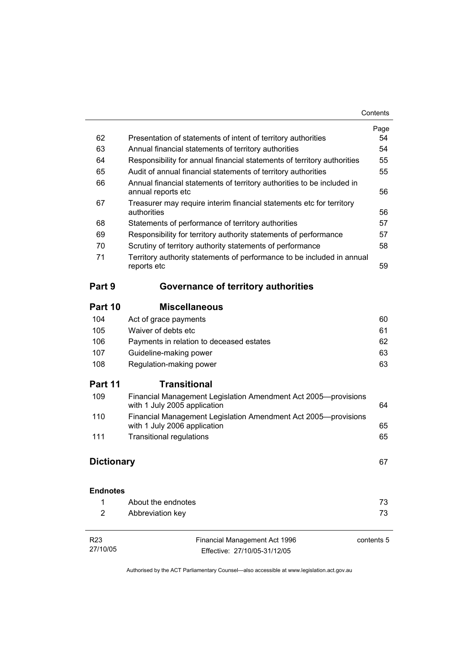| Contents |
|----------|
|----------|

|                             |                                                                                                | Page       |
|-----------------------------|------------------------------------------------------------------------------------------------|------------|
| 62                          | Presentation of statements of intent of territory authorities                                  | 54         |
| 63                          | Annual financial statements of territory authorities                                           | 54         |
| 64                          | Responsibility for annual financial statements of territory authorities                        | 55         |
| 65                          | Audit of annual financial statements of territory authorities                                  | 55         |
| 66                          | Annual financial statements of territory authorities to be included in<br>annual reports etc   | 56         |
| 67                          | Treasurer may require interim financial statements etc for territory<br>authorities            | 56         |
| 68                          | Statements of performance of territory authorities                                             | 57         |
| 69                          | Responsibility for territory authority statements of performance                               | 57         |
| 70                          | Scrutiny of territory authority statements of performance                                      | 58         |
| 71                          | Territory authority statements of performance to be included in annual<br>reports etc          | 59         |
| Part 9                      | Governance of territory authorities                                                            |            |
| Part 10                     | <b>Miscellaneous</b>                                                                           |            |
| 104                         | Act of grace payments                                                                          | 60         |
| 105                         | Waiver of debts etc                                                                            | 61         |
| 106                         | Payments in relation to deceased estates                                                       | 62         |
| 107                         | Guideline-making power                                                                         | 63         |
| 108                         | Regulation-making power                                                                        | 63         |
| Part 11                     | <b>Transitional</b>                                                                            |            |
| 109                         | Financial Management Legislation Amendment Act 2005-provisions<br>with 1 July 2005 application | 64         |
| 110                         | Financial Management Legislation Amendment Act 2005-provisions<br>with 1 July 2006 application | 65         |
| 111                         | <b>Transitional regulations</b>                                                                | 65         |
| <b>Dictionary</b>           |                                                                                                | 67         |
| <b>Endnotes</b>             |                                                                                                |            |
| 1                           | About the endnotes                                                                             | 73         |
| 2                           | Abbreviation key                                                                               | 73         |
| R <sub>23</sub><br>27/10/05 | Financial Management Act 1996<br>Effective: 27/10/05-31/12/05                                  | contents 5 |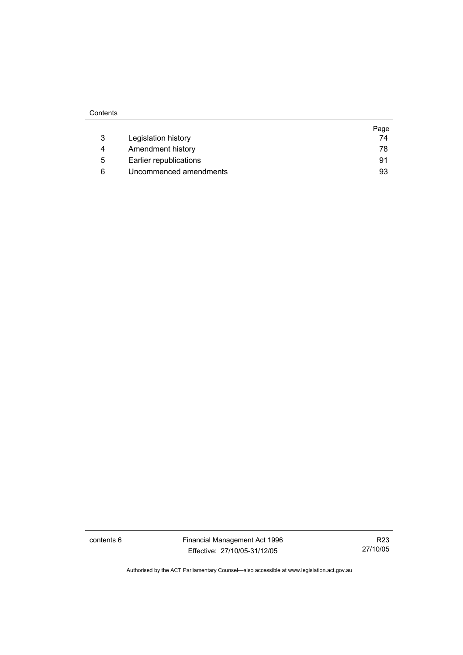|   |                        | Page |
|---|------------------------|------|
| 3 | Legislation history    | 74   |
| 4 | Amendment history      | 78   |
| 5 | Earlier republications | 91   |
| 6 | Uncommenced amendments | 93   |

contents 6 Financial Management Act 1996 Effective: 27/10/05-31/12/05

R23 27/10/05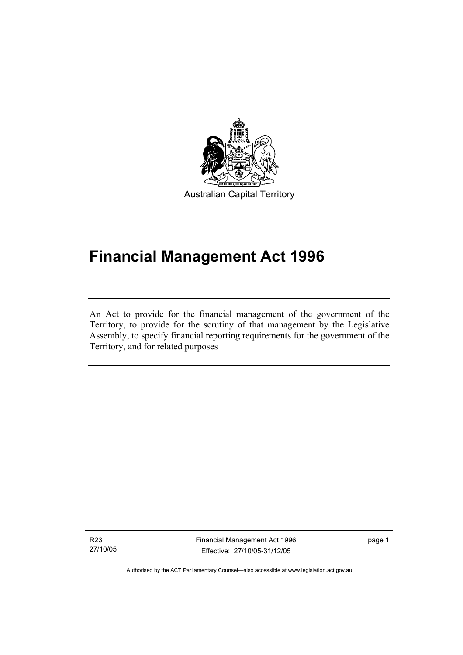

Australian Capital Territory

# **Financial Management Act 1996**

An Act to provide for the financial management of the government of the Territory, to provide for the scrutiny of that management by the Legislative Assembly, to specify financial reporting requirements for the government of the Territory, and for related purposes

R23 27/10/05

I

Financial Management Act 1996 Effective: 27/10/05-31/12/05

page 1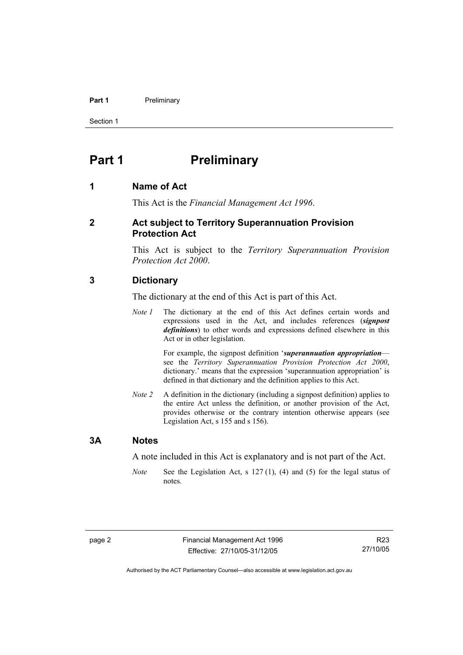#### **Part 1** Preliminary

Section 1

## **Part 1** Preliminary

#### **1 Name of Act**

This Act is the *Financial Management Act 1996*.

#### **2 Act subject to Territory Superannuation Provision Protection Act**

This Act is subject to the *Territory Superannuation Provision Protection Act 2000*.

#### **3 Dictionary**

The dictionary at the end of this Act is part of this Act.

*Note 1* The dictionary at the end of this Act defines certain words and expressions used in the Act, and includes references (*signpost definitions*) to other words and expressions defined elsewhere in this Act or in other legislation.

> For example, the signpost definition '*superannuation appropriation* see the *Territory Superannuation Provision Protection Act 2000*, dictionary.' means that the expression 'superannuation appropriation' is defined in that dictionary and the definition applies to this Act.

*Note 2* A definition in the dictionary (including a signpost definition) applies to the entire Act unless the definition, or another provision of the Act, provides otherwise or the contrary intention otherwise appears (see Legislation Act, s 155 and s 156).

#### **3A Notes**

A note included in this Act is explanatory and is not part of the Act.

*Note* See the Legislation Act, s 127 (1), (4) and (5) for the legal status of notes.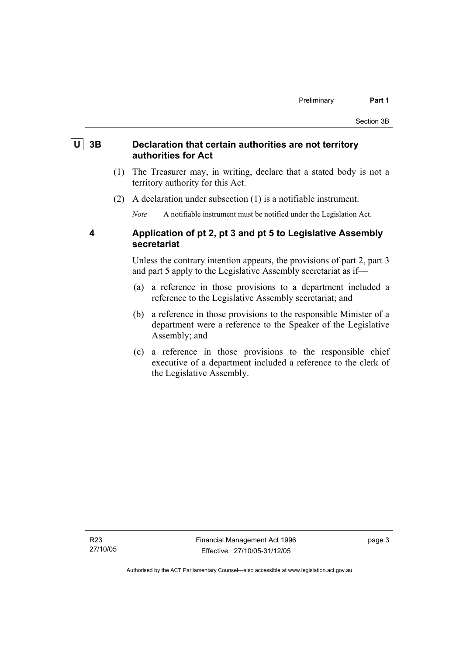#### **U 3B Declaration that certain authorities are not territory authorities for Act**

- (1) The Treasurer may, in writing, declare that a stated body is not a territory authority for this Act.
- (2) A declaration under subsection (1) is a notifiable instrument.

*Note* A notifiable instrument must be notified under the Legislation Act.

#### **4 Application of pt 2, pt 3 and pt 5 to Legislative Assembly secretariat**

Unless the contrary intention appears, the provisions of part 2, part 3 and part 5 apply to the Legislative Assembly secretariat as if—

- (a) a reference in those provisions to a department included a reference to the Legislative Assembly secretariat; and
- (b) a reference in those provisions to the responsible Minister of a department were a reference to the Speaker of the Legislative Assembly; and
- (c) a reference in those provisions to the responsible chief executive of a department included a reference to the clerk of the Legislative Assembly.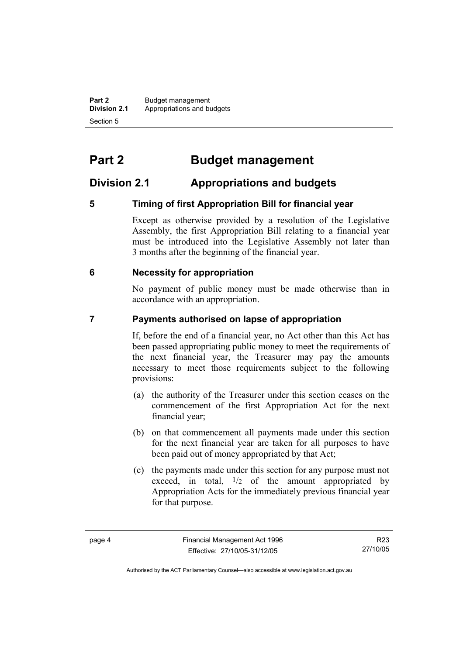**Part 2** Budget management<br>**Division 2.1** Appropriations and by **Division 2.1** Appropriations and budgets Section 5

# **Part 2 Budget management**

### **Division 2.1 Appropriations and budgets**

#### **5 Timing of first Appropriation Bill for financial year**

Except as otherwise provided by a resolution of the Legislative Assembly, the first Appropriation Bill relating to a financial year must be introduced into the Legislative Assembly not later than 3 months after the beginning of the financial year.

#### **6 Necessity for appropriation**

No payment of public money must be made otherwise than in accordance with an appropriation.

#### **7 Payments authorised on lapse of appropriation**

If, before the end of a financial year, no Act other than this Act has been passed appropriating public money to meet the requirements of the next financial year, the Treasurer may pay the amounts necessary to meet those requirements subject to the following provisions:

- (a) the authority of the Treasurer under this section ceases on the commencement of the first Appropriation Act for the next financial year;
- (b) on that commencement all payments made under this section for the next financial year are taken for all purposes to have been paid out of money appropriated by that Act;
- (c) the payments made under this section for any purpose must not exceed, in total,  $\frac{1}{2}$  of the amount appropriated by Appropriation Acts for the immediately previous financial year for that purpose.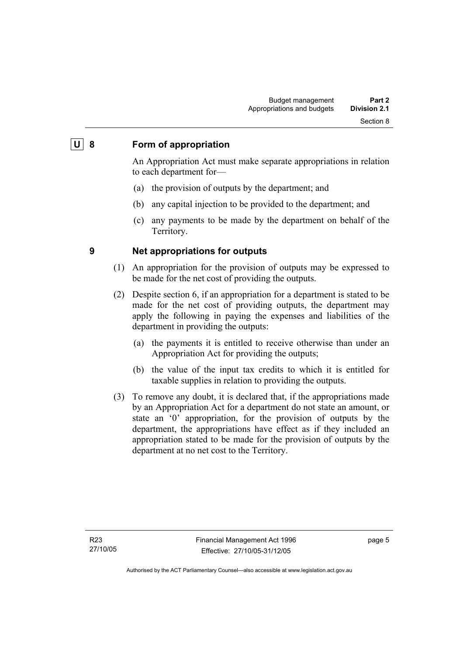#### **U 8 Form of appropriation**

An Appropriation Act must make separate appropriations in relation to each department for—

- (a) the provision of outputs by the department; and
- (b) any capital injection to be provided to the department; and
- (c) any payments to be made by the department on behalf of the Territory.

#### **9 Net appropriations for outputs**

- (1) An appropriation for the provision of outputs may be expressed to be made for the net cost of providing the outputs.
- (2) Despite section 6, if an appropriation for a department is stated to be made for the net cost of providing outputs, the department may apply the following in paying the expenses and liabilities of the department in providing the outputs:
	- (a) the payments it is entitled to receive otherwise than under an Appropriation Act for providing the outputs;
	- (b) the value of the input tax credits to which it is entitled for taxable supplies in relation to providing the outputs.
- (3) To remove any doubt, it is declared that, if the appropriations made by an Appropriation Act for a department do not state an amount, or state an '0' appropriation, for the provision of outputs by the department, the appropriations have effect as if they included an appropriation stated to be made for the provision of outputs by the department at no net cost to the Territory.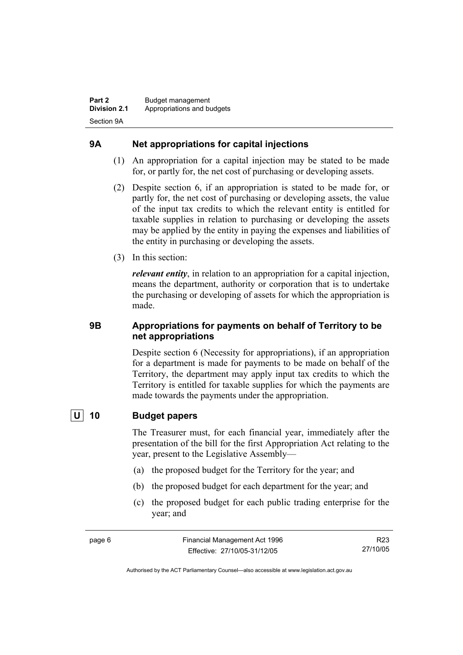#### **9A Net appropriations for capital injections**

- (1) An appropriation for a capital injection may be stated to be made for, or partly for, the net cost of purchasing or developing assets.
- (2) Despite section 6, if an appropriation is stated to be made for, or partly for, the net cost of purchasing or developing assets, the value of the input tax credits to which the relevant entity is entitled for taxable supplies in relation to purchasing or developing the assets may be applied by the entity in paying the expenses and liabilities of the entity in purchasing or developing the assets.
- (3) In this section:

*relevant entity*, in relation to an appropriation for a capital injection, means the department, authority or corporation that is to undertake the purchasing or developing of assets for which the appropriation is made.

#### **9B Appropriations for payments on behalf of Territory to be net appropriations**

Despite section 6 (Necessity for appropriations), if an appropriation for a department is made for payments to be made on behalf of the Territory, the department may apply input tax credits to which the Territory is entitled for taxable supplies for which the payments are made towards the payments under the appropriation.

#### **U 10 Budget papers**

The Treasurer must, for each financial year, immediately after the presentation of the bill for the first Appropriation Act relating to the year, present to the Legislative Assembly—

- (a) the proposed budget for the Territory for the year; and
- (b) the proposed budget for each department for the year; and
- (c) the proposed budget for each public trading enterprise for the year; and

R23 27/10/05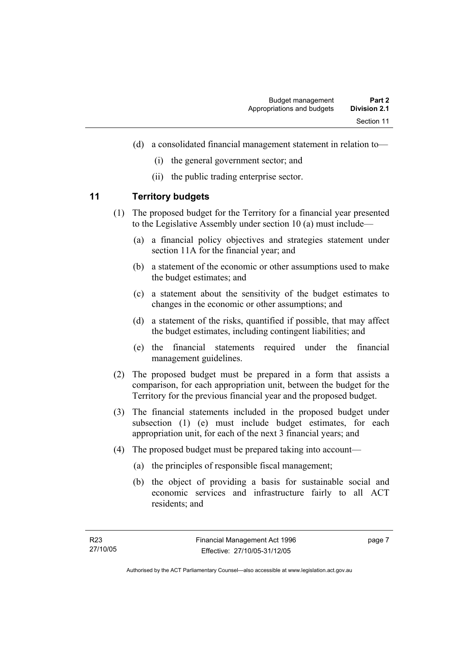- (d) a consolidated financial management statement in relation to—
	- (i) the general government sector; and
	- (ii) the public trading enterprise sector.

#### **11 Territory budgets**

- (1) The proposed budget for the Territory for a financial year presented to the Legislative Assembly under section 10 (a) must include—
	- (a) a financial policy objectives and strategies statement under section 11A for the financial year; and
	- (b) a statement of the economic or other assumptions used to make the budget estimates; and
	- (c) a statement about the sensitivity of the budget estimates to changes in the economic or other assumptions; and
	- (d) a statement of the risks, quantified if possible, that may affect the budget estimates, including contingent liabilities; and
	- (e) the financial statements required under the financial management guidelines.
- (2) The proposed budget must be prepared in a form that assists a comparison, for each appropriation unit, between the budget for the Territory for the previous financial year and the proposed budget.
- (3) The financial statements included in the proposed budget under subsection (1) (e) must include budget estimates, for each appropriation unit, for each of the next 3 financial years; and
- (4) The proposed budget must be prepared taking into account—
	- (a) the principles of responsible fiscal management;
	- (b) the object of providing a basis for sustainable social and economic services and infrastructure fairly to all ACT residents; and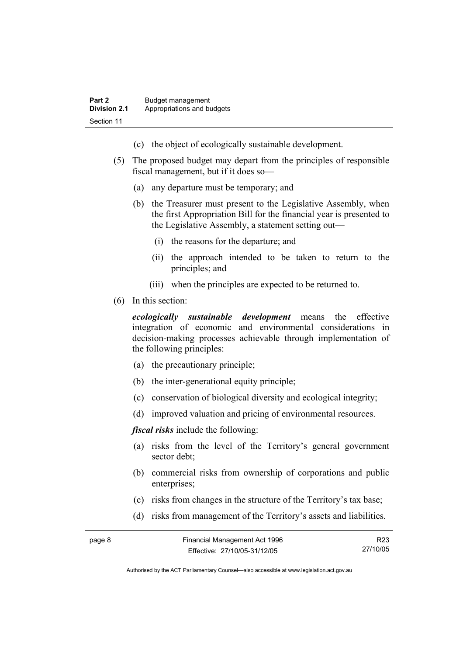- (c) the object of ecologically sustainable development.
- (5) The proposed budget may depart from the principles of responsible fiscal management, but if it does so—
	- (a) any departure must be temporary; and
	- (b) the Treasurer must present to the Legislative Assembly, when the first Appropriation Bill for the financial year is presented to the Legislative Assembly, a statement setting out—
		- (i) the reasons for the departure; and
		- (ii) the approach intended to be taken to return to the principles; and
		- (iii) when the principles are expected to be returned to.
- (6) In this section:

*ecologically sustainable development* means the effective integration of economic and environmental considerations in decision-making processes achievable through implementation of the following principles:

- (a) the precautionary principle;
- (b) the inter-generational equity principle;
- (c) conservation of biological diversity and ecological integrity;
- (d) improved valuation and pricing of environmental resources.

*fiscal risks* include the following:

- (a) risks from the level of the Territory's general government sector debt;
- (b) commercial risks from ownership of corporations and public enterprises:
- (c) risks from changes in the structure of the Territory's tax base;
- (d) risks from management of the Territory's assets and liabilities.

R23 27/10/05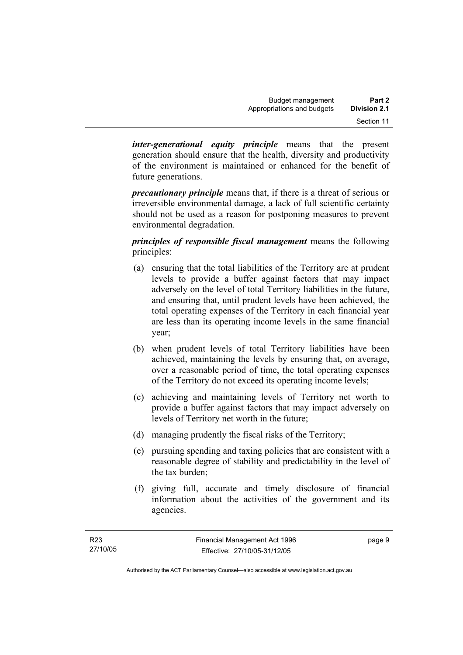*inter-generational equity principle* means that the present generation should ensure that the health, diversity and productivity of the environment is maintained or enhanced for the benefit of future generations.

*precautionary principle* means that, if there is a threat of serious or irreversible environmental damage, a lack of full scientific certainty should not be used as a reason for postponing measures to prevent environmental degradation.

*principles of responsible fiscal management* means the following principles:

- (a) ensuring that the total liabilities of the Territory are at prudent levels to provide a buffer against factors that may impact adversely on the level of total Territory liabilities in the future, and ensuring that, until prudent levels have been achieved, the total operating expenses of the Territory in each financial year are less than its operating income levels in the same financial year;
- (b) when prudent levels of total Territory liabilities have been achieved, maintaining the levels by ensuring that, on average, over a reasonable period of time, the total operating expenses of the Territory do not exceed its operating income levels;
- (c) achieving and maintaining levels of Territory net worth to provide a buffer against factors that may impact adversely on levels of Territory net worth in the future;
- (d) managing prudently the fiscal risks of the Territory;
- (e) pursuing spending and taxing policies that are consistent with a reasonable degree of stability and predictability in the level of the tax burden;
- (f) giving full, accurate and timely disclosure of financial information about the activities of the government and its agencies.

page 9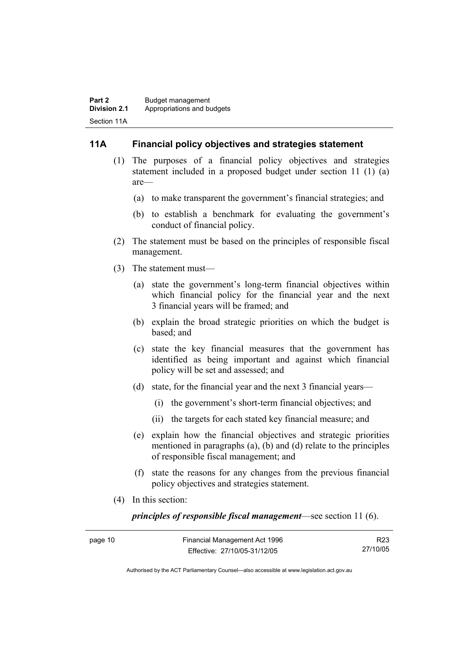#### **11A Financial policy objectives and strategies statement**

- (1) The purposes of a financial policy objectives and strategies statement included in a proposed budget under section 11 (1) (a) are—
	- (a) to make transparent the government's financial strategies; and
	- (b) to establish a benchmark for evaluating the government's conduct of financial policy.
- (2) The statement must be based on the principles of responsible fiscal management.
- (3) The statement must—
	- (a) state the government's long-term financial objectives within which financial policy for the financial year and the next 3 financial years will be framed; and
	- (b) explain the broad strategic priorities on which the budget is based; and
	- (c) state the key financial measures that the government has identified as being important and against which financial policy will be set and assessed; and
	- (d) state, for the financial year and the next 3 financial years—
		- (i) the government's short-term financial objectives; and
		- (ii) the targets for each stated key financial measure; and
	- (e) explain how the financial objectives and strategic priorities mentioned in paragraphs (a), (b) and (d) relate to the principles of responsible fiscal management; and
	- (f) state the reasons for any changes from the previous financial policy objectives and strategies statement.
- (4) In this section:

*principles of responsible fiscal management*—see section 11 (6).

| page 10 | Financial Management Act 1996 | R23      |
|---------|-------------------------------|----------|
|         | Effective: 27/10/05-31/12/05  | 27/10/05 |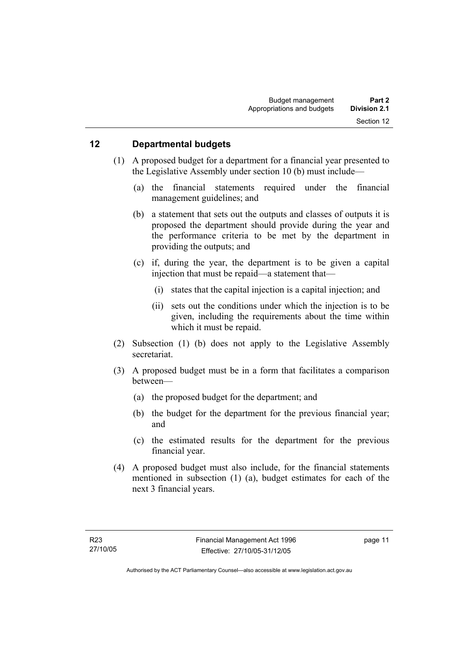#### **12 Departmental budgets**

- (1) A proposed budget for a department for a financial year presented to the Legislative Assembly under section 10 (b) must include—
	- (a) the financial statements required under the financial management guidelines; and
	- (b) a statement that sets out the outputs and classes of outputs it is proposed the department should provide during the year and the performance criteria to be met by the department in providing the outputs; and
	- (c) if, during the year, the department is to be given a capital injection that must be repaid—a statement that—
		- (i) states that the capital injection is a capital injection; and
		- (ii) sets out the conditions under which the injection is to be given, including the requirements about the time within which it must be repaid.
- (2) Subsection (1) (b) does not apply to the Legislative Assembly secretariat.
- (3) A proposed budget must be in a form that facilitates a comparison between—
	- (a) the proposed budget for the department; and
	- (b) the budget for the department for the previous financial year; and
	- (c) the estimated results for the department for the previous financial year.
- (4) A proposed budget must also include, for the financial statements mentioned in subsection (1) (a), budget estimates for each of the next 3 financial years.

page 11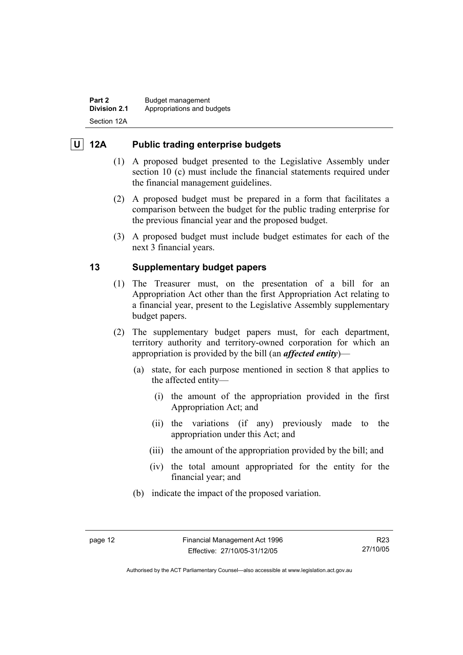**Part 2 Budget management Division 2.1** Appropriations and budgets Section 12A

#### **U 12A Public trading enterprise budgets**

- (1) A proposed budget presented to the Legislative Assembly under section 10 (c) must include the financial statements required under the financial management guidelines.
- (2) A proposed budget must be prepared in a form that facilitates a comparison between the budget for the public trading enterprise for the previous financial year and the proposed budget.
- (3) A proposed budget must include budget estimates for each of the next 3 financial years.

#### **13 Supplementary budget papers**

- (1) The Treasurer must, on the presentation of a bill for an Appropriation Act other than the first Appropriation Act relating to a financial year, present to the Legislative Assembly supplementary budget papers.
- (2) The supplementary budget papers must, for each department, territory authority and territory-owned corporation for which an appropriation is provided by the bill (an *affected entity*)—
	- (a) state, for each purpose mentioned in section 8 that applies to the affected entity—
		- (i) the amount of the appropriation provided in the first Appropriation Act; and
		- (ii) the variations (if any) previously made to the appropriation under this Act; and
		- (iii) the amount of the appropriation provided by the bill; and
		- (iv) the total amount appropriated for the entity for the financial year; and
	- (b) indicate the impact of the proposed variation.

Authorised by the ACT Parliamentary Counsel—also accessible at www.legislation.act.gov.au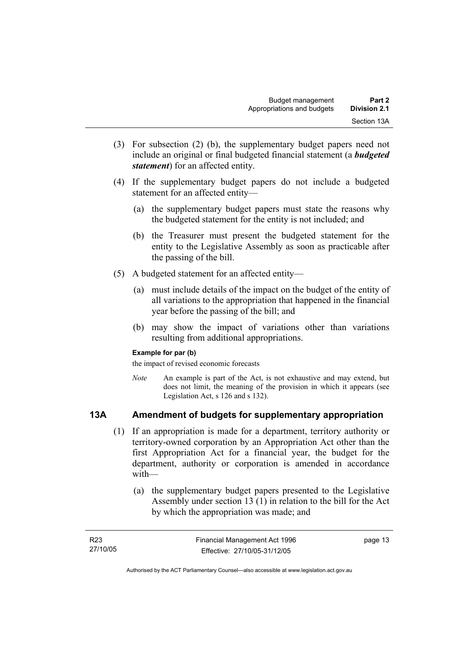- (3) For subsection (2) (b), the supplementary budget papers need not include an original or final budgeted financial statement (a *budgeted statement*) for an affected entity.
- (4) If the supplementary budget papers do not include a budgeted statement for an affected entity—
	- (a) the supplementary budget papers must state the reasons why the budgeted statement for the entity is not included; and
	- (b) the Treasurer must present the budgeted statement for the entity to the Legislative Assembly as soon as practicable after the passing of the bill.
- (5) A budgeted statement for an affected entity—
	- (a) must include details of the impact on the budget of the entity of all variations to the appropriation that happened in the financial year before the passing of the bill; and
	- (b) may show the impact of variations other than variations resulting from additional appropriations.

#### **Example for par (b)**

the impact of revised economic forecasts

*Note* An example is part of the Act, is not exhaustive and may extend, but does not limit, the meaning of the provision in which it appears (see Legislation Act, s 126 and s 132).

#### **13A Amendment of budgets for supplementary appropriation**

- (1) If an appropriation is made for a department, territory authority or territory-owned corporation by an Appropriation Act other than the first Appropriation Act for a financial year, the budget for the department, authority or corporation is amended in accordance with—
	- (a) the supplementary budget papers presented to the Legislative Assembly under section 13 (1) in relation to the bill for the Act by which the appropriation was made; and

| R23      | Financial Management Act 1996 | page 13 |
|----------|-------------------------------|---------|
| 27/10/05 | Effective: 27/10/05-31/12/05  |         |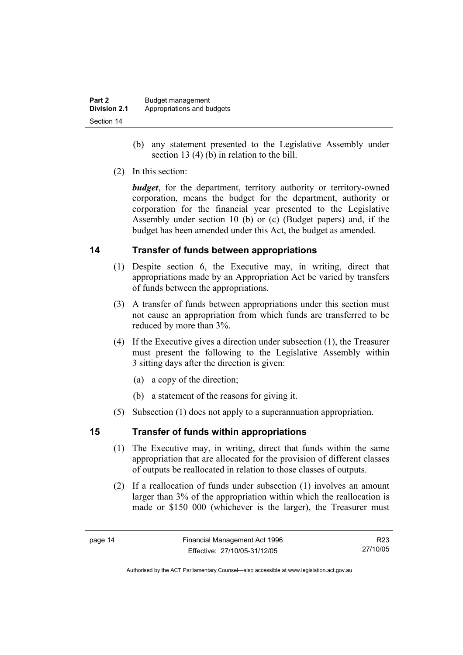| Part 2              | Budget management          |
|---------------------|----------------------------|
| <b>Division 2.1</b> | Appropriations and budgets |
| Section 14          |                            |

- (b) any statement presented to the Legislative Assembly under section 13 (4) (b) in relation to the bill.
- (2) In this section:

*budget*, for the department, territory authority or territory-owned corporation, means the budget for the department, authority or corporation for the financial year presented to the Legislative Assembly under section 10 (b) or (c) (Budget papers) and, if the budget has been amended under this Act, the budget as amended.

#### **14 Transfer of funds between appropriations**

- (1) Despite section 6, the Executive may, in writing, direct that appropriations made by an Appropriation Act be varied by transfers of funds between the appropriations.
- (3) A transfer of funds between appropriations under this section must not cause an appropriation from which funds are transferred to be reduced by more than 3%.
- (4) If the Executive gives a direction under subsection (1), the Treasurer must present the following to the Legislative Assembly within 3 sitting days after the direction is given:
	- (a) a copy of the direction;
	- (b) a statement of the reasons for giving it.
- (5) Subsection (1) does not apply to a superannuation appropriation.

#### **15 Transfer of funds within appropriations**

- (1) The Executive may, in writing, direct that funds within the same appropriation that are allocated for the provision of different classes of outputs be reallocated in relation to those classes of outputs.
- (2) If a reallocation of funds under subsection (1) involves an amount larger than 3% of the appropriation within which the reallocation is made or \$150 000 (whichever is the larger), the Treasurer must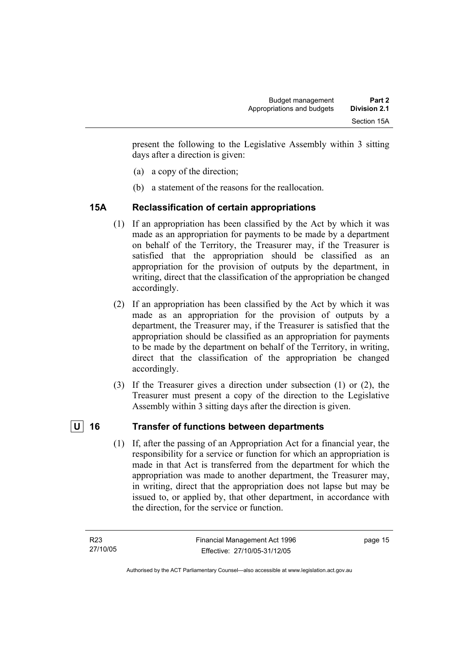present the following to the Legislative Assembly within 3 sitting days after a direction is given:

- (a) a copy of the direction;
- (b) a statement of the reasons for the reallocation.

#### **15A Reclassification of certain appropriations**

- (1) If an appropriation has been classified by the Act by which it was made as an appropriation for payments to be made by a department on behalf of the Territory, the Treasurer may, if the Treasurer is satisfied that the appropriation should be classified as an appropriation for the provision of outputs by the department, in writing, direct that the classification of the appropriation be changed accordingly.
- (2) If an appropriation has been classified by the Act by which it was made as an appropriation for the provision of outputs by a department, the Treasurer may, if the Treasurer is satisfied that the appropriation should be classified as an appropriation for payments to be made by the department on behalf of the Territory, in writing, direct that the classification of the appropriation be changed accordingly.
- (3) If the Treasurer gives a direction under subsection (1) or (2), the Treasurer must present a copy of the direction to the Legislative Assembly within 3 sitting days after the direction is given.

#### |**U**| 16 Transfer of functions between departments

 (1) If, after the passing of an Appropriation Act for a financial year, the responsibility for a service or function for which an appropriation is made in that Act is transferred from the department for which the appropriation was made to another department, the Treasurer may, in writing, direct that the appropriation does not lapse but may be issued to, or applied by, that other department, in accordance with the direction, for the service or function.

page 15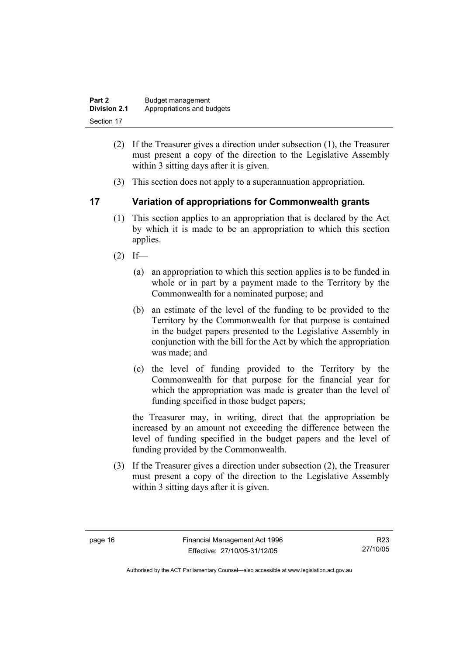| Part 2              | Budget management          |
|---------------------|----------------------------|
| <b>Division 2.1</b> | Appropriations and budgets |
| Section 17          |                            |

- (2) If the Treasurer gives a direction under subsection (1), the Treasurer must present a copy of the direction to the Legislative Assembly within 3 sitting days after it is given.
- (3) This section does not apply to a superannuation appropriation.

#### **17 Variation of appropriations for Commonwealth grants**

- (1) This section applies to an appropriation that is declared by the Act by which it is made to be an appropriation to which this section applies.
- $(2)$  If—
	- (a) an appropriation to which this section applies is to be funded in whole or in part by a payment made to the Territory by the Commonwealth for a nominated purpose; and
	- (b) an estimate of the level of the funding to be provided to the Territory by the Commonwealth for that purpose is contained in the budget papers presented to the Legislative Assembly in conjunction with the bill for the Act by which the appropriation was made; and
	- (c) the level of funding provided to the Territory by the Commonwealth for that purpose for the financial year for which the appropriation was made is greater than the level of funding specified in those budget papers;

the Treasurer may, in writing, direct that the appropriation be increased by an amount not exceeding the difference between the level of funding specified in the budget papers and the level of funding provided by the Commonwealth.

 (3) If the Treasurer gives a direction under subsection (2), the Treasurer must present a copy of the direction to the Legislative Assembly within 3 sitting days after it is given.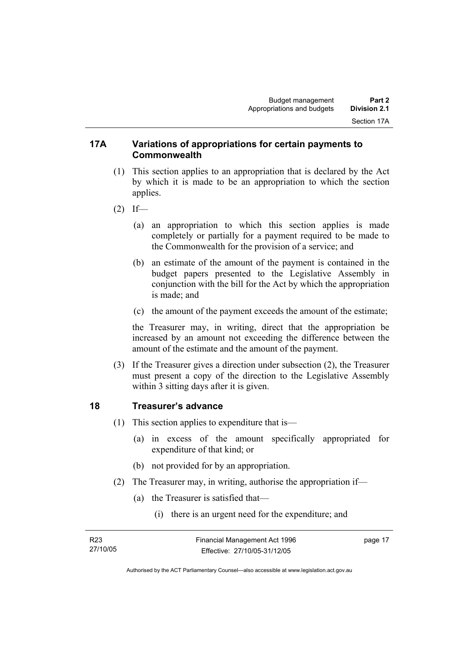#### **17A Variations of appropriations for certain payments to Commonwealth**

- (1) This section applies to an appropriation that is declared by the Act by which it is made to be an appropriation to which the section applies.
- $(2)$  If—
	- (a) an appropriation to which this section applies is made completely or partially for a payment required to be made to the Commonwealth for the provision of a service; and
	- (b) an estimate of the amount of the payment is contained in the budget papers presented to the Legislative Assembly in conjunction with the bill for the Act by which the appropriation is made; and
	- (c) the amount of the payment exceeds the amount of the estimate;

the Treasurer may, in writing, direct that the appropriation be increased by an amount not exceeding the difference between the amount of the estimate and the amount of the payment.

 (3) If the Treasurer gives a direction under subsection (2), the Treasurer must present a copy of the direction to the Legislative Assembly within 3 sitting days after it is given.

#### **18 Treasurer's advance**

- (1) This section applies to expenditure that is—
	- (a) in excess of the amount specifically appropriated for expenditure of that kind; or
	- (b) not provided for by an appropriation.
- (2) The Treasurer may, in writing, authorise the appropriation if—
	- (a) the Treasurer is satisfied that—
		- (i) there is an urgent need for the expenditure; and

| R23      | Financial Management Act 1996 | page 17 |
|----------|-------------------------------|---------|
| 27/10/05 | Effective: 27/10/05-31/12/05  |         |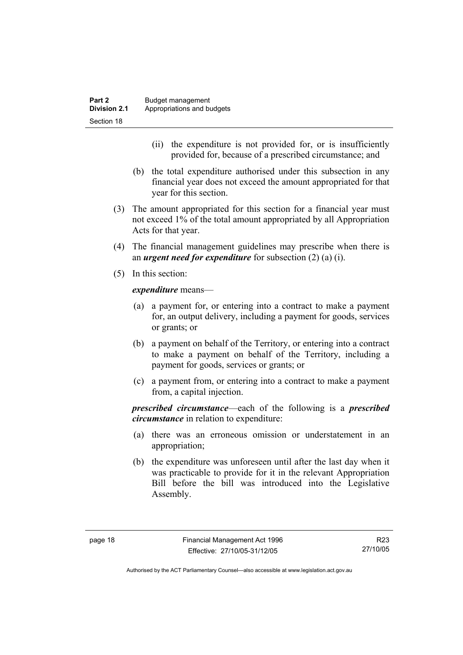- (ii) the expenditure is not provided for, or is insufficiently provided for, because of a prescribed circumstance; and
- (b) the total expenditure authorised under this subsection in any financial year does not exceed the amount appropriated for that year for this section.
- (3) The amount appropriated for this section for a financial year must not exceed 1% of the total amount appropriated by all Appropriation Acts for that year.
- (4) The financial management guidelines may prescribe when there is an *urgent need for expenditure* for subsection (2) (a) (i).
- (5) In this section:

*expenditure* means—

- (a) a payment for, or entering into a contract to make a payment for, an output delivery, including a payment for goods, services or grants; or
- (b) a payment on behalf of the Territory, or entering into a contract to make a payment on behalf of the Territory, including a payment for goods, services or grants; or
- (c) a payment from, or entering into a contract to make a payment from, a capital injection.

*prescribed circumstance*—each of the following is a *prescribed circumstance* in relation to expenditure:

- (a) there was an erroneous omission or understatement in an appropriation;
- (b) the expenditure was unforeseen until after the last day when it was practicable to provide for it in the relevant Appropriation Bill before the bill was introduced into the Legislative Assembly.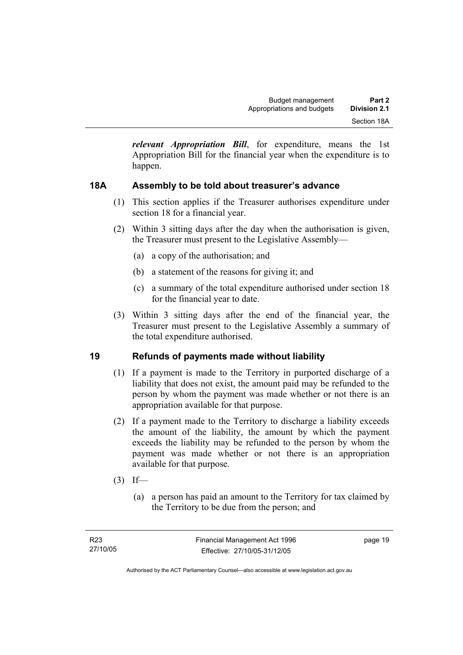*relevant Appropriation Bill*, for expenditure, means the 1st Appropriation Bill for the financial year when the expenditure is to happen.

#### **18A Assembly to be told about treasurer's advance**

- (1) This section applies if the Treasurer authorises expenditure under section 18 for a financial year.
- (2) Within 3 sitting days after the day when the authorisation is given, the Treasurer must present to the Legislative Assembly—
	- (a) a copy of the authorisation; and
	- (b) a statement of the reasons for giving it; and
	- (c) a summary of the total expenditure authorised under section 18 for the financial year to date.
- (3) Within 3 sitting days after the end of the financial year, the Treasurer must present to the Legislative Assembly a summary of the total expenditure authorised.

#### **19 Refunds of payments made without liability**

- (1) If a payment is made to the Territory in purported discharge of a liability that does not exist, the amount paid may be refunded to the person by whom the payment was made whether or not there is an appropriation available for that purpose.
- (2) If a payment made to the Territory to discharge a liability exceeds the amount of the liability, the amount by which the payment exceeds the liability may be refunded to the person by whom the payment was made whether or not there is an appropriation available for that purpose.
- $(3)$  If—
	- (a) a person has paid an amount to the Territory for tax claimed by the Territory to be due from the person; and

page 19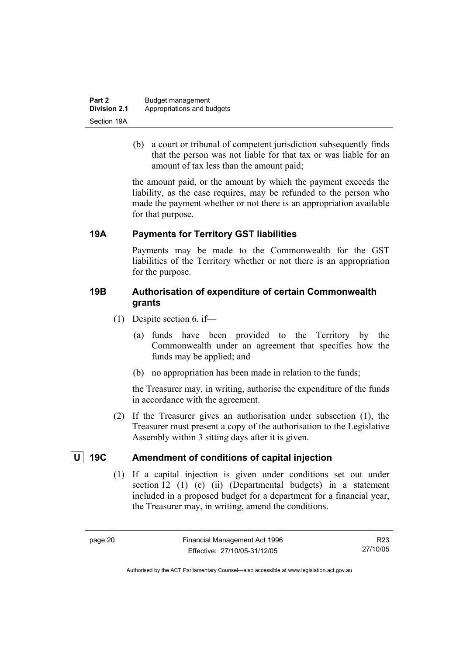| Part 2              | Budget management          |
|---------------------|----------------------------|
| <b>Division 2.1</b> | Appropriations and budgets |
| Section 19A         |                            |

 (b) a court or tribunal of competent jurisdiction subsequently finds that the person was not liable for that tax or was liable for an amount of tax less than the amount paid;

the amount paid, or the amount by which the payment exceeds the liability, as the case requires, may be refunded to the person who made the payment whether or not there is an appropriation available for that purpose.

#### **19A Payments for Territory GST liabilities**

Payments may be made to the Commonwealth for the GST liabilities of the Territory whether or not there is an appropriation for the purpose.

#### **19B Authorisation of expenditure of certain Commonwealth grants**

- (1) Despite section 6, if—
	- (a) funds have been provided to the Territory by the Commonwealth under an agreement that specifies how the funds may be applied; and
	- (b) no appropriation has been made in relation to the funds;

the Treasurer may, in writing, authorise the expenditure of the funds in accordance with the agreement.

 (2) If the Treasurer gives an authorisation under subsection (1), the Treasurer must present a copy of the authorisation to the Legislative Assembly within 3 sitting days after it is given.

#### **U** 19C Amendment of conditions of capital injection

 (1) If a capital injection is given under conditions set out under section 12 (1) (c) (ii) (Departmental budgets) in a statement included in a proposed budget for a department for a financial year, the Treasurer may, in writing, amend the conditions.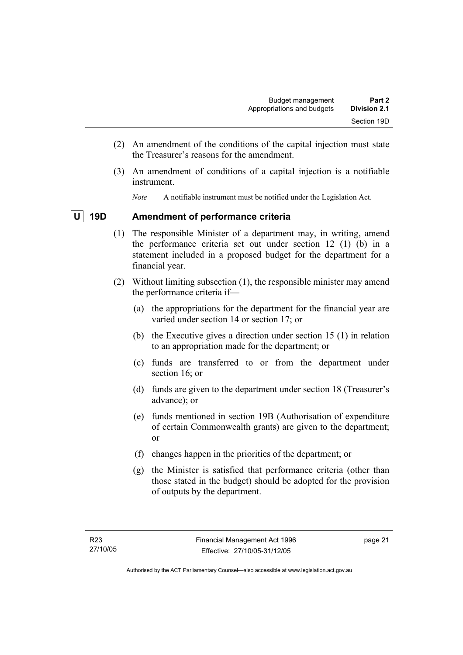- (2) An amendment of the conditions of the capital injection must state the Treasurer's reasons for the amendment.
- (3) An amendment of conditions of a capital injection is a notifiable instrument.
	- *Note* A notifiable instrument must be notified under the Legislation Act.

#### **U 19D Amendment of performance criteria**

- (1) The responsible Minister of a department may, in writing, amend the performance criteria set out under section 12 (1) (b) in a statement included in a proposed budget for the department for a financial year.
- (2) Without limiting subsection (1), the responsible minister may amend the performance criteria if—
	- (a) the appropriations for the department for the financial year are varied under section 14 or section 17; or
	- (b) the Executive gives a direction under section 15 (1) in relation to an appropriation made for the department; or
	- (c) funds are transferred to or from the department under section 16; or
	- (d) funds are given to the department under section 18 (Treasurer's advance); or
	- (e) funds mentioned in section 19B (Authorisation of expenditure of certain Commonwealth grants) are given to the department; or
	- (f) changes happen in the priorities of the department; or
	- (g) the Minister is satisfied that performance criteria (other than those stated in the budget) should be adopted for the provision of outputs by the department.

page 21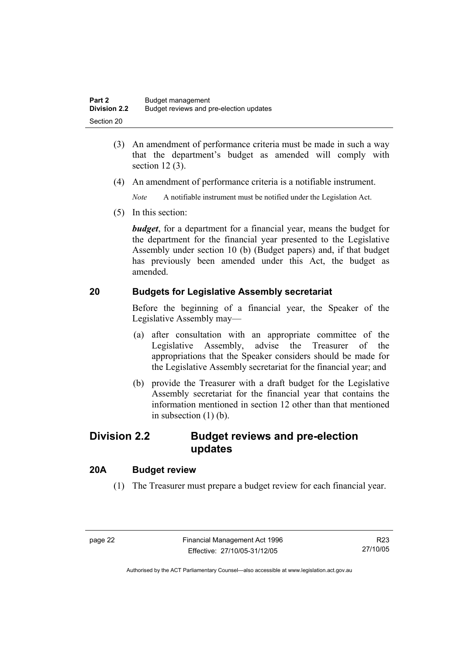- (3) An amendment of performance criteria must be made in such a way that the department's budget as amended will comply with section 12 (3).
- (4) An amendment of performance criteria is a notifiable instrument.

*Note* A notifiable instrument must be notified under the Legislation Act.

(5) In this section:

*budget*, for a department for a financial year, means the budget for the department for the financial year presented to the Legislative Assembly under section 10 (b) (Budget papers) and, if that budget has previously been amended under this Act, the budget as amended.

#### **20 Budgets for Legislative Assembly secretariat**

Before the beginning of a financial year, the Speaker of the Legislative Assembly may—

- (a) after consultation with an appropriate committee of the Legislative Assembly, advise the Treasurer of the appropriations that the Speaker considers should be made for the Legislative Assembly secretariat for the financial year; and
- (b) provide the Treasurer with a draft budget for the Legislative Assembly secretariat for the financial year that contains the information mentioned in section 12 other than that mentioned in subsection  $(1)$  (b).

### **Division 2.2 Budget reviews and pre-election updates**

#### **20A Budget review**

(1) The Treasurer must prepare a budget review for each financial year.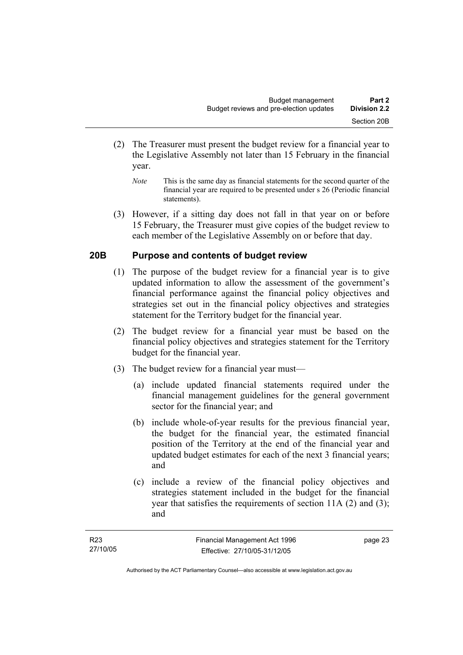- (2) The Treasurer must present the budget review for a financial year to the Legislative Assembly not later than 15 February in the financial year.
	- *Note* This is the same day as financial statements for the second quarter of the financial year are required to be presented under s 26 (Periodic financial statements).
- (3) However, if a sitting day does not fall in that year on or before 15 February, the Treasurer must give copies of the budget review to each member of the Legislative Assembly on or before that day.

#### **20B Purpose and contents of budget review**

- (1) The purpose of the budget review for a financial year is to give updated information to allow the assessment of the government's financial performance against the financial policy objectives and strategies set out in the financial policy objectives and strategies statement for the Territory budget for the financial year.
- (2) The budget review for a financial year must be based on the financial policy objectives and strategies statement for the Territory budget for the financial year.
- (3) The budget review for a financial year must—
	- (a) include updated financial statements required under the financial management guidelines for the general government sector for the financial year; and
	- (b) include whole-of-year results for the previous financial year, the budget for the financial year, the estimated financial position of the Territory at the end of the financial year and updated budget estimates for each of the next 3 financial years; and
	- (c) include a review of the financial policy objectives and strategies statement included in the budget for the financial year that satisfies the requirements of section 11A (2) and (3); and

page 23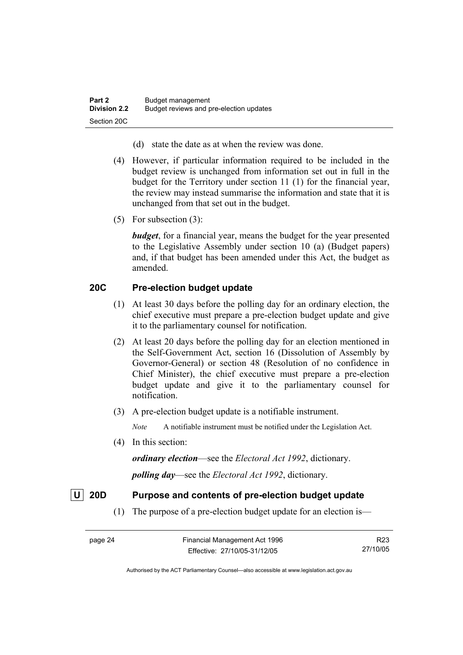- (d) state the date as at when the review was done.
- (4) However, if particular information required to be included in the budget review is unchanged from information set out in full in the budget for the Territory under section 11 (1) for the financial year, the review may instead summarise the information and state that it is unchanged from that set out in the budget.
- (5) For subsection (3):

*budget*, for a financial year, means the budget for the year presented to the Legislative Assembly under section 10 (a) (Budget papers) and, if that budget has been amended under this Act, the budget as amended.

#### **20C Pre-election budget update**

- (1) At least 30 days before the polling day for an ordinary election, the chief executive must prepare a pre-election budget update and give it to the parliamentary counsel for notification.
- (2) At least 20 days before the polling day for an election mentioned in the Self-Government Act, section 16 (Dissolution of Assembly by Governor-General) or section 48 (Resolution of no confidence in Chief Minister), the chief executive must prepare a pre-election budget update and give it to the parliamentary counsel for notification.
- (3) A pre-election budget update is a notifiable instrument.

*Note* A notifiable instrument must be notified under the Legislation Act.

(4) In this section:

*ordinary election*—see the *Electoral Act 1992*, dictionary.

*polling day*—see the *Electoral Act 1992*, dictionary.

#### **U 20D Purpose and contents of pre-election budget update**

(1) The purpose of a pre-election budget update for an election is—

R23 27/10/05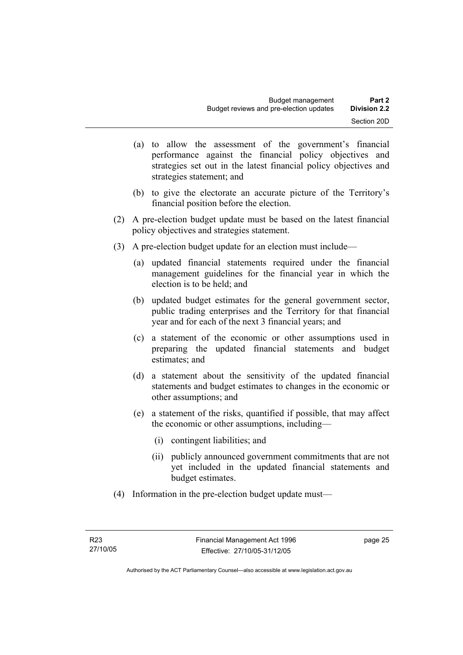- (a) to allow the assessment of the government's financial performance against the financial policy objectives and strategies set out in the latest financial policy objectives and strategies statement; and
- (b) to give the electorate an accurate picture of the Territory's financial position before the election.
- (2) A pre-election budget update must be based on the latest financial policy objectives and strategies statement.
- (3) A pre-election budget update for an election must include—
	- (a) updated financial statements required under the financial management guidelines for the financial year in which the election is to be held; and
	- (b) updated budget estimates for the general government sector, public trading enterprises and the Territory for that financial year and for each of the next 3 financial years; and
	- (c) a statement of the economic or other assumptions used in preparing the updated financial statements and budget estimates; and
	- (d) a statement about the sensitivity of the updated financial statements and budget estimates to changes in the economic or other assumptions; and
	- (e) a statement of the risks, quantified if possible, that may affect the economic or other assumptions, including—
		- (i) contingent liabilities; and
		- (ii) publicly announced government commitments that are not yet included in the updated financial statements and budget estimates.
- (4) Information in the pre-election budget update must—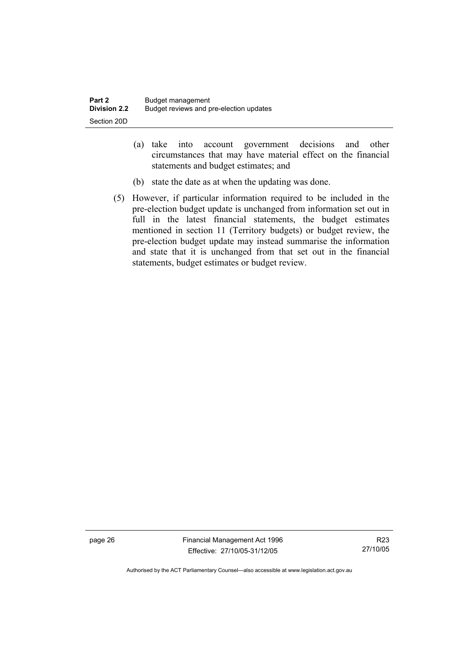| Part 2       | Budget management                       |
|--------------|-----------------------------------------|
| Division 2.2 | Budget reviews and pre-election updates |
| Section 20D  |                                         |

- (a) take into account government decisions and other circumstances that may have material effect on the financial statements and budget estimates; and
- (b) state the date as at when the updating was done.
- (5) However, if particular information required to be included in the pre-election budget update is unchanged from information set out in full in the latest financial statements, the budget estimates mentioned in section 11 (Territory budgets) or budget review, the pre-election budget update may instead summarise the information and state that it is unchanged from that set out in the financial statements, budget estimates or budget review.

page 26 Financial Management Act 1996 Effective: 27/10/05-31/12/05

R23 27/10/05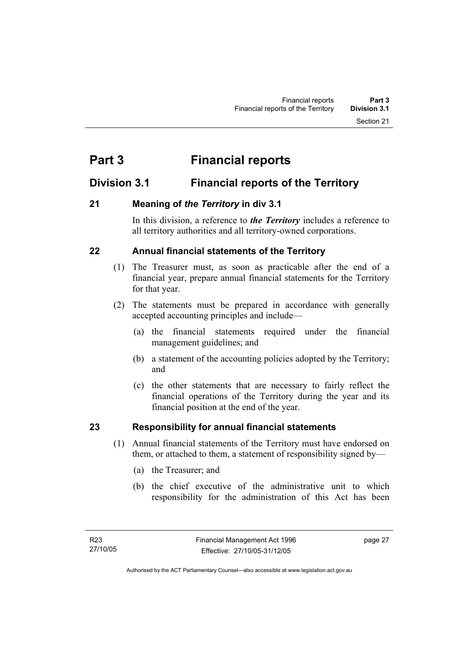# **Part 3 Financial reports**

### **Division 3.1 Financial reports of the Territory**

#### **21 Meaning of** *the Territory* **in div 3.1**

In this division, a reference to *the Territory* includes a reference to all territory authorities and all territory-owned corporations.

#### **22 Annual financial statements of the Territory**

- (1) The Treasurer must, as soon as practicable after the end of a financial year, prepare annual financial statements for the Territory for that year.
- (2) The statements must be prepared in accordance with generally accepted accounting principles and include—
	- (a) the financial statements required under the financial management guidelines; and
	- (b) a statement of the accounting policies adopted by the Territory; and
	- (c) the other statements that are necessary to fairly reflect the financial operations of the Territory during the year and its financial position at the end of the year.

#### **23 Responsibility for annual financial statements**

- (1) Annual financial statements of the Territory must have endorsed on them, or attached to them, a statement of responsibility signed by—
	- (a) the Treasurer; and
	- (b) the chief executive of the administrative unit to which responsibility for the administration of this Act has been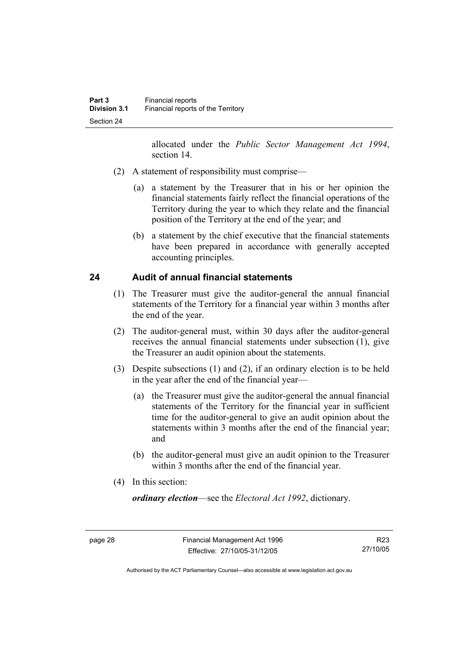allocated under the *Public Sector Management Act 1994*, section 14.

- (2) A statement of responsibility must comprise—
	- (a) a statement by the Treasurer that in his or her opinion the financial statements fairly reflect the financial operations of the Territory during the year to which they relate and the financial position of the Territory at the end of the year; and
	- (b) a statement by the chief executive that the financial statements have been prepared in accordance with generally accepted accounting principles.

#### **24 Audit of annual financial statements**

- (1) The Treasurer must give the auditor-general the annual financial statements of the Territory for a financial year within 3 months after the end of the year.
- (2) The auditor-general must, within 30 days after the auditor-general receives the annual financial statements under subsection (1), give the Treasurer an audit opinion about the statements.
- (3) Despite subsections (1) and (2), if an ordinary election is to be held in the year after the end of the financial year—
	- (a) the Treasurer must give the auditor-general the annual financial statements of the Territory for the financial year in sufficient time for the auditor-general to give an audit opinion about the statements within 3 months after the end of the financial year; and
	- (b) the auditor-general must give an audit opinion to the Treasurer within 3 months after the end of the financial year.
- (4) In this section:

*ordinary election*—see the *Electoral Act 1992*, dictionary.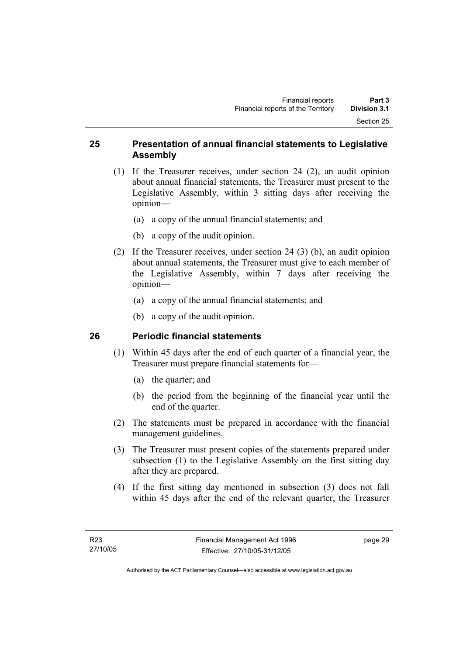#### **25 Presentation of annual financial statements to Legislative Assembly**

- (1) If the Treasurer receives, under section 24 (2), an audit opinion about annual financial statements, the Treasurer must present to the Legislative Assembly, within 3 sitting days after receiving the opinion—
	- (a) a copy of the annual financial statements; and
	- (b) a copy of the audit opinion.
- (2) If the Treasurer receives, under section 24 (3) (b), an audit opinion about annual statements, the Treasurer must give to each member of the Legislative Assembly, within 7 days after receiving the opinion—
	- (a) a copy of the annual financial statements; and
	- (b) a copy of the audit opinion.

## **26 Periodic financial statements**

- (1) Within 45 days after the end of each quarter of a financial year, the Treasurer must prepare financial statements for—
	- (a) the quarter; and
	- (b) the period from the beginning of the financial year until the end of the quarter.
- (2) The statements must be prepared in accordance with the financial management guidelines.
- (3) The Treasurer must present copies of the statements prepared under subsection (1) to the Legislative Assembly on the first sitting day after they are prepared.
- (4) If the first sitting day mentioned in subsection (3) does not fall within 45 days after the end of the relevant quarter, the Treasurer

page 29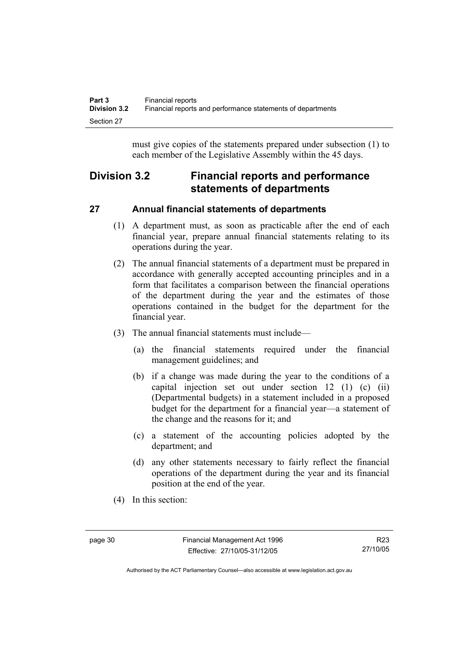must give copies of the statements prepared under subsection (1) to each member of the Legislative Assembly within the 45 days.

# **Division 3.2 Financial reports and performance statements of departments**

# **27 Annual financial statements of departments**

- (1) A department must, as soon as practicable after the end of each financial year, prepare annual financial statements relating to its operations during the year.
- (2) The annual financial statements of a department must be prepared in accordance with generally accepted accounting principles and in a form that facilitates a comparison between the financial operations of the department during the year and the estimates of those operations contained in the budget for the department for the financial year.
- (3) The annual financial statements must include—
	- (a) the financial statements required under the financial management guidelines; and
	- (b) if a change was made during the year to the conditions of a capital injection set out under section 12 (1) (c) (ii) (Departmental budgets) in a statement included in a proposed budget for the department for a financial year—a statement of the change and the reasons for it; and
	- (c) a statement of the accounting policies adopted by the department; and
	- (d) any other statements necessary to fairly reflect the financial operations of the department during the year and its financial position at the end of the year.
- (4) In this section: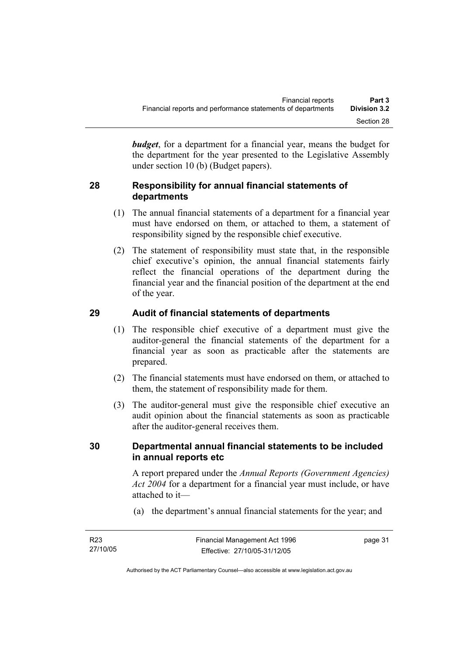*budget*, for a department for a financial year, means the budget for the department for the year presented to the Legislative Assembly under section 10 (b) (Budget papers).

## **28 Responsibility for annual financial statements of departments**

- (1) The annual financial statements of a department for a financial year must have endorsed on them, or attached to them, a statement of responsibility signed by the responsible chief executive.
- (2) The statement of responsibility must state that, in the responsible chief executive's opinion, the annual financial statements fairly reflect the financial operations of the department during the financial year and the financial position of the department at the end of the year.

# **29 Audit of financial statements of departments**

- (1) The responsible chief executive of a department must give the auditor-general the financial statements of the department for a financial year as soon as practicable after the statements are prepared.
- (2) The financial statements must have endorsed on them, or attached to them, the statement of responsibility made for them.
- (3) The auditor-general must give the responsible chief executive an audit opinion about the financial statements as soon as practicable after the auditor-general receives them.

## **30 Departmental annual financial statements to be included in annual reports etc**

A report prepared under the *Annual Reports (Government Agencies) Act 2004* for a department for a financial year must include, or have attached to it—

(a) the department's annual financial statements for the year; and

| R <sub>23</sub> | Financial Management Act 1996 | page 31 |
|-----------------|-------------------------------|---------|
| 27/10/05        | Effective: 27/10/05-31/12/05  |         |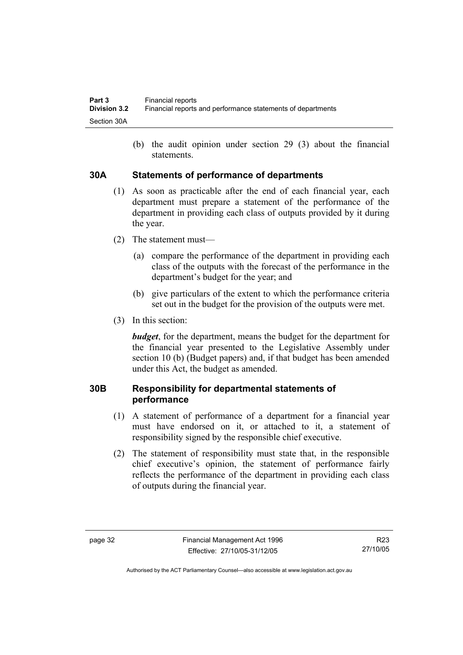(b) the audit opinion under section 29 (3) about the financial statements.

#### **30A Statements of performance of departments**

- (1) As soon as practicable after the end of each financial year, each department must prepare a statement of the performance of the department in providing each class of outputs provided by it during the year.
- (2) The statement must—
	- (a) compare the performance of the department in providing each class of the outputs with the forecast of the performance in the department's budget for the year; and
	- (b) give particulars of the extent to which the performance criteria set out in the budget for the provision of the outputs were met.
- (3) In this section:

*budget*, for the department, means the budget for the department for the financial year presented to the Legislative Assembly under section 10 (b) (Budget papers) and, if that budget has been amended under this Act, the budget as amended.

## **30B Responsibility for departmental statements of performance**

- (1) A statement of performance of a department for a financial year must have endorsed on it, or attached to it, a statement of responsibility signed by the responsible chief executive.
- (2) The statement of responsibility must state that, in the responsible chief executive's opinion, the statement of performance fairly reflects the performance of the department in providing each class of outputs during the financial year.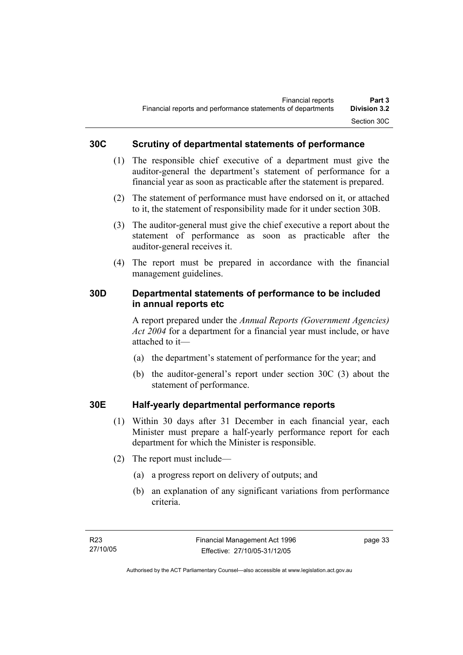## **30C Scrutiny of departmental statements of performance**

- (1) The responsible chief executive of a department must give the auditor-general the department's statement of performance for a financial year as soon as practicable after the statement is prepared.
- (2) The statement of performance must have endorsed on it, or attached to it, the statement of responsibility made for it under section 30B.
- (3) The auditor-general must give the chief executive a report about the statement of performance as soon as practicable after the auditor-general receives it.
- (4) The report must be prepared in accordance with the financial management guidelines.

### **30D Departmental statements of performance to be included in annual reports etc**

A report prepared under the *Annual Reports (Government Agencies) Act 2004* for a department for a financial year must include, or have attached to it—

- (a) the department's statement of performance for the year; and
- (b) the auditor-general's report under section 30C (3) about the statement of performance.

## **30E Half-yearly departmental performance reports**

- (1) Within 30 days after 31 December in each financial year, each Minister must prepare a half-yearly performance report for each department for which the Minister is responsible.
- (2) The report must include—
	- (a) a progress report on delivery of outputs; and
	- (b) an explanation of any significant variations from performance criteria.

page 33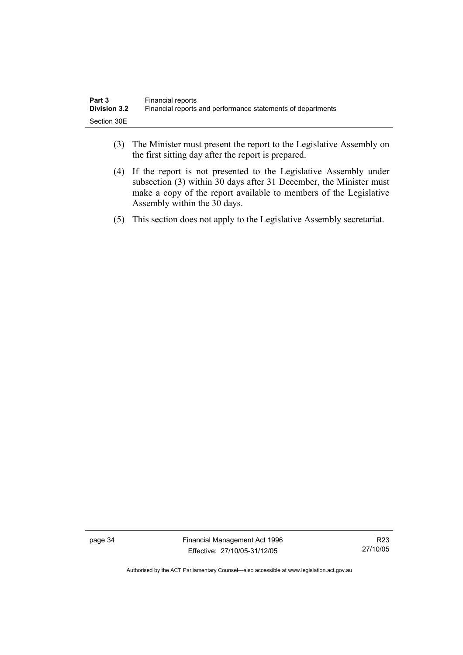| Part 3              | Financial reports                                           |
|---------------------|-------------------------------------------------------------|
| <b>Division 3.2</b> | Financial reports and performance statements of departments |
| Section 30E         |                                                             |

- (3) The Minister must present the report to the Legislative Assembly on the first sitting day after the report is prepared.
- (4) If the report is not presented to the Legislative Assembly under subsection (3) within 30 days after 31 December, the Minister must make a copy of the report available to members of the Legislative Assembly within the 30 days.
- (5) This section does not apply to the Legislative Assembly secretariat.

page 34 Financial Management Act 1996 Effective: 27/10/05-31/12/05

R23 27/10/05

Authorised by the ACT Parliamentary Counsel—also accessible at www.legislation.act.gov.au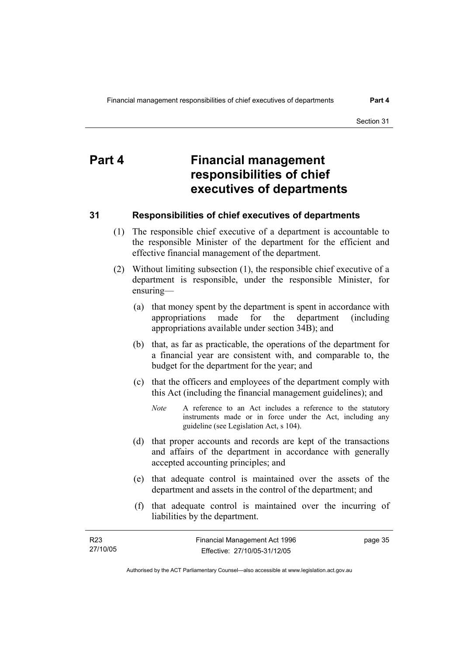# **Part 4 Financial management responsibilities of chief executives of departments**

## **31 Responsibilities of chief executives of departments**

- (1) The responsible chief executive of a department is accountable to the responsible Minister of the department for the efficient and effective financial management of the department.
- (2) Without limiting subsection (1), the responsible chief executive of a department is responsible, under the responsible Minister, for ensuring—
	- (a) that money spent by the department is spent in accordance with appropriations made for the department (including appropriations available under section 34B); and
	- (b) that, as far as practicable, the operations of the department for a financial year are consistent with, and comparable to, the budget for the department for the year; and
	- (c) that the officers and employees of the department comply with this Act (including the financial management guidelines); and
		- *Note* A reference to an Act includes a reference to the statutory instruments made or in force under the Act, including any guideline (see Legislation Act, s 104).
	- (d) that proper accounts and records are kept of the transactions and affairs of the department in accordance with generally accepted accounting principles; and
	- (e) that adequate control is maintained over the assets of the department and assets in the control of the department; and
	- (f) that adequate control is maintained over the incurring of liabilities by the department.

| R23      | Financial Management Act 1996 | page 35 |
|----------|-------------------------------|---------|
| 27/10/05 | Effective: 27/10/05-31/12/05  |         |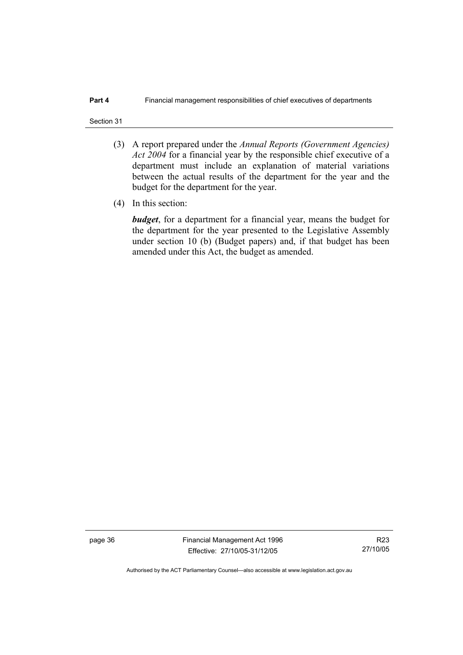#### Section 31

- (3) A report prepared under the *Annual Reports (Government Agencies) Act 2004* for a financial year by the responsible chief executive of a department must include an explanation of material variations between the actual results of the department for the year and the budget for the department for the year.
- (4) In this section:

*budget*, for a department for a financial year, means the budget for the department for the year presented to the Legislative Assembly under section 10 (b) (Budget papers) and, if that budget has been amended under this Act, the budget as amended.

page 36 Financial Management Act 1996 Effective: 27/10/05-31/12/05

R23 27/10/05

Authorised by the ACT Parliamentary Counsel—also accessible at www.legislation.act.gov.au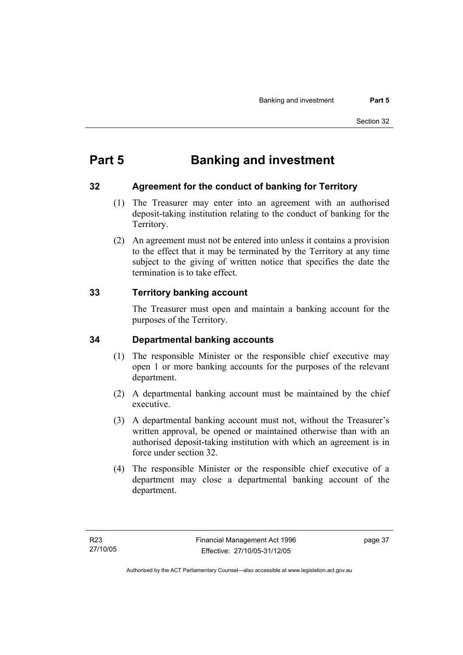# **Part 5 Banking and investment**

## **32 Agreement for the conduct of banking for Territory**

- (1) The Treasurer may enter into an agreement with an authorised deposit-taking institution relating to the conduct of banking for the Territory.
- (2) An agreement must not be entered into unless it contains a provision to the effect that it may be terminated by the Territory at any time subject to the giving of written notice that specifies the date the termination is to take effect.

## **33 Territory banking account**

The Treasurer must open and maintain a banking account for the purposes of the Territory.

## **34 Departmental banking accounts**

- (1) The responsible Minister or the responsible chief executive may open 1 or more banking accounts for the purposes of the relevant department.
- (2) A departmental banking account must be maintained by the chief executive.
- (3) A departmental banking account must not, without the Treasurer's written approval, be opened or maintained otherwise than with an authorised deposit-taking institution with which an agreement is in force under section 32.
- (4) The responsible Minister or the responsible chief executive of a department may close a departmental banking account of the department.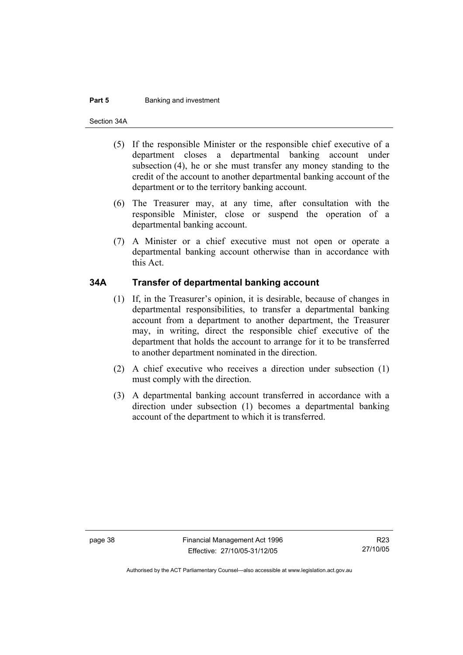#### **Part 5 Banking and investment**

Section 34A

- (5) If the responsible Minister or the responsible chief executive of a department closes a departmental banking account under subsection (4), he or she must transfer any money standing to the credit of the account to another departmental banking account of the department or to the territory banking account.
- (6) The Treasurer may, at any time, after consultation with the responsible Minister, close or suspend the operation of a departmental banking account.
- (7) A Minister or a chief executive must not open or operate a departmental banking account otherwise than in accordance with this Act.

#### **34A Transfer of departmental banking account**

- (1) If, in the Treasurer's opinion, it is desirable, because of changes in departmental responsibilities, to transfer a departmental banking account from a department to another department, the Treasurer may, in writing, direct the responsible chief executive of the department that holds the account to arrange for it to be transferred to another department nominated in the direction.
- (2) A chief executive who receives a direction under subsection (1) must comply with the direction.
- (3) A departmental banking account transferred in accordance with a direction under subsection (1) becomes a departmental banking account of the department to which it is transferred.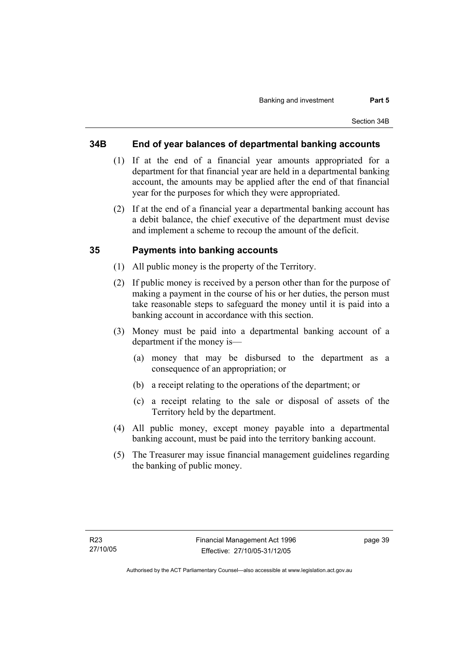### **34B End of year balances of departmental banking accounts**

- (1) If at the end of a financial year amounts appropriated for a department for that financial year are held in a departmental banking account, the amounts may be applied after the end of that financial year for the purposes for which they were appropriated.
- (2) If at the end of a financial year a departmental banking account has a debit balance, the chief executive of the department must devise and implement a scheme to recoup the amount of the deficit.

#### **35 Payments into banking accounts**

- (1) All public money is the property of the Territory.
- (2) If public money is received by a person other than for the purpose of making a payment in the course of his or her duties, the person must take reasonable steps to safeguard the money until it is paid into a banking account in accordance with this section.
- (3) Money must be paid into a departmental banking account of a department if the money is—
	- (a) money that may be disbursed to the department as a consequence of an appropriation; or
	- (b) a receipt relating to the operations of the department; or
	- (c) a receipt relating to the sale or disposal of assets of the Territory held by the department.
- (4) All public money, except money payable into a departmental banking account, must be paid into the territory banking account.
- (5) The Treasurer may issue financial management guidelines regarding the banking of public money.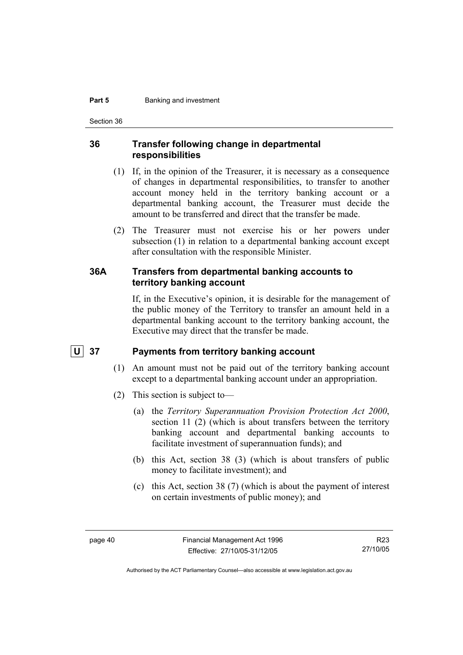#### **Part 5 Banking and investment**

Section 36

#### **36 Transfer following change in departmental responsibilities**

- (1) If, in the opinion of the Treasurer, it is necessary as a consequence of changes in departmental responsibilities, to transfer to another account money held in the territory banking account or a departmental banking account, the Treasurer must decide the amount to be transferred and direct that the transfer be made.
- (2) The Treasurer must not exercise his or her powers under subsection (1) in relation to a departmental banking account except after consultation with the responsible Minister.

#### **36A Transfers from departmental banking accounts to territory banking account**

If, in the Executive's opinion, it is desirable for the management of the public money of the Territory to transfer an amount held in a departmental banking account to the territory banking account, the Executive may direct that the transfer be made.

#### **U 37 Payments from territory banking account**

- (1) An amount must not be paid out of the territory banking account except to a departmental banking account under an appropriation.
- (2) This section is subject to—
	- (a) the *Territory Superannuation Provision Protection Act 2000*, section 11 (2) (which is about transfers between the territory banking account and departmental banking accounts to facilitate investment of superannuation funds); and
	- (b) this Act, section 38 (3) (which is about transfers of public money to facilitate investment); and
	- (c) this Act, section 38 (7) (which is about the payment of interest on certain investments of public money); and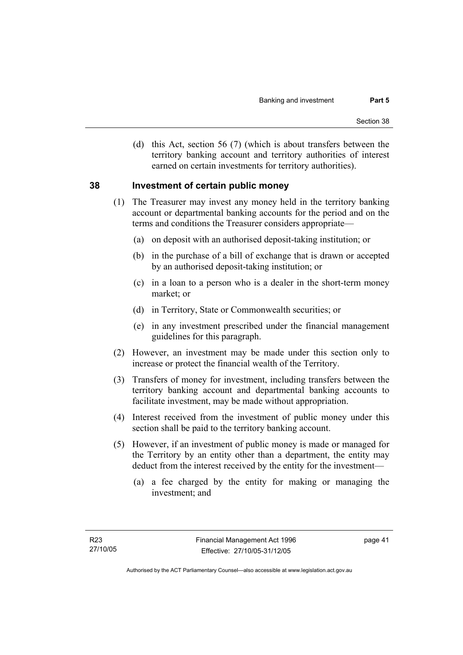(d) this Act, section 56 (7) (which is about transfers between the territory banking account and territory authorities of interest earned on certain investments for territory authorities).

#### **38 Investment of certain public money**

- (1) The Treasurer may invest any money held in the territory banking account or departmental banking accounts for the period and on the terms and conditions the Treasurer considers appropriate—
	- (a) on deposit with an authorised deposit-taking institution; or
	- (b) in the purchase of a bill of exchange that is drawn or accepted by an authorised deposit-taking institution; or
	- (c) in a loan to a person who is a dealer in the short-term money market; or
	- (d) in Territory, State or Commonwealth securities; or
	- (e) in any investment prescribed under the financial management guidelines for this paragraph.
- (2) However, an investment may be made under this section only to increase or protect the financial wealth of the Territory.
- (3) Transfers of money for investment, including transfers between the territory banking account and departmental banking accounts to facilitate investment, may be made without appropriation.
- (4) Interest received from the investment of public money under this section shall be paid to the territory banking account.
- (5) However, if an investment of public money is made or managed for the Territory by an entity other than a department, the entity may deduct from the interest received by the entity for the investment—
	- (a) a fee charged by the entity for making or managing the investment; and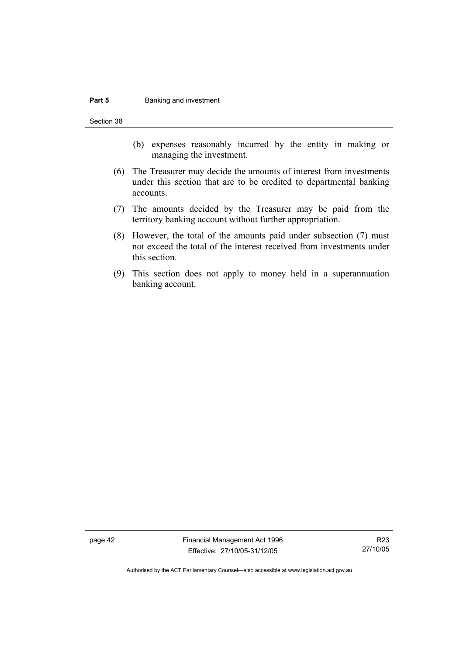#### **Part 5 Banking and investment**

Section 38

- (b) expenses reasonably incurred by the entity in making or managing the investment.
- (6) The Treasurer may decide the amounts of interest from investments under this section that are to be credited to departmental banking accounts.
- (7) The amounts decided by the Treasurer may be paid from the territory banking account without further appropriation.
- (8) However, the total of the amounts paid under subsection (7) must not exceed the total of the interest received from investments under this section.
- (9) This section does not apply to money held in a superannuation banking account.

page 42 Financial Management Act 1996 Effective: 27/10/05-31/12/05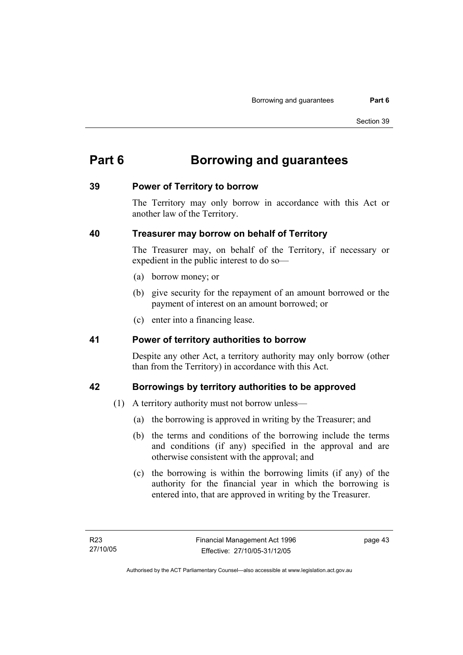# **Part 6 Borrowing and guarantees**

#### **39 Power of Territory to borrow**

The Territory may only borrow in accordance with this Act or another law of the Territory.

## **40 Treasurer may borrow on behalf of Territory**

The Treasurer may, on behalf of the Territory, if necessary or expedient in the public interest to do so—

- (a) borrow money; or
- (b) give security for the repayment of an amount borrowed or the payment of interest on an amount borrowed; or
- (c) enter into a financing lease.

#### **41 Power of territory authorities to borrow**

Despite any other Act, a territory authority may only borrow (other than from the Territory) in accordance with this Act.

## **42 Borrowings by territory authorities to be approved**

- (1) A territory authority must not borrow unless—
	- (a) the borrowing is approved in writing by the Treasurer; and
	- (b) the terms and conditions of the borrowing include the terms and conditions (if any) specified in the approval and are otherwise consistent with the approval; and
	- (c) the borrowing is within the borrowing limits (if any) of the authority for the financial year in which the borrowing is entered into, that are approved in writing by the Treasurer.

page 43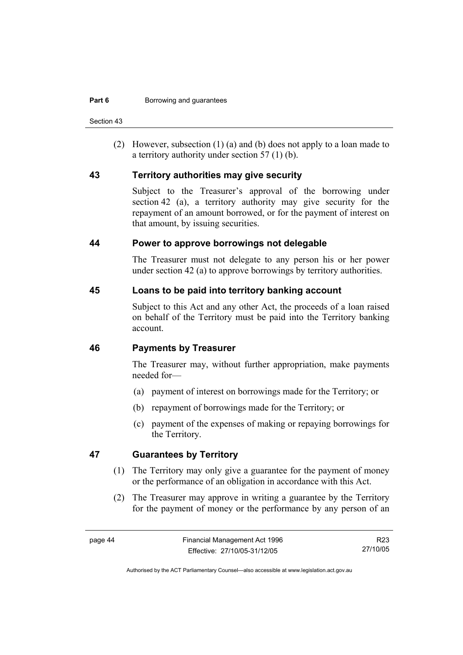Section 43

 (2) However, subsection (1) (a) and (b) does not apply to a loan made to a territory authority under section 57 (1) (b).

#### **43 Territory authorities may give security**

Subject to the Treasurer's approval of the borrowing under section 42 (a), a territory authority may give security for the repayment of an amount borrowed, or for the payment of interest on that amount, by issuing securities.

#### **44 Power to approve borrowings not delegable**

The Treasurer must not delegate to any person his or her power under section 42 (a) to approve borrowings by territory authorities.

#### **45 Loans to be paid into territory banking account**

Subject to this Act and any other Act, the proceeds of a loan raised on behalf of the Territory must be paid into the Territory banking account.

#### **46 Payments by Treasurer**

The Treasurer may, without further appropriation, make payments needed for—

- (a) payment of interest on borrowings made for the Territory; or
- (b) repayment of borrowings made for the Territory; or
- (c) payment of the expenses of making or repaying borrowings for the Territory.

## **47 Guarantees by Territory**

- (1) The Territory may only give a guarantee for the payment of money or the performance of an obligation in accordance with this Act.
- (2) The Treasurer may approve in writing a guarantee by the Territory for the payment of money or the performance by any person of an

R23 27/10/05

Authorised by the ACT Parliamentary Counsel—also accessible at www.legislation.act.gov.au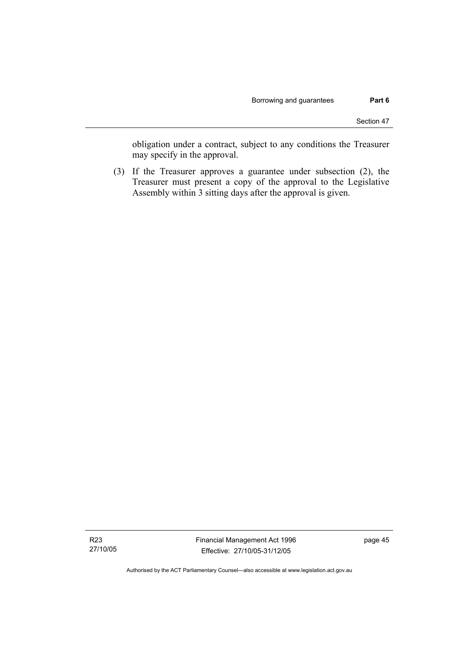obligation under a contract, subject to any conditions the Treasurer may specify in the approval.

 (3) If the Treasurer approves a guarantee under subsection (2), the Treasurer must present a copy of the approval to the Legislative Assembly within 3 sitting days after the approval is given.

Authorised by the ACT Parliamentary Counsel—also accessible at www.legislation.act.gov.au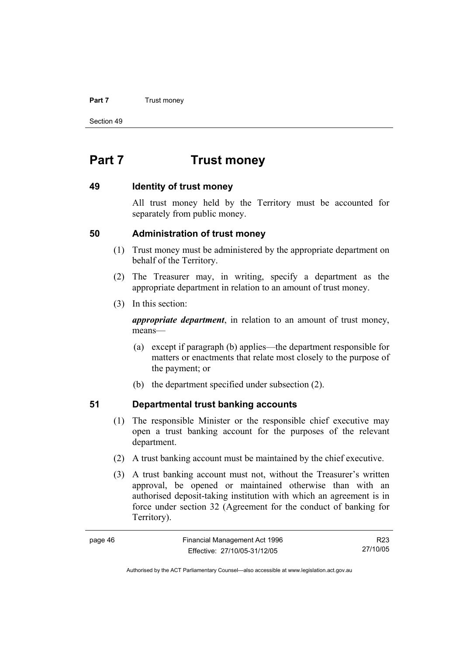#### **Part 7 Trust money**

Section 49

# **Part 7 Trust money**

#### **49 Identity of trust money**

All trust money held by the Territory must be accounted for separately from public money.

#### **50 Administration of trust money**

- (1) Trust money must be administered by the appropriate department on behalf of the Territory.
- (2) The Treasurer may, in writing, specify a department as the appropriate department in relation to an amount of trust money.
- (3) In this section:

*appropriate department*, in relation to an amount of trust money, means—

- (a) except if paragraph (b) applies—the department responsible for matters or enactments that relate most closely to the purpose of the payment; or
- (b) the department specified under subsection (2).

#### **51 Departmental trust banking accounts**

- (1) The responsible Minister or the responsible chief executive may open a trust banking account for the purposes of the relevant department.
- (2) A trust banking account must be maintained by the chief executive.
- (3) A trust banking account must not, without the Treasurer's written approval, be opened or maintained otherwise than with an authorised deposit-taking institution with which an agreement is in force under section 32 (Agreement for the conduct of banking for Territory).

| page 46 | Financial Management Act 1996 | R23      |
|---------|-------------------------------|----------|
|         | Effective: 27/10/05-31/12/05  | 27/10/05 |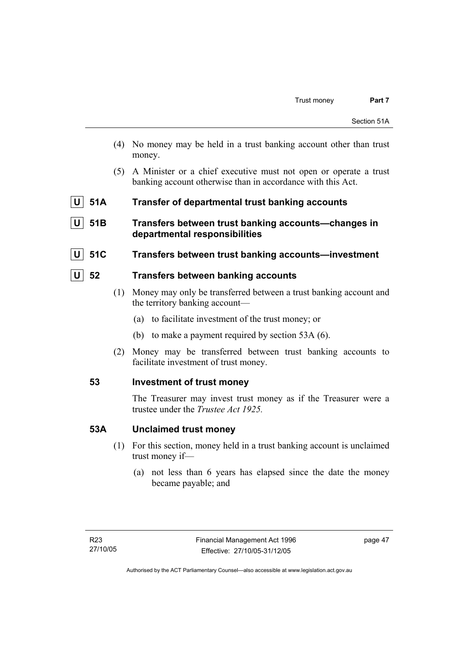- (4) No money may be held in a trust banking account other than trust money.
- (5) A Minister or a chief executive must not open or operate a trust banking account otherwise than in accordance with this Act.
- **U** 51A Transfer of departmental trust banking accounts
- **U 51B Transfers between trust banking accounts—changes in departmental responsibilities**
- **U 51C Transfers between trust banking accounts—investment**

#### **U 52 Transfers between banking accounts**

- (1) Money may only be transferred between a trust banking account and the territory banking account—
	- (a) to facilitate investment of the trust money; or
	- (b) to make a payment required by section 53A (6).
- (2) Money may be transferred between trust banking accounts to facilitate investment of trust money.

#### **53 Investment of trust money**

The Treasurer may invest trust money as if the Treasurer were a trustee under the *Trustee Act 1925.*

#### **53A Unclaimed trust money**

- (1) For this section, money held in a trust banking account is unclaimed trust money if—
	- (a) not less than 6 years has elapsed since the date the money became payable; and

page 47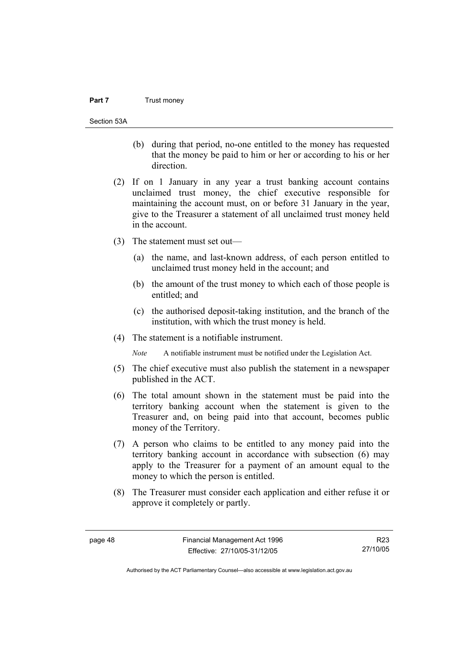#### **Part 7** Trust money

Section 53A

- (b) during that period, no-one entitled to the money has requested that the money be paid to him or her or according to his or her direction.
- (2) If on 1 January in any year a trust banking account contains unclaimed trust money, the chief executive responsible for maintaining the account must, on or before 31 January in the year, give to the Treasurer a statement of all unclaimed trust money held in the account.
- (3) The statement must set out—
	- (a) the name, and last-known address, of each person entitled to unclaimed trust money held in the account; and
	- (b) the amount of the trust money to which each of those people is entitled; and
	- (c) the authorised deposit-taking institution, and the branch of the institution, with which the trust money is held.
- (4) The statement is a notifiable instrument.

*Note* A notifiable instrument must be notified under the Legislation Act.

- (5) The chief executive must also publish the statement in a newspaper published in the ACT.
- (6) The total amount shown in the statement must be paid into the territory banking account when the statement is given to the Treasurer and, on being paid into that account, becomes public money of the Territory.
- (7) A person who claims to be entitled to any money paid into the territory banking account in accordance with subsection (6) may apply to the Treasurer for a payment of an amount equal to the money to which the person is entitled.
- (8) The Treasurer must consider each application and either refuse it or approve it completely or partly.

R23 27/10/05

Authorised by the ACT Parliamentary Counsel—also accessible at www.legislation.act.gov.au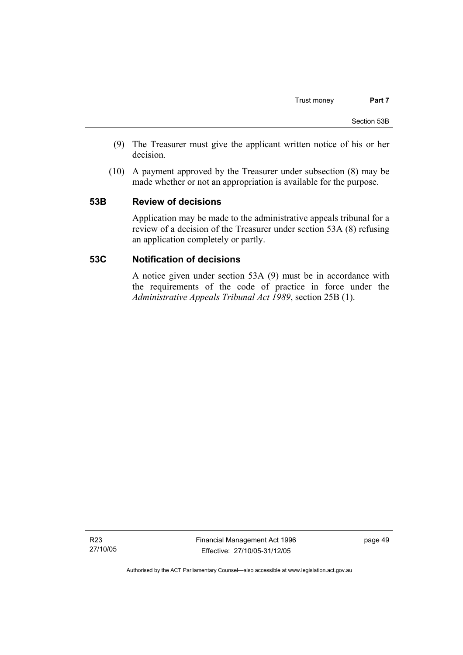- (9) The Treasurer must give the applicant written notice of his or her decision.
- (10) A payment approved by the Treasurer under subsection (8) may be made whether or not an appropriation is available for the purpose.

#### **53B Review of decisions**

Application may be made to the administrative appeals tribunal for a review of a decision of the Treasurer under section 53A (8) refusing an application completely or partly.

#### **53C Notification of decisions**

A notice given under section 53A (9) must be in accordance with the requirements of the code of practice in force under the *Administrative Appeals Tribunal Act 1989*, section 25B (1).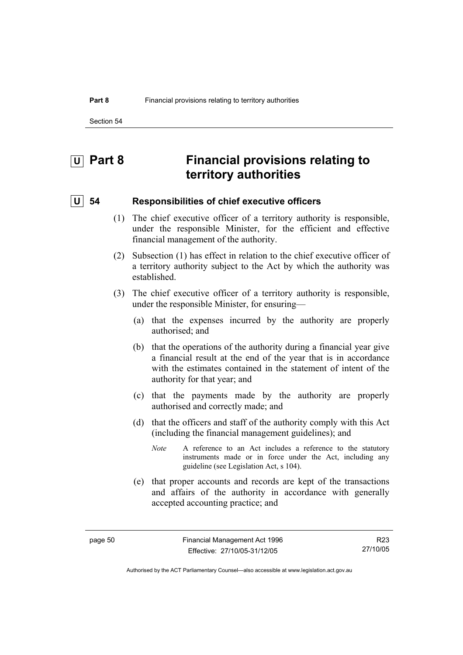Section 54

# **U** Part 8 Financial provisions relating to **territory authorities**

#### **U 54 Responsibilities of chief executive officers**

- (1) The chief executive officer of a territory authority is responsible, under the responsible Minister, for the efficient and effective financial management of the authority.
- (2) Subsection (1) has effect in relation to the chief executive officer of a territory authority subject to the Act by which the authority was established.
- (3) The chief executive officer of a territory authority is responsible, under the responsible Minister, for ensuring—
	- (a) that the expenses incurred by the authority are properly authorised; and
	- (b) that the operations of the authority during a financial year give a financial result at the end of the year that is in accordance with the estimates contained in the statement of intent of the authority for that year; and
	- (c) that the payments made by the authority are properly authorised and correctly made; and
	- (d) that the officers and staff of the authority comply with this Act (including the financial management guidelines); and
		- *Note* A reference to an Act includes a reference to the statutory instruments made or in force under the Act, including any guideline (see Legislation Act, s 104).
	- (e) that proper accounts and records are kept of the transactions and affairs of the authority in accordance with generally accepted accounting practice; and

Authorised by the ACT Parliamentary Counsel—also accessible at www.legislation.act.gov.au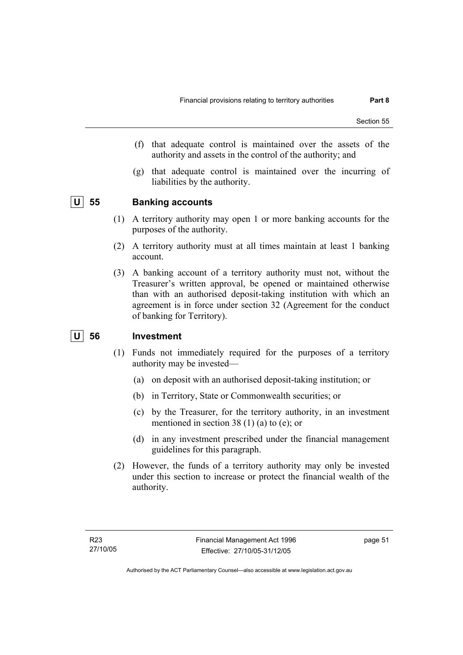- (f) that adequate control is maintained over the assets of the authority and assets in the control of the authority; and
- (g) that adequate control is maintained over the incurring of liabilities by the authority.

#### **U 55 Banking accounts**

- (1) A territory authority may open 1 or more banking accounts for the purposes of the authority.
- (2) A territory authority must at all times maintain at least 1 banking account.
- (3) A banking account of a territory authority must not, without the Treasurer's written approval, be opened or maintained otherwise than with an authorised deposit-taking institution with which an agreement is in force under section 32 (Agreement for the conduct of banking for Territory).

## **U 56 Investment**

- (1) Funds not immediately required for the purposes of a territory authority may be invested—
	- (a) on deposit with an authorised deposit-taking institution; or
	- (b) in Territory, State or Commonwealth securities; or
	- (c) by the Treasurer, for the territory authority, in an investment mentioned in section 38 (1) (a) to (e); or
	- (d) in any investment prescribed under the financial management guidelines for this paragraph.
- (2) However, the funds of a territory authority may only be invested under this section to increase or protect the financial wealth of the authority.

page 51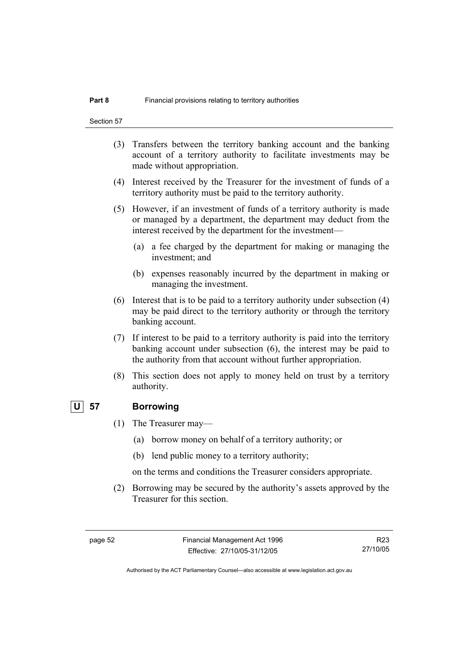Section 57

- (3) Transfers between the territory banking account and the banking account of a territory authority to facilitate investments may be made without appropriation.
- (4) Interest received by the Treasurer for the investment of funds of a territory authority must be paid to the territory authority.
- (5) However, if an investment of funds of a territory authority is made or managed by a department, the department may deduct from the interest received by the department for the investment—
	- (a) a fee charged by the department for making or managing the investment; and
	- (b) expenses reasonably incurred by the department in making or managing the investment.
- (6) Interest that is to be paid to a territory authority under subsection (4) may be paid direct to the territory authority or through the territory banking account.
- (7) If interest to be paid to a territory authority is paid into the territory banking account under subsection (6), the interest may be paid to the authority from that account without further appropriation.
- (8) This section does not apply to money held on trust by a territory authority.

#### **U 57 Borrowing**

- (1) The Treasurer may—
	- (a) borrow money on behalf of a territory authority; or
	- (b) lend public money to a territory authority;

on the terms and conditions the Treasurer considers appropriate.

 (2) Borrowing may be secured by the authority's assets approved by the Treasurer for this section.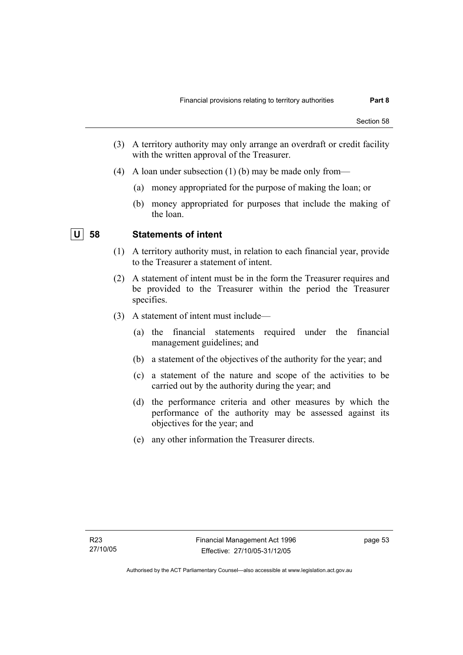- (3) A territory authority may only arrange an overdraft or credit facility with the written approval of the Treasurer.
- (4) A loan under subsection (1) (b) may be made only from—
	- (a) money appropriated for the purpose of making the loan; or
	- (b) money appropriated for purposes that include the making of the loan.

## **U 58 Statements of intent**

- (1) A territory authority must, in relation to each financial year, provide to the Treasurer a statement of intent.
- (2) A statement of intent must be in the form the Treasurer requires and be provided to the Treasurer within the period the Treasurer specifies.
- (3) A statement of intent must include—
	- (a) the financial statements required under the financial management guidelines; and
	- (b) a statement of the objectives of the authority for the year; and
	- (c) a statement of the nature and scope of the activities to be carried out by the authority during the year; and
	- (d) the performance criteria and other measures by which the performance of the authority may be assessed against its objectives for the year; and
	- (e) any other information the Treasurer directs.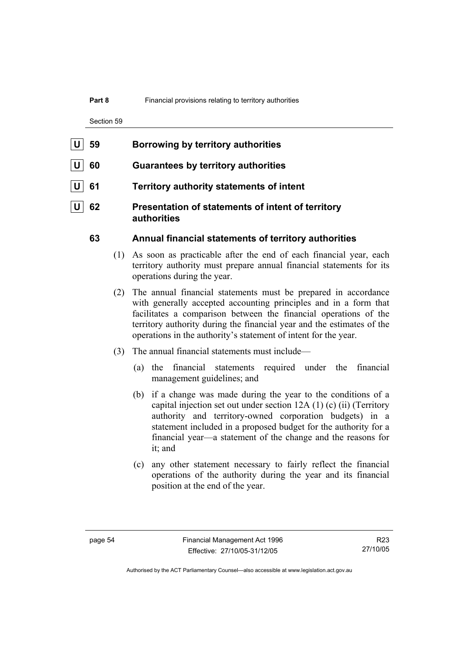#### **Part 8** Financial provisions relating to territory authorities

Section 59

- **U** 60 Guarantees by territory authorities
- **61** Territory authority statements of intent
- **62** Presentation of statements of intent of territory **authorities**

#### **63 Annual financial statements of territory authorities**

- (1) As soon as practicable after the end of each financial year, each territory authority must prepare annual financial statements for its operations during the year.
- (2) The annual financial statements must be prepared in accordance with generally accepted accounting principles and in a form that facilitates a comparison between the financial operations of the territory authority during the financial year and the estimates of the operations in the authority's statement of intent for the year.
- (3) The annual financial statements must include—
	- (a) the financial statements required under the financial management guidelines; and
	- (b) if a change was made during the year to the conditions of a capital injection set out under section 12A (1) (c) (ii) (Territory authority and territory-owned corporation budgets) in a statement included in a proposed budget for the authority for a financial year—a statement of the change and the reasons for it; and
	- (c) any other statement necessary to fairly reflect the financial operations of the authority during the year and its financial position at the end of the year.

Authorised by the ACT Parliamentary Counsel—also accessible at www.legislation.act.gov.au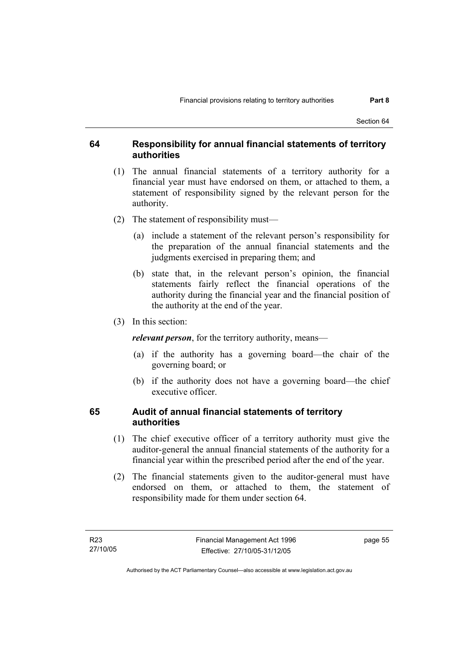#### **64 Responsibility for annual financial statements of territory authorities**

- (1) The annual financial statements of a territory authority for a financial year must have endorsed on them, or attached to them, a statement of responsibility signed by the relevant person for the authority.
- (2) The statement of responsibility must—
	- (a) include a statement of the relevant person's responsibility for the preparation of the annual financial statements and the judgments exercised in preparing them; and
	- (b) state that, in the relevant person's opinion, the financial statements fairly reflect the financial operations of the authority during the financial year and the financial position of the authority at the end of the year.
- (3) In this section:

*relevant person*, for the territory authority, means—

- (a) if the authority has a governing board—the chair of the governing board; or
- (b) if the authority does not have a governing board—the chief executive officer.

#### **65 Audit of annual financial statements of territory authorities**

- (1) The chief executive officer of a territory authority must give the auditor-general the annual financial statements of the authority for a financial year within the prescribed period after the end of the year.
- (2) The financial statements given to the auditor-general must have endorsed on them, or attached to them, the statement of responsibility made for them under section 64.

page 55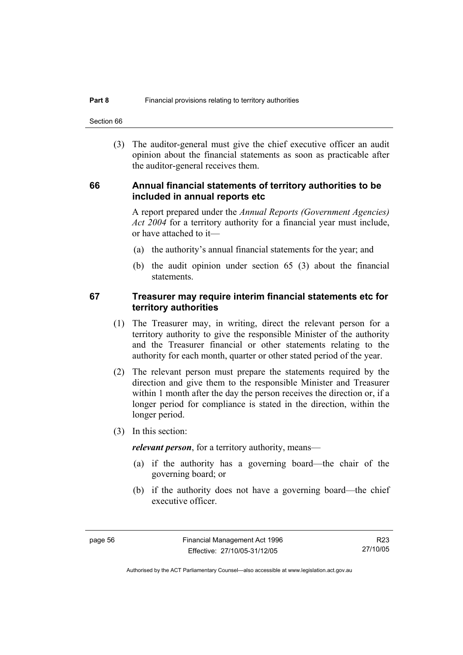Section 66

 (3) The auditor-general must give the chief executive officer an audit opinion about the financial statements as soon as practicable after the auditor-general receives them.

#### **66 Annual financial statements of territory authorities to be included in annual reports etc**

A report prepared under the *Annual Reports (Government Agencies) Act 2004* for a territory authority for a financial year must include, or have attached to it—

- (a) the authority's annual financial statements for the year; and
- (b) the audit opinion under section 65 (3) about the financial statements.

#### **67 Treasurer may require interim financial statements etc for territory authorities**

- (1) The Treasurer may, in writing, direct the relevant person for a territory authority to give the responsible Minister of the authority and the Treasurer financial or other statements relating to the authority for each month, quarter or other stated period of the year.
- (2) The relevant person must prepare the statements required by the direction and give them to the responsible Minister and Treasurer within 1 month after the day the person receives the direction or, if a longer period for compliance is stated in the direction, within the longer period.
- (3) In this section:

*relevant person*, for a territory authority, means—

- (a) if the authority has a governing board—the chair of the governing board; or
- (b) if the authority does not have a governing board—the chief executive officer.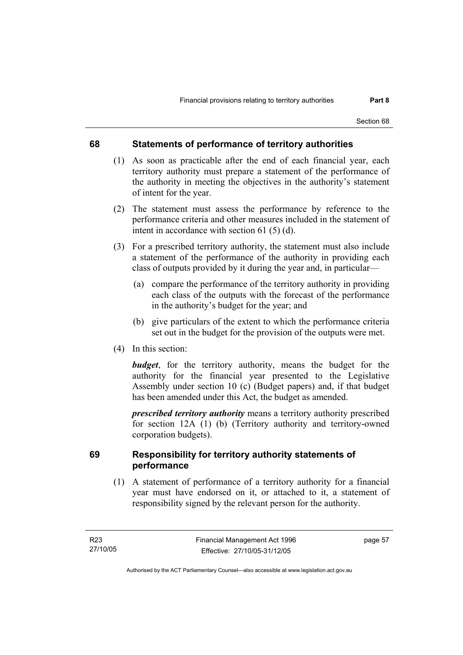#### **68 Statements of performance of territory authorities**

- (1) As soon as practicable after the end of each financial year, each territory authority must prepare a statement of the performance of the authority in meeting the objectives in the authority's statement of intent for the year.
- (2) The statement must assess the performance by reference to the performance criteria and other measures included in the statement of intent in accordance with section 61 (5) (d).
- (3) For a prescribed territory authority, the statement must also include a statement of the performance of the authority in providing each class of outputs provided by it during the year and, in particular—
	- (a) compare the performance of the territory authority in providing each class of the outputs with the forecast of the performance in the authority's budget for the year; and
	- (b) give particulars of the extent to which the performance criteria set out in the budget for the provision of the outputs were met.
- (4) In this section:

*budget*, for the territory authority, means the budget for the authority for the financial year presented to the Legislative Assembly under section 10 (c) (Budget papers) and, if that budget has been amended under this Act, the budget as amended.

*prescribed territory authority* means a territory authority prescribed for section 12A (1) (b) (Territory authority and territory-owned corporation budgets).

### **69 Responsibility for territory authority statements of performance**

 (1) A statement of performance of a territory authority for a financial year must have endorsed on it, or attached to it, a statement of responsibility signed by the relevant person for the authority.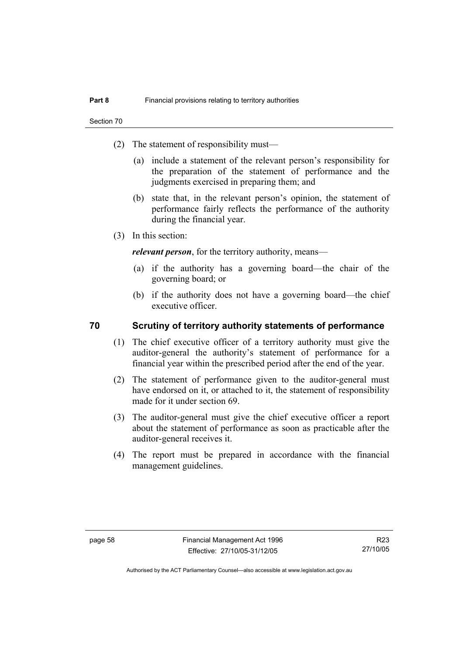- (2) The statement of responsibility must—
	- (a) include a statement of the relevant person's responsibility for the preparation of the statement of performance and the judgments exercised in preparing them; and
	- (b) state that, in the relevant person's opinion, the statement of performance fairly reflects the performance of the authority during the financial year.
- (3) In this section:

*relevant person*, for the territory authority, means—

- (a) if the authority has a governing board—the chair of the governing board; or
- (b) if the authority does not have a governing board—the chief executive officer.

#### **70 Scrutiny of territory authority statements of performance**

- (1) The chief executive officer of a territory authority must give the auditor-general the authority's statement of performance for a financial year within the prescribed period after the end of the year.
- (2) The statement of performance given to the auditor-general must have endorsed on it, or attached to it, the statement of responsibility made for it under section 69.
- (3) The auditor-general must give the chief executive officer a report about the statement of performance as soon as practicable after the auditor-general receives it.
- (4) The report must be prepared in accordance with the financial management guidelines.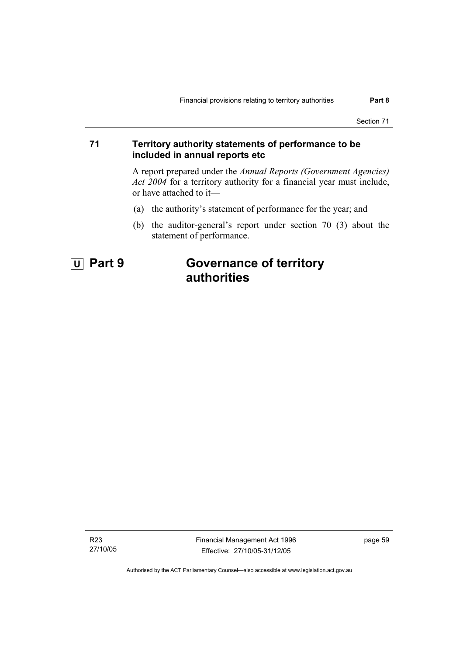#### **71 Territory authority statements of performance to be included in annual reports etc**

A report prepared under the *Annual Reports (Government Agencies) Act 2004* for a territory authority for a financial year must include, or have attached to it—

- (a) the authority's statement of performance for the year; and
- (b) the auditor-general's report under section 70 (3) about the statement of performance.

# **U Part 9 Governance of territory authorities**

R23 27/10/05 Financial Management Act 1996 Effective: 27/10/05-31/12/05

page 59

Authorised by the ACT Parliamentary Counsel—also accessible at www.legislation.act.gov.au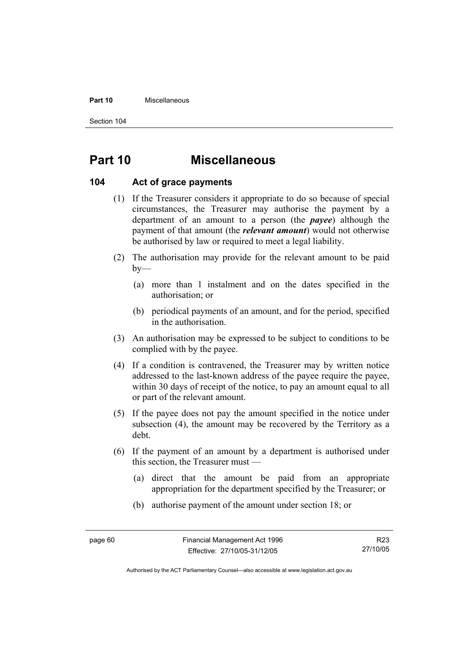#### **Part 10** Miscellaneous

Section 104

# **Part 10 Miscellaneous**

#### **104 Act of grace payments**

- (1) If the Treasurer considers it appropriate to do so because of special circumstances, the Treasurer may authorise the payment by a department of an amount to a person (the *payee*) although the payment of that amount (the *relevant amount*) would not otherwise be authorised by law or required to meet a legal liability.
- (2) The authorisation may provide for the relevant amount to be paid  $by-$ 
	- (a) more than 1 instalment and on the dates specified in the authorisation; or
	- (b) periodical payments of an amount, and for the period, specified in the authorisation.
- (3) An authorisation may be expressed to be subject to conditions to be complied with by the payee.
- (4) If a condition is contravened, the Treasurer may by written notice addressed to the last-known address of the payee require the payee, within 30 days of receipt of the notice, to pay an amount equal to all or part of the relevant amount.
- (5) If the payee does not pay the amount specified in the notice under subsection (4), the amount may be recovered by the Territory as a debt.
- (6) If the payment of an amount by a department is authorised under this section, the Treasurer must —
	- (a) direct that the amount be paid from an appropriate appropriation for the department specified by the Treasurer; or
	- (b) authorise payment of the amount under section 18; or

Authorised by the ACT Parliamentary Counsel—also accessible at www.legislation.act.gov.au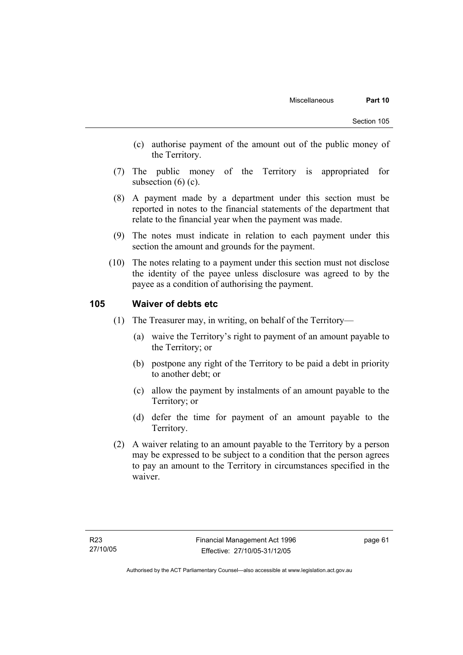- (c) authorise payment of the amount out of the public money of the Territory.
- (7) The public money of the Territory is appropriated for subsection  $(6)$   $(c)$ .
- (8) A payment made by a department under this section must be reported in notes to the financial statements of the department that relate to the financial year when the payment was made.
- (9) The notes must indicate in relation to each payment under this section the amount and grounds for the payment.
- (10) The notes relating to a payment under this section must not disclose the identity of the payee unless disclosure was agreed to by the payee as a condition of authorising the payment.

#### **105 Waiver of debts etc**

- (1) The Treasurer may, in writing, on behalf of the Territory—
	- (a) waive the Territory's right to payment of an amount payable to the Territory; or
	- (b) postpone any right of the Territory to be paid a debt in priority to another debt; or
	- (c) allow the payment by instalments of an amount payable to the Territory; or
	- (d) defer the time for payment of an amount payable to the Territory.
- (2) A waiver relating to an amount payable to the Territory by a person may be expressed to be subject to a condition that the person agrees to pay an amount to the Territory in circumstances specified in the waiver.

page 61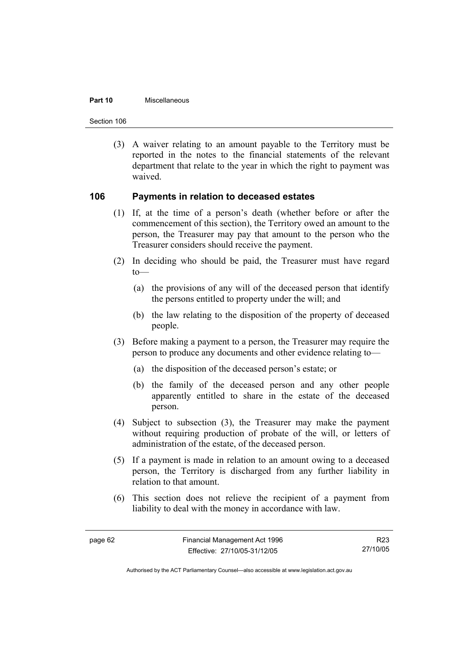#### **Part 10** Miscellaneous

Section 106

 (3) A waiver relating to an amount payable to the Territory must be reported in the notes to the financial statements of the relevant department that relate to the year in which the right to payment was waived.

#### **106 Payments in relation to deceased estates**

- (1) If, at the time of a person's death (whether before or after the commencement of this section), the Territory owed an amount to the person, the Treasurer may pay that amount to the person who the Treasurer considers should receive the payment.
- (2) In deciding who should be paid, the Treasurer must have regard  $to$ —
	- (a) the provisions of any will of the deceased person that identify the persons entitled to property under the will; and
	- (b) the law relating to the disposition of the property of deceased people.
- (3) Before making a payment to a person, the Treasurer may require the person to produce any documents and other evidence relating to—
	- (a) the disposition of the deceased person's estate; or
	- (b) the family of the deceased person and any other people apparently entitled to share in the estate of the deceased person.
- (4) Subject to subsection (3), the Treasurer may make the payment without requiring production of probate of the will, or letters of administration of the estate, of the deceased person.
- (5) If a payment is made in relation to an amount owing to a deceased person, the Territory is discharged from any further liability in relation to that amount.
- (6) This section does not relieve the recipient of a payment from liability to deal with the money in accordance with law.

Authorised by the ACT Parliamentary Counsel—also accessible at www.legislation.act.gov.au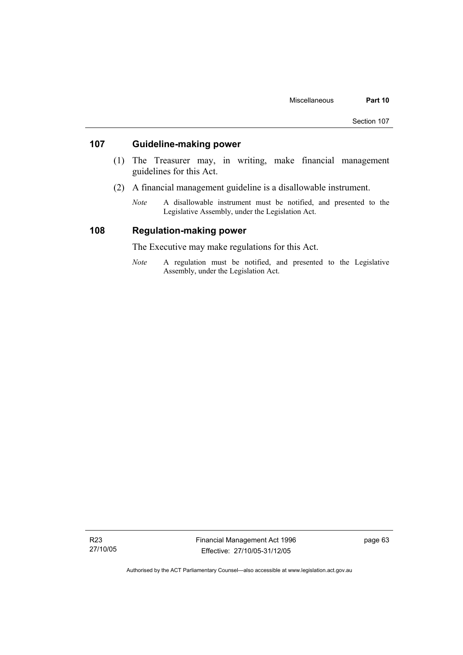#### **107 Guideline-making power**

- (1) The Treasurer may, in writing, make financial management guidelines for this Act.
- (2) A financial management guideline is a disallowable instrument.
	- *Note* A disallowable instrument must be notified, and presented to the Legislative Assembly, under the Legislation Act.

#### **108 Regulation-making power**

The Executive may make regulations for this Act.

*Note* A regulation must be notified, and presented to the Legislative Assembly, under the Legislation Act.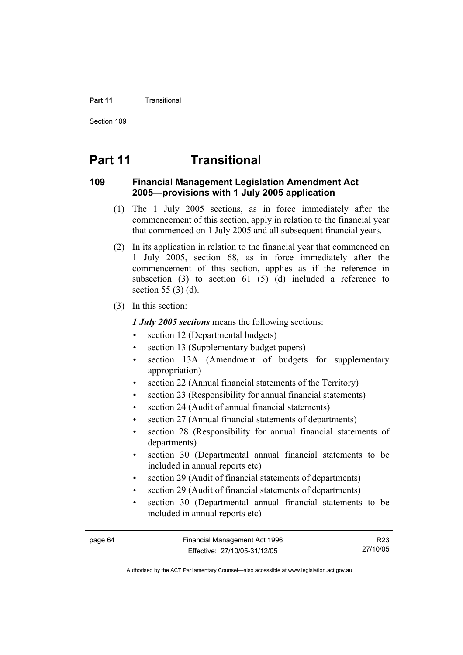#### **Part 11 Transitional**

Section 109

# **Part 11 Transitional**

#### **109 Financial Management Legislation Amendment Act 2005—provisions with 1 July 2005 application**

- (1) The 1 July 2005 sections, as in force immediately after the commencement of this section, apply in relation to the financial year that commenced on 1 July 2005 and all subsequent financial years.
- (2) In its application in relation to the financial year that commenced on 1 July 2005, section 68, as in force immediately after the commencement of this section, applies as if the reference in subsection  $(3)$  to section  $61$   $(5)$   $(d)$  included a reference to section 55 (3) (d).
- (3) In this section:

*1 July 2005 sections* means the following sections:

- section 12 (Departmental budgets)
- section 13 (Supplementary budget papers)
- section 13A (Amendment of budgets for supplementary appropriation)
- section 22 (Annual financial statements of the Territory)
- section 23 (Responsibility for annual financial statements)
- section 24 (Audit of annual financial statements)
- section 27 (Annual financial statements of departments)
- section 28 (Responsibility for annual financial statements of departments)
- section 30 (Departmental annual financial statements to be included in annual reports etc)
- section 29 (Audit of financial statements of departments)
- section 29 (Audit of financial statements of departments)
- section 30 (Departmental annual financial statements to be included in annual reports etc)

R23 27/10/05

Authorised by the ACT Parliamentary Counsel—also accessible at www.legislation.act.gov.au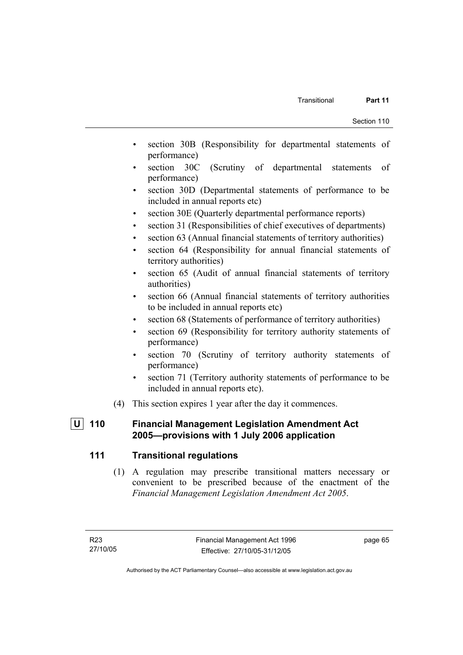- section 30B (Responsibility for departmental statements of performance)
- section 30C (Scrutiny of departmental statements of performance)
- section 30D (Departmental statements of performance to be included in annual reports etc)
- section 30E (Quarterly departmental performance reports)
- section 31 (Responsibilities of chief executives of departments)
- section 63 (Annual financial statements of territory authorities)
- section 64 (Responsibility for annual financial statements of territory authorities)
- section 65 (Audit of annual financial statements of territory authorities)
- section 66 (Annual financial statements of territory authorities to be included in annual reports etc)
- section 68 (Statements of performance of territory authorities)
- section 69 (Responsibility for territory authority statements of performance)
- section 70 (Scrutiny of territory authority statements of performance)
- section 71 (Territory authority statements of performance to be included in annual reports etc).
- (4) This section expires 1 year after the day it commences.

# **U 110 Financial Management Legislation Amendment Act 2005—provisions with 1 July 2006 application**

# **111 Transitional regulations**

 (1) A regulation may prescribe transitional matters necessary or convenient to be prescribed because of the enactment of the *Financial Management Legislation Amendment Act 2005*.

page 65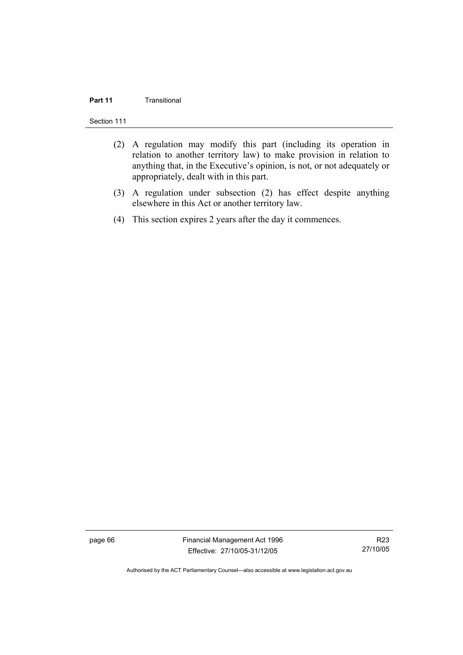# **Part 11** Transitional

Section 111

- (2) A regulation may modify this part (including its operation in relation to another territory law) to make provision in relation to anything that, in the Executive's opinion, is not, or not adequately or appropriately, dealt with in this part.
- (3) A regulation under subsection (2) has effect despite anything elsewhere in this Act or another territory law.
- (4) This section expires 2 years after the day it commences.

page 66 Financial Management Act 1996 Effective: 27/10/05-31/12/05

R23 27/10/05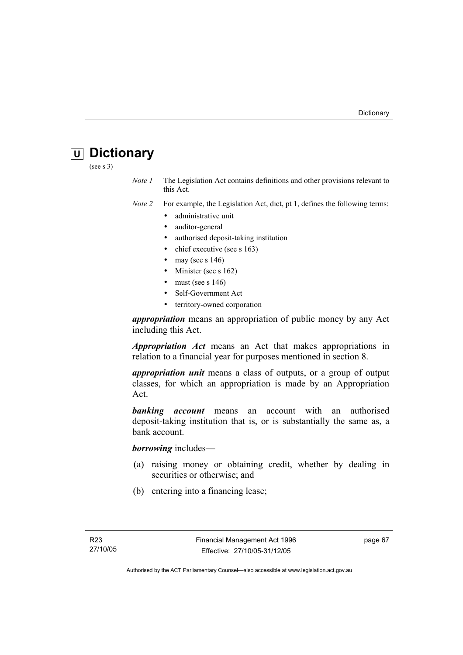# **U Dictionary**

(see s 3)

*Note 1* The Legislation Act contains definitions and other provisions relevant to this Act.

*Note 2* For example, the Legislation Act, dict, pt 1, defines the following terms:

- administrative unit
- auditor-general
- authorised deposit-taking institution
- chief executive (see s 163)
- may (see s  $146$ )
- Minister (see s 162)
- must (see s  $146$ )
- Self-Government Act
- territory-owned corporation

*appropriation* means an appropriation of public money by any Act including this Act.

*Appropriation Act* means an Act that makes appropriations in relation to a financial year for purposes mentioned in section 8.

*appropriation unit* means a class of outputs, or a group of output classes, for which an appropriation is made by an Appropriation Act.

*banking account* means an account with an authorised deposit-taking institution that is, or is substantially the same as, a bank account.

*borrowing* includes—

- (a) raising money or obtaining credit, whether by dealing in securities or otherwise; and
- (b) entering into a financing lease;

page 67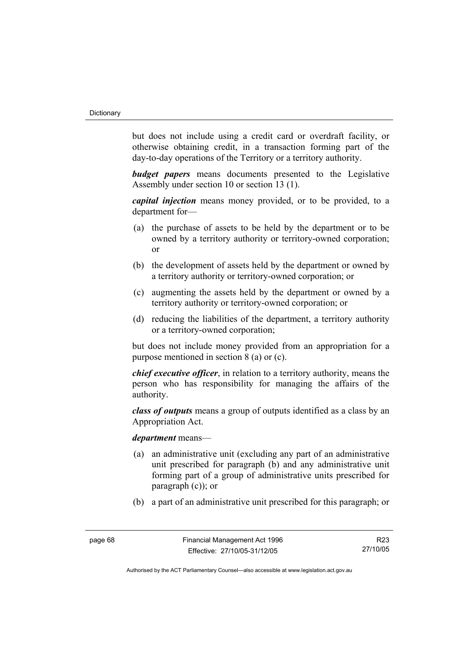but does not include using a credit card or overdraft facility, or otherwise obtaining credit, in a transaction forming part of the day-to-day operations of the Territory or a territory authority.

*budget papers* means documents presented to the Legislative Assembly under section 10 or section 13 (1).

*capital injection* means money provided, or to be provided, to a department for—

- (a) the purchase of assets to be held by the department or to be owned by a territory authority or territory-owned corporation; or
- (b) the development of assets held by the department or owned by a territory authority or territory-owned corporation; or
- (c) augmenting the assets held by the department or owned by a territory authority or territory-owned corporation; or
- (d) reducing the liabilities of the department, a territory authority or a territory-owned corporation;

but does not include money provided from an appropriation for a purpose mentioned in section 8 (a) or (c).

*chief executive officer*, in relation to a territory authority, means the person who has responsibility for managing the affairs of the authority.

*class of outputs* means a group of outputs identified as a class by an Appropriation Act.

### *department* means—

- (a) an administrative unit (excluding any part of an administrative unit prescribed for paragraph (b) and any administrative unit forming part of a group of administrative units prescribed for paragraph (c)); or
- (b) a part of an administrative unit prescribed for this paragraph; or

R23 27/10/05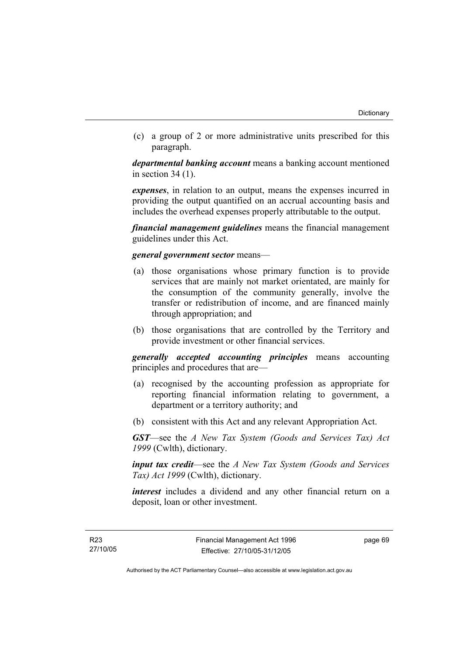(c) a group of 2 or more administrative units prescribed for this paragraph.

*departmental banking account* means a banking account mentioned in section 34 (1).

*expenses*, in relation to an output, means the expenses incurred in providing the output quantified on an accrual accounting basis and includes the overhead expenses properly attributable to the output.

*financial management guidelines* means the financial management guidelines under this Act.

### *general government sector* means—

- (a) those organisations whose primary function is to provide services that are mainly not market orientated, are mainly for the consumption of the community generally, involve the transfer or redistribution of income, and are financed mainly through appropriation; and
- (b) those organisations that are controlled by the Territory and provide investment or other financial services.

*generally accepted accounting principles* means accounting principles and procedures that are—

- (a) recognised by the accounting profession as appropriate for reporting financial information relating to government, a department or a territory authority; and
- (b) consistent with this Act and any relevant Appropriation Act.

*GST*—see the *A New Tax System (Goods and Services Tax) Act 1999* (Cwlth), dictionary.

*input tax credit*—see the *A New Tax System (Goods and Services Tax) Act 1999* (Cwlth), dictionary.

*interest* includes a dividend and any other financial return on a deposit, loan or other investment.

page 69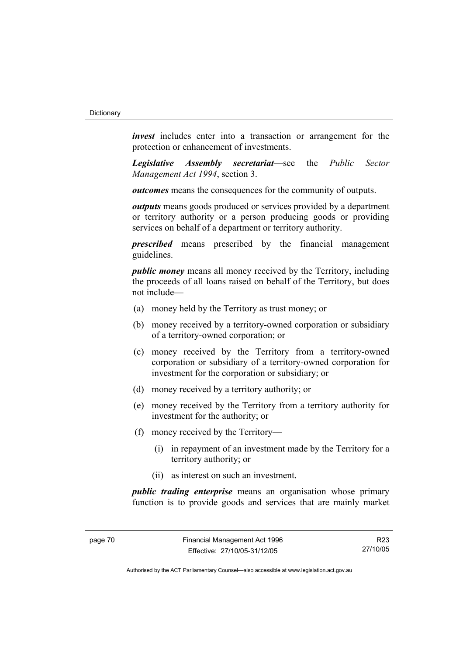*invest* includes enter into a transaction or arrangement for the protection or enhancement of investments.

*Legislative Assembly secretariat*—see the *Public Sector Management Act 1994*, section 3.

*outcomes* means the consequences for the community of outputs.

*outputs* means goods produced or services provided by a department or territory authority or a person producing goods or providing services on behalf of a department or territory authority.

*prescribed* means prescribed by the financial management guidelines.

*public money* means all money received by the Territory, including the proceeds of all loans raised on behalf of the Territory, but does not include—

- (a) money held by the Territory as trust money; or
- (b) money received by a territory-owned corporation or subsidiary of a territory-owned corporation; or
- (c) money received by the Territory from a territory-owned corporation or subsidiary of a territory-owned corporation for investment for the corporation or subsidiary; or
- (d) money received by a territory authority; or
- (e) money received by the Territory from a territory authority for investment for the authority; or
- (f) money received by the Territory—
	- (i) in repayment of an investment made by the Territory for a territory authority; or
	- (ii) as interest on such an investment.

*public trading enterprise* means an organisation whose primary function is to provide goods and services that are mainly market

R23 27/10/05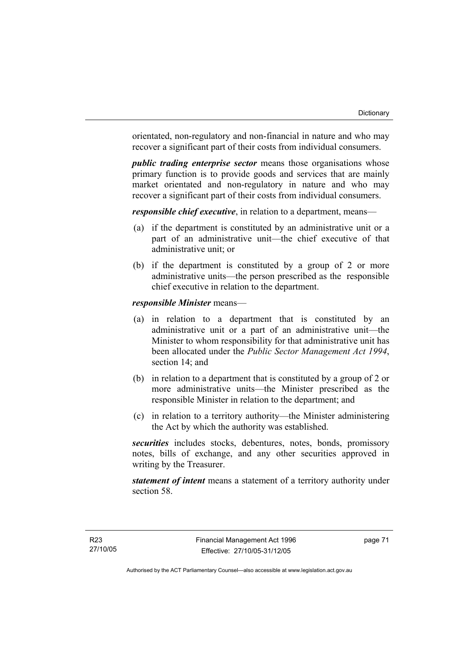orientated, non-regulatory and non-financial in nature and who may recover a significant part of their costs from individual consumers.

*public trading enterprise sector* means those organisations whose primary function is to provide goods and services that are mainly market orientated and non-regulatory in nature and who may recover a significant part of their costs from individual consumers.

*responsible chief executive*, in relation to a department, means—

- (a) if the department is constituted by an administrative unit or a part of an administrative unit—the chief executive of that administrative unit; or
- (b) if the department is constituted by a group of 2 or more administrative units—the person prescribed as the responsible chief executive in relation to the department.

### *responsible Minister* means—

- (a) in relation to a department that is constituted by an administrative unit or a part of an administrative unit—the Minister to whom responsibility for that administrative unit has been allocated under the *Public Sector Management Act 1994*, section 14; and
- (b) in relation to a department that is constituted by a group of 2 or more administrative units—the Minister prescribed as the responsible Minister in relation to the department; and
- (c) in relation to a territory authority—the Minister administering the Act by which the authority was established.

*securities* includes stocks, debentures, notes, bonds, promissory notes, bills of exchange, and any other securities approved in writing by the Treasurer.

*statement of intent* means a statement of a territory authority under section 58.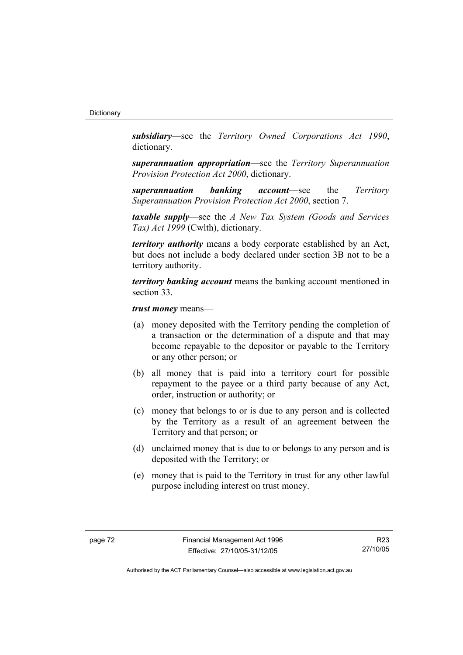*subsidiary*—see the *Territory Owned Corporations Act 1990*, dictionary.

*superannuation appropriation*—see the *Territory Superannuation Provision Protection Act 2000*, dictionary.

*superannuation banking account*—see the *Territory Superannuation Provision Protection Act 2000*, section 7.

*taxable supply*—see the *A New Tax System (Goods and Services Tax) Act 1999* (Cwlth), dictionary.

*territory authority* means a body corporate established by an Act, but does not include a body declared under section 3B not to be a territory authority.

*territory banking account* means the banking account mentioned in section 33.

*trust money* means—

- (a) money deposited with the Territory pending the completion of a transaction or the determination of a dispute and that may become repayable to the depositor or payable to the Territory or any other person; or
- (b) all money that is paid into a territory court for possible repayment to the payee or a third party because of any Act, order, instruction or authority; or
- (c) money that belongs to or is due to any person and is collected by the Territory as a result of an agreement between the Territory and that person; or
- (d) unclaimed money that is due to or belongs to any person and is deposited with the Territory; or
- (e) money that is paid to the Territory in trust for any other lawful purpose including interest on trust money.

R23 27/10/05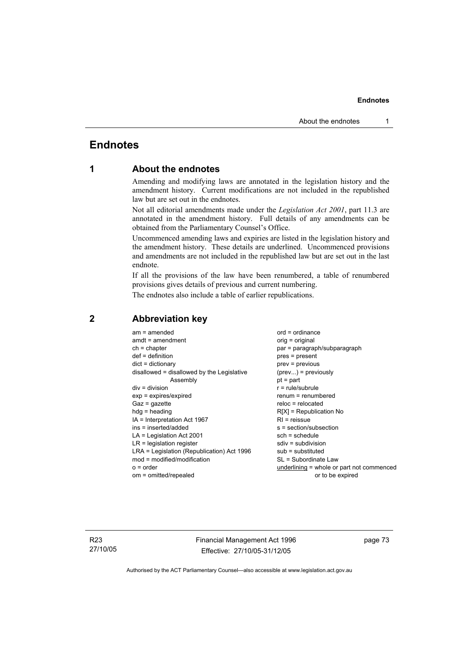# **Endnotes**

# **1 About the endnotes**

Amending and modifying laws are annotated in the legislation history and the amendment history. Current modifications are not included in the republished law but are set out in the endnotes.

Not all editorial amendments made under the *Legislation Act 2001*, part 11.3 are annotated in the amendment history. Full details of any amendments can be obtained from the Parliamentary Counsel's Office.

Uncommenced amending laws and expiries are listed in the legislation history and the amendment history. These details are underlined. Uncommenced provisions and amendments are not included in the republished law but are set out in the last endnote.

If all the provisions of the law have been renumbered, a table of renumbered provisions gives details of previous and current numbering.

The endnotes also include a table of earlier republications.

| $am = amended$<br>$amdt = amendment$<br>$ch = chapter$<br>$def = definition$<br>$dict = dictionary$<br>disallowed = disallowed by the Legislative<br>Assembly<br>$div = division$<br>$exp = expires/expired$<br>$Gaz = gazette$<br>$hda =$ heading<br>$IA = Interpretation Act 1967$<br>ins = inserted/added<br>$LA =$ Legislation Act 2001<br>$LR =$ legislation register<br>LRA = Legislation (Republication) Act 1996<br>$mod = modified/modification$ | $ord = ordinance$<br>orig = original<br>par = paragraph/subparagraph<br>$pres = present$<br>$prev = previous$<br>$(\text{prev}) = \text{previously}$<br>$pt = part$<br>$r = rule/subrule$<br>renum = renumbered<br>$reloc = relocated$<br>$R[X]$ = Republication No<br>$RI = reissue$<br>s = section/subsection<br>$sch = schedule$<br>$sdiv = subdivision$<br>$sub =$ substituted<br>SL = Subordinate Law |
|-----------------------------------------------------------------------------------------------------------------------------------------------------------------------------------------------------------------------------------------------------------------------------------------------------------------------------------------------------------------------------------------------------------------------------------------------------------|------------------------------------------------------------------------------------------------------------------------------------------------------------------------------------------------------------------------------------------------------------------------------------------------------------------------------------------------------------------------------------------------------------|
| $o = order$                                                                                                                                                                                                                                                                                                                                                                                                                                               | underlining = whole or part not commenced                                                                                                                                                                                                                                                                                                                                                                  |
| om = omitted/repealed                                                                                                                                                                                                                                                                                                                                                                                                                                     | or to be expired                                                                                                                                                                                                                                                                                                                                                                                           |

# **2 Abbreviation key**

R23 27/10/05 Financial Management Act 1996 Effective: 27/10/05-31/12/05

page 73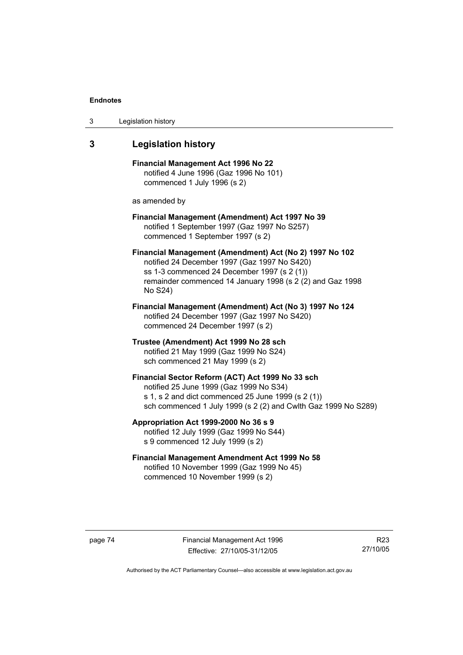| 3 | Legislation history |  |
|---|---------------------|--|
|---|---------------------|--|

# **3 Legislation history**

**Financial Management Act 1996 No 22**  notified 4 June 1996 (Gaz 1996 No 101) commenced 1 July 1996 (s 2)

as amended by

### **Financial Management (Amendment) Act 1997 No 39**  notified 1 September 1997 (Gaz 1997 No S257) commenced 1 September 1997 (s 2)

**Financial Management (Amendment) Act (No 2) 1997 No 102**  notified 24 December 1997 (Gaz 1997 No S420) ss 1-3 commenced 24 December 1997 (s 2 (1)) remainder commenced 14 January 1998 (s 2 (2) and Gaz 1998 No S24)

**Financial Management (Amendment) Act (No 3) 1997 No 124**  notified 24 December 1997 (Gaz 1997 No S420) commenced 24 December 1997 (s 2)

**Trustee (Amendment) Act 1999 No 28 sch**  notified 21 May 1999 (Gaz 1999 No S24) sch commenced 21 May 1999 (s 2)

### **Financial Sector Reform (ACT) Act 1999 No 33 sch**  notified 25 June 1999 (Gaz 1999 No S34) s 1, s 2 and dict commenced 25 June 1999 (s 2 (1)) sch commenced 1 July 1999 (s 2 (2) and Cwlth Gaz 1999 No S289)

**Appropriation Act 1999-2000 No 36 s 9**  notified 12 July 1999 (Gaz 1999 No S44) s 9 commenced 12 July 1999 (s 2)

### **Financial Management Amendment Act 1999 No 58**  notified 10 November 1999 (Gaz 1999 No 45) commenced 10 November 1999 (s 2)

page 74 Financial Management Act 1996 Effective: 27/10/05-31/12/05

R23 27/10/05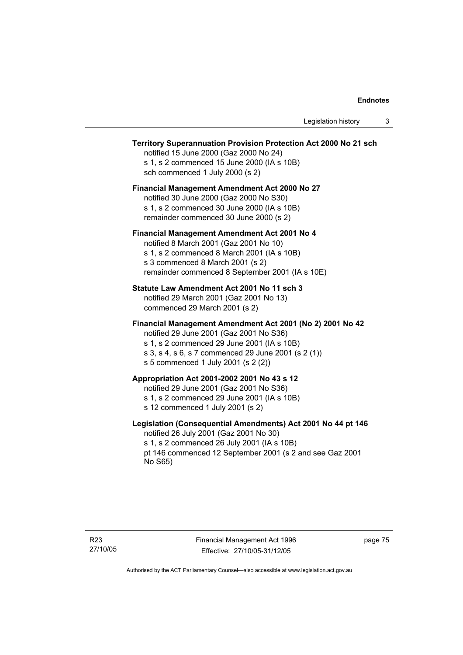### **Territory Superannuation Provision Protection Act 2000 No 21 sch**

notified 15 June 2000 (Gaz 2000 No 24) s 1, s 2 commenced 15 June 2000 (IA s 10B) sch commenced 1 July 2000 (s 2)

### **Financial Management Amendment Act 2000 No 27**

notified 30 June 2000 (Gaz 2000 No S30) s 1, s 2 commenced 30 June 2000 (IA s 10B) remainder commenced 30 June 2000 (s 2)

#### **Financial Management Amendment Act 2001 No 4**

notified 8 March 2001 (Gaz 2001 No 10) s 1, s 2 commenced 8 March 2001 (IA s 10B) s 3 commenced 8 March 2001 (s 2) remainder commenced 8 September 2001 (IA s 10E)

#### **Statute Law Amendment Act 2001 No 11 sch 3**

notified 29 March 2001 (Gaz 2001 No 13) commenced 29 March 2001 (s 2)

### **Financial Management Amendment Act 2001 (No 2) 2001 No 42**

notified 29 June 2001 (Gaz 2001 No S36)

- s 1, s 2 commenced 29 June 2001 (IA s 10B)
- s 3, s 4, s 6, s 7 commenced 29 June 2001 (s 2 (1))
- s 5 commenced 1 July 2001 (s 2 (2))

### **Appropriation Act 2001-2002 2001 No 43 s 12**

notified 29 June 2001 (Gaz 2001 No S36)

- s 1, s 2 commenced 29 June 2001 (IA s 10B)
- s 12 commenced 1 July 2001 (s 2)

### **Legislation (Consequential Amendments) Act 2001 No 44 pt 146**

notified 26 July 2001 (Gaz 2001 No 30) s 1, s 2 commenced 26 July 2001 (IA s 10B) pt 146 commenced 12 September 2001 (s 2 and see Gaz 2001 No S65)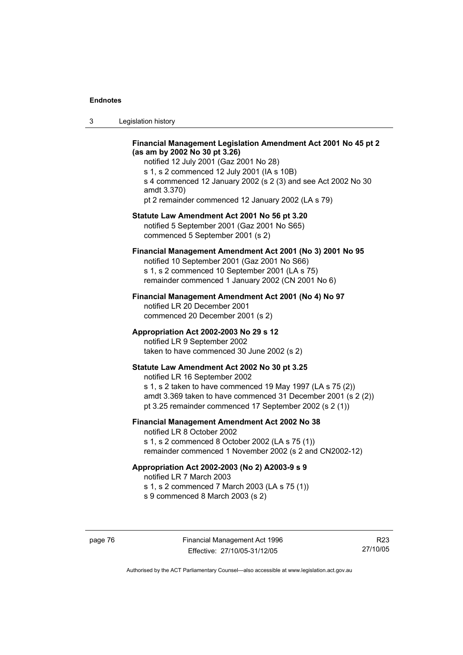| Legislation history<br>-3 |  |
|---------------------------|--|
|---------------------------|--|

### **Financial Management Legislation Amendment Act 2001 No 45 pt 2 (as am by 2002 No 30 pt 3.26)**

notified 12 July 2001 (Gaz 2001 No 28) s 1, s 2 commenced 12 July 2001 (IA s 10B) s 4 commenced 12 January 2002 (s 2 (3) and see Act 2002 No 30 amdt 3.370) pt 2 remainder commenced 12 January 2002 (LA s 79)

#### **Statute Law Amendment Act 2001 No 56 pt 3.20**

notified 5 September 2001 (Gaz 2001 No S65) commenced 5 September 2001 (s 2)

### **Financial Management Amendment Act 2001 (No 3) 2001 No 95**

notified 10 September 2001 (Gaz 2001 No S66) s 1, s 2 commenced 10 September 2001 (LA s 75) remainder commenced 1 January 2002 (CN 2001 No 6)

#### **Financial Management Amendment Act 2001 (No 4) No 97**

notified LR 20 December 2001 commenced 20 December 2001 (s 2)

#### **Appropriation Act 2002-2003 No 29 s 12**

notified LR 9 September 2002 taken to have commenced 30 June 2002 (s 2)

### **Statute Law Amendment Act 2002 No 30 pt 3.25**

notified LR 16 September 2002 s 1, s 2 taken to have commenced 19 May 1997 (LA s 75 (2)) amdt 3.369 taken to have commenced 31 December 2001 (s 2 (2)) pt 3.25 remainder commenced 17 September 2002 (s 2 (1))

### **Financial Management Amendment Act 2002 No 38**

notified LR 8 October 2002 s 1, s 2 commenced 8 October 2002 (LA s 75 (1)) remainder commenced 1 November 2002 (s 2 and CN2002-12)

#### **Appropriation Act 2002-2003 (No 2) A2003-9 s 9**

notified LR 7 March 2003

s 1, s 2 commenced 7 March 2003 (LA s 75 (1))

s 9 commenced 8 March 2003 (s 2)

R23 27/10/05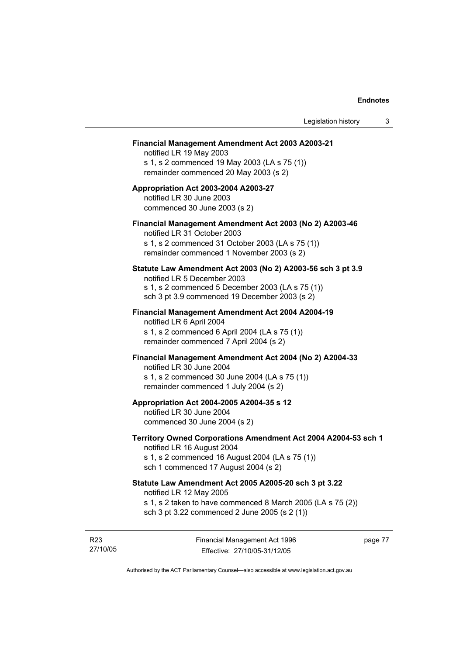#### **Financial Management Amendment Act 2003 A2003-21**

notified LR 19 May 2003 s 1, s 2 commenced 19 May 2003 (LA s 75 (1)) remainder commenced 20 May 2003 (s 2)

### **Appropriation Act 2003-2004 A2003-27**  notified LR 30 June 2003 commenced 30 June 2003 (s 2)

### **Financial Management Amendment Act 2003 (No 2) A2003-46**

notified LR 31 October 2003 s 1, s 2 commenced 31 October 2003 (LA s 75 (1)) remainder commenced 1 November 2003 (s 2)

#### **Statute Law Amendment Act 2003 (No 2) A2003-56 sch 3 pt 3.9**

notified LR 5 December 2003 s 1, s 2 commenced 5 December 2003 (LA s 75 (1)) sch 3 pt 3.9 commenced 19 December 2003 (s 2)

# **Financial Management Amendment Act 2004 A2004-19**  notified LR 6 April 2004

s 1, s 2 commenced 6 April 2004 (LA s 75 (1)) remainder commenced 7 April 2004 (s 2)

#### **Financial Management Amendment Act 2004 (No 2) A2004-33**

notified LR 30 June 2004 s 1, s 2 commenced 30 June 2004 (LA s 75 (1)) remainder commenced 1 July 2004 (s 2)

#### **Appropriation Act 2004-2005 A2004-35 s 12**

notified LR 30 June 2004 commenced 30 June 2004 (s 2)

#### **Territory Owned Corporations Amendment Act 2004 A2004-53 sch 1**  notified LR 16 August 2004

s 1, s 2 commenced 16 August 2004 (LA s 75 (1)) sch 1 commenced 17 August 2004 (s 2)

# **Statute Law Amendment Act 2005 A2005-20 sch 3 pt 3.22**

notified LR 12 May 2005

- s 1, s 2 taken to have commenced 8 March 2005 (LA s 75 (2))
- sch 3 pt 3.22 commenced 2 June 2005 (s 2 (1))

R23 27/10/05 page 77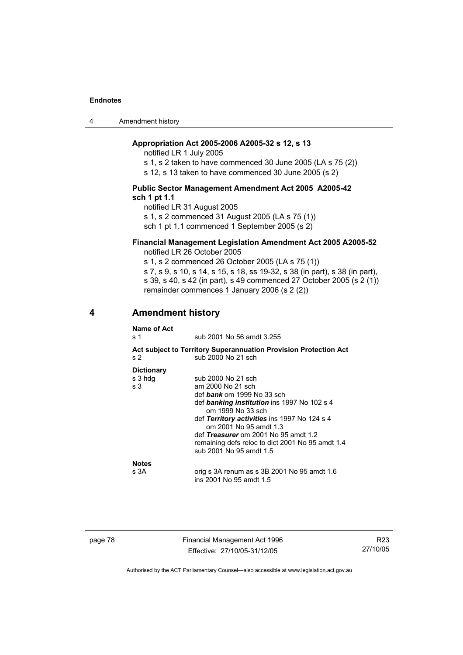4 Amendment history

### **Appropriation Act 2005-2006 A2005-32 s 12, s 13**

notified LR 1 July 2005

s 1, s 2 taken to have commenced 30 June 2005 (LA s 75 (2))

s 12, s 13 taken to have commenced 30 June 2005 (s 2)

#### **Public Sector Management Amendment Act 2005 A2005-42 sch 1 pt 1.1**

notified LR 31 August 2005 s 1, s 2 commenced 31 August 2005 (LA s 75 (1)) sch 1 pt 1.1 commenced 1 September 2005 (s 2)

# **Financial Management Legislation Amendment Act 2005 A2005-52**

notified LR 26 October 2005

s 1, s 2 commenced 26 October 2005 (LA s 75 (1)) s 7, s 9, s 10, s 14, s 15, s 18, ss 19-32, s 38 (in part), s 38 (in part), s 39, s 40, s 42 (in part), s 49 commenced 27 October 2005 (s 2 (1)) remainder commences 1 January 2006 (s 2 (2))

### **4 Amendment history**

| Name of Act<br>s 1                  | sub 2001 No 56 amdt 3.255                                                                                                                                                                                                                                                                                                                         |
|-------------------------------------|---------------------------------------------------------------------------------------------------------------------------------------------------------------------------------------------------------------------------------------------------------------------------------------------------------------------------------------------------|
| s 2                                 | Act subject to Territory Superannuation Provision Protection Act<br>sub 2000 No 21 sch                                                                                                                                                                                                                                                            |
| <b>Dictionary</b><br>s 3 hdg<br>s 3 | sub 2000 No 21 sch<br>am 2000 No 21 sch<br>def <i>bank</i> om 1999 No 33 sch<br>def banking institution ins 1997 No 102 s 4<br>om 1999 No 33 sch<br>def Territory activities ins 1997 No 124 s 4<br>om 2001 No 95 amdt 1.3<br>def Treasurer om 2001 No 95 amdt 1.2<br>remaining defs reloc to dict 2001 No 95 amdt 1.4<br>sub 2001 No 95 amdt 1.5 |
| <b>Notes</b><br>s 3A                | orig s 3A renum as s 3B 2001 No 95 amdt 1.6<br>ins 2001 No 95 amdt 1.5                                                                                                                                                                                                                                                                            |

page 78 Financial Management Act 1996 Effective: 27/10/05-31/12/05

R23 27/10/05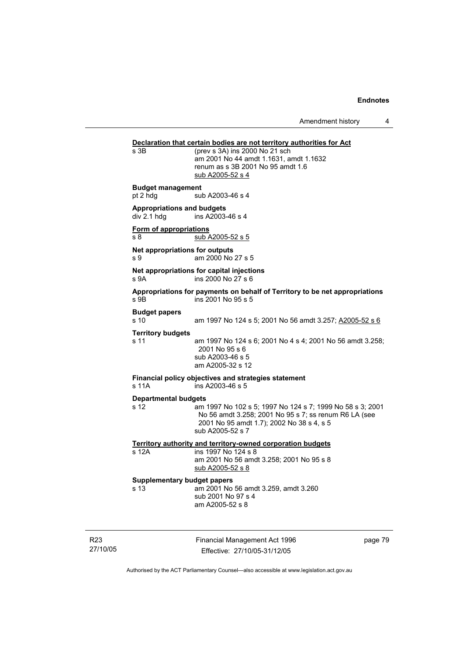Amendment history 4

# **Declaration that certain bodies are not territory authorities for Act**<br>s 3B (prev s 3A) ins 2000 No 21 sch  $(prev s 3A)$  ins 2000 No 21 sch am 2001 No 44 amdt 1.1631, amdt 1.1632 renum as s 3B 2001 No 95 amdt 1.6 sub A2005-52 s 4 **Budget management**  pt 2 hdg sub A2003-46 s 4 **Appropriations and budgets**  ins  $A2003-46$  s 4 **Form of appropriations** s 8 sub A2005-52 s 5 **Net appropriations for outputs** s 9 am 2000 No 27 s 5 **Net appropriations for capital injections** s 9A ins 2000 No 27 s 6 **Appropriations for payments on behalf of Territory to be net appropriations**  s 9B ins 2001 No 95 s 5 **Budget papers**  s 10 am 1997 No 124 s 5; 2001 No 56 amdt 3.257; A2005-52 s 6 **Territory budgets**  s 11 am 1997 No 124 s 6; 2001 No 4 s 4; 2001 No 56 amdt 3.258; 2001 No 95 s 6 sub A2003-46 s 5 am A2005-32 s 12 **Financial policy objectives and strategies statement**  s 11A ins A2003-46 s 5 **Departmental budgets** s 12 am 1997 No 102 s 5; 1997 No 124 s 7; 1999 No 58 s 3; 2001 No 56 amdt 3.258; 2001 No 95 s 7; ss renum R6 LA (see 2001 No 95 amdt 1.7); 2002 No 38 s 4, s 5 sub A2005-52 s 7 **Territory authority and territory-owned corporation budgets** s 12A ins 1997 No 124 s 8 am 2001 No 56 amdt 3.258; 2001 No 95 s 8 sub A2005-52 s 8 **Supplementary budget papers**  s 13 am 2001 No 56 amdt 3.259, amdt 3.260 sub 2001 No 97 s 4 am A2005-52 s 8

R23 27/10/05 Financial Management Act 1996 Effective: 27/10/05-31/12/05

page 79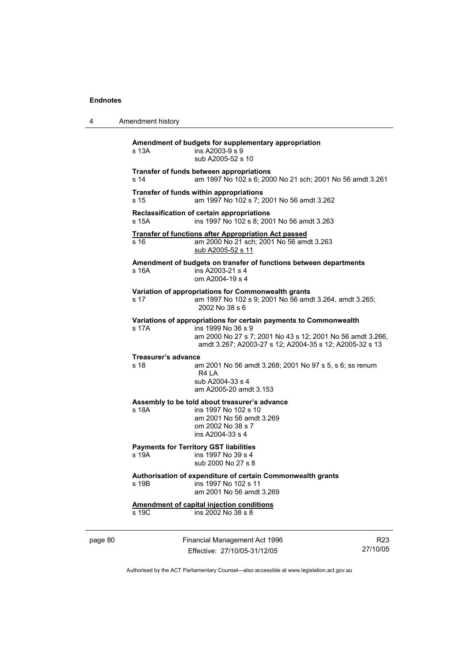| 4 | Amendment history                                                                                                                                                                                                         |
|---|---------------------------------------------------------------------------------------------------------------------------------------------------------------------------------------------------------------------------|
|   | Amendment of budgets for supplementary appropriation<br>s 13A<br>ins A2003-9 s 9<br>sub A2005-52 s 10                                                                                                                     |
|   | <b>Transfer of funds between appropriations</b><br>s 14<br>am 1997 No 102 s 6; 2000 No 21 sch; 2001 No 56 amdt 3.261                                                                                                      |
|   | Transfer of funds within appropriations<br>s 15<br>am 1997 No 102 s 7; 2001 No 56 amdt 3.262                                                                                                                              |
|   | Reclassification of certain appropriations<br>s 15A<br>ins 1997 No 102 s 8; 2001 No 56 amdt 3.263                                                                                                                         |
|   | <b>Transfer of functions after Appropriation Act passed</b><br>am 2000 No 21 sch; 2001 No 56 amdt 3.263<br>s 16<br>sub A2005-52 s 11                                                                                      |
|   | Amendment of budgets on transfer of functions between departments<br>s <sub>16A</sub><br>ins A2003-21 s 4<br>om A2004-19 s 4                                                                                              |
|   | Variation of appropriations for Commonwealth grants<br>am 1997 No 102 s 9; 2001 No 56 amdt 3.264, amdt 3.265;<br>s 17<br>2002 No 38 s 6                                                                                   |
|   | Variations of appropriations for certain payments to Commonwealth<br>s 17A<br>ins 1999 No 36 s 9<br>am 2000 No 27 s 7; 2001 No 43 s 12; 2001 No 56 amdt 3.266,<br>amdt 3.267; A2003-27 s 12; A2004-35 s 12; A2005-32 s 13 |
|   | Treasurer's advance<br>s 18<br>am 2001 No 56 amdt 3.268; 2001 No 97 s 5, s 6; ss renum<br>R4 LA<br>sub A2004-33 s 4<br>am A2005-20 amdt 3.153                                                                             |
|   | Assembly to be told about treasurer's advance<br>s 18A<br>ins 1997 No 102 s 10<br>am 2001 No 56 amdt 3.269<br>om 2002 No 38 s 7<br>ins A2004-33 s 4                                                                       |
|   | <b>Payments for Territory GST liabilities</b><br>s 19A<br>ins 1997 No 39 s 4<br>sub 2000 No 27 s 8                                                                                                                        |
|   | Authorisation of expenditure of certain Commonwealth grants<br>s 19B<br>ins 1997 No 102 s 11<br>am 2001 No 56 amdt 3.269                                                                                                  |
|   | <b>Amendment of capital injection conditions</b><br>s 19C<br>ins 2002 No 38 s 8                                                                                                                                           |

page 80 Financial Management Act 1996 Effective: 27/10/05-31/12/05

R23 27/10/05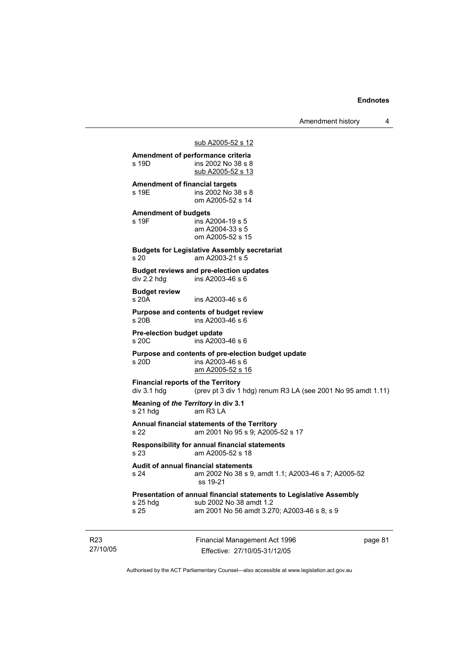Amendment history 4

#### sub A2005-52 s 12

Financial Management Act 1996 **Amendment of performance criteria**  s 19D ins 2002 No 38 s 8 sub A2005-52 s 13 **Amendment of financial targets**  ins 2002 No 38 s 8 om A2005-52 s 14 **Amendment of budgets**  s 19F ins A2004-19 s 5 am A2004-33 s 5 om A2005-52 s 15 **Budgets for Legislative Assembly secretariat**  s 20 am A2003-21 s 5 **Budget reviews and pre-election updates**   $div 2.2$  hdg ins A2003-46 s 6 **Budget review**  s 20A ins A2003-46 s 6 **Purpose and contents of budget review**  s 20B ins A2003-46 s 6 **Pre-election budget update**  s 20C ins A2003-46 s 6 **Purpose and contents of pre-election budget update**  s 20D ins A2003-46 s 6 am A2005-52 s 16 **Financial reports of the Territory**  div 3.1 hdg (prev pt 3 div 1 hdg) renum R3 LA (see 2001 No 95 amdt 1.11) **Meaning of** *the Territory* **in div 3.1**  s 21 hdg am R3 LA **Annual financial statements of the Territory**  s 22 am 2001 No 95 s 9; A2005-52 s 17 **Responsibility for annual financial statements**  s 23 am A2005-52 s 18 **Audit of annual financial statements**  s 24 am 2002 No 38 s 9, amdt 1.1; A2003-46 s 7; A2005-52 ss 19-21 **Presentation of annual financial statements to Legislative Assembly**  s 25 hdg sub 2002 No 38 amdt 1.2 s 25 am 2001 No 56 amdt 3.270; A2003-46 s 8, s 9

R23 27/10/05

Effective: 27/10/05-31/12/05

page 81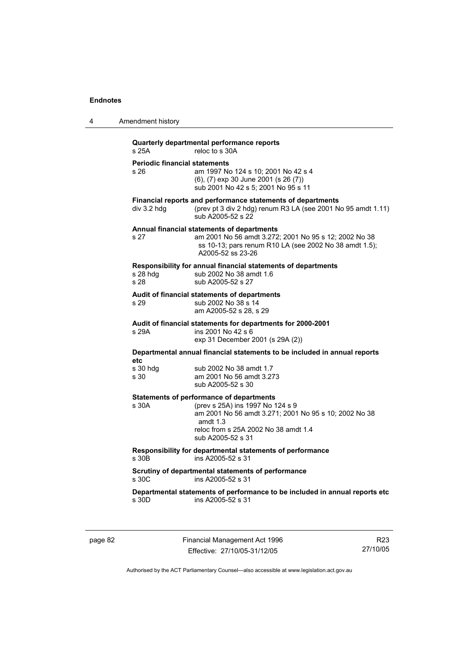| 4 | Amendment history                                                                                                                                                                                                                |
|---|----------------------------------------------------------------------------------------------------------------------------------------------------------------------------------------------------------------------------------|
|   | Quarterly departmental performance reports<br>s 25A<br>reloc to s 30A                                                                                                                                                            |
|   | <b>Periodic financial statements</b><br>am 1997 No 124 s 10; 2001 No 42 s 4<br>s 26<br>$(6)$ , $(7)$ exp 30 June 2001 $(s 26 (7))$<br>sub 2001 No 42 s 5; 2001 No 95 s 11                                                        |
|   | Financial reports and performance statements of departments<br>(prev pt 3 div 2 hdg) renum R3 LA (see 2001 No 95 amdt 1.11)<br>div 3.2 hdg<br>sub A2005-52 s 22                                                                  |
|   | Annual financial statements of departments<br>s 27<br>am 2001 No 56 amdt 3.272; 2001 No 95 s 12; 2002 No 38<br>ss 10-13; pars renum R10 LA (see 2002 No 38 amdt 1.5);<br>A2005-52 ss 23-26                                       |
|   | Responsibility for annual financial statements of departments<br>$s$ 28 hdg<br>sub 2002 No 38 amdt 1.6<br>s 28<br>sub A2005-52 s 27                                                                                              |
|   | Audit of financial statements of departments<br>sub 2002 No 38 s 14<br>s 29<br>am A2005-52 s 28, s 29                                                                                                                            |
|   | Audit of financial statements for departments for 2000-2001<br>s 29A<br>ins 2001 No 42 s 6<br>exp 31 December 2001 (s 29A (2))                                                                                                   |
|   | Departmental annual financial statements to be included in annual reports<br>etc                                                                                                                                                 |
|   | s 30 hdg<br>sub 2002 No 38 amdt 1.7<br>s 30<br>am 2001 No 56 amdt 3.273<br>sub A2005-52 s 30                                                                                                                                     |
|   | <b>Statements of performance of departments</b><br>s 30A<br>(prev s 25A) ins 1997 No 124 s 9<br>am 2001 No 56 amdt 3.271; 2001 No 95 s 10; 2002 No 38<br>amdt $1.3$<br>reloc from s 25A 2002 No 38 amdt 1.4<br>sub A2005-52 s 31 |
|   | Responsibility for departmental statements of performance<br>s 30B<br>ins A2005-52 s 31                                                                                                                                          |
|   | Scrutiny of departmental statements of performance<br>ins A2005-52 s 31<br>s 30C                                                                                                                                                 |
|   | Departmental statements of performance to be included in annual reports etc<br>ins A2005-52 s 31<br>s 30D                                                                                                                        |
|   |                                                                                                                                                                                                                                  |

page 82 Financial Management Act 1996 Effective: 27/10/05-31/12/05

R23 27/10/05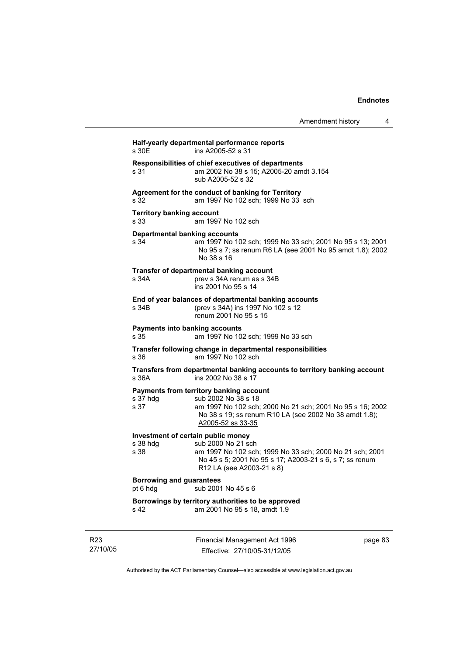| Amendment history |  |
|-------------------|--|
|-------------------|--|

|                                             | ins A2005-52 s 31                                                                                                                                                                                          |
|---------------------------------------------|------------------------------------------------------------------------------------------------------------------------------------------------------------------------------------------------------------|
| s 31                                        | Responsibilities of chief executives of departments<br>am 2002 No 38 s 15; A2005-20 amdt 3.154<br>sub A2005-52 s 32                                                                                        |
| s 32                                        | Agreement for the conduct of banking for Territory<br>am 1997 No 102 sch; 1999 No 33 sch                                                                                                                   |
| <b>Territory banking account</b><br>s 33    | am 1997 No 102 sch                                                                                                                                                                                         |
| s 34                                        | <b>Departmental banking accounts</b><br>am 1997 No 102 sch; 1999 No 33 sch; 2001 No 95 s 13; 2001<br>No 95 s 7; ss renum R6 LA (see 2001 No 95 amdt 1.8); 2002<br>No 38 s 16                               |
| s 34A                                       | Transfer of departmental banking account<br>prev s 34A renum as s 34B<br>ins 2001 No 95 s 14                                                                                                               |
| s 34B                                       | End of year balances of departmental banking accounts<br>(prev s 34A) ins 1997 No 102 s 12<br>renum 2001 No 95 s 15                                                                                        |
| s 35                                        | <b>Payments into banking accounts</b><br>am 1997 No 102 sch; 1999 No 33 sch                                                                                                                                |
| s 36                                        | Transfer following change in departmental responsibilities<br>am 1997 No 102 sch                                                                                                                           |
| s 36A                                       | Transfers from departmental banking accounts to territory banking account<br>ins 2002 No 38 s 17                                                                                                           |
| s 37 hdg<br>s 37                            | Payments from territory banking account<br>sub 2002 No 38 s 18<br>am 1997 No 102 sch; 2000 No 21 sch; 2001 No 95 s 16; 2002<br>No 38 s 19; ss renum R10 LA (see 2002 No 38 amdt 1.8);<br>A2005-52 ss 33-35 |
|                                             | Investment of certain public money                                                                                                                                                                         |
| s 38 hdg<br>s 38                            | sub 2000 No 21 sch<br>am 1997 No 102 sch; 1999 No 33 sch; 2000 No 21 sch; 2001<br>No 45 s 5; 2001 No 95 s 17; A2003-21 s 6, s 7; ss renum<br>R12 LA (see A2003-21 s 8)                                     |
| <b>Borrowing and guarantees</b><br>pt 6 hdg | sub 2001 No 45 s 6                                                                                                                                                                                         |
| s 42                                        | Borrowings by territory authorities to be approved<br>am 2001 No 95 s 18, amdt 1.9                                                                                                                         |

R23 27/10/05 Financial Management Act 1996 Effective: 27/10/05-31/12/05

page 83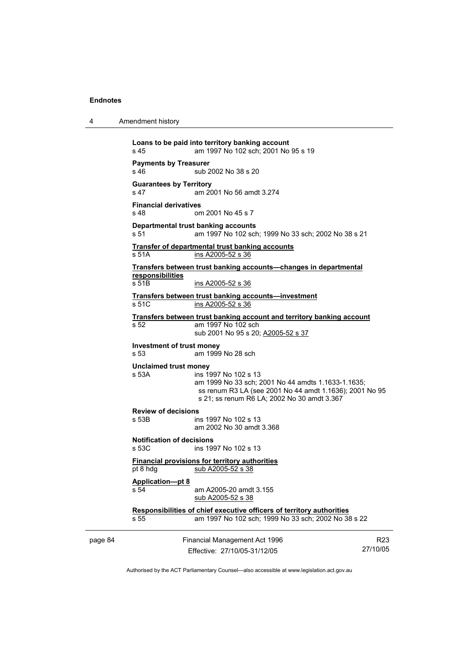4 Amendment history

page 84 Financial Management Act 1996 R23 **Loans to be paid into territory banking account** s 45 am 1997 No 102 sch; 2001 No 95 s 19 **Payments by Treasurer**  s 46 sub 2002 No 38 s 20 **Guarantees by Territory**  s 47 am 2001 No 56 amdt 3.274 **Financial derivatives**  s 48 om 2001 No 45 s 7 **Departmental trust banking accounts** s 51 am 1997 No 102 sch; 1999 No 33 sch; 2002 No 38 s 21 **Transfer of departmental trust banking accounts** s 51A ins A2005-52 s 36 **Transfers between trust banking accounts—changes in departmental responsibilities** s 51B ins A2005-52 s 36 **Transfers between trust banking accounts—investment** s 51C ins A2005-52 s 36 **Transfers between trust banking account and territory banking account** s 52 am 1997 No 102 sch sub 2001 No 95 s 20; A2005-52 s 37 **Investment of trust money**  am 1999 No 28 sch **Unclaimed trust money**  s 53A ins 1997 No 102 s 13 am 1999 No 33 sch; 2001 No 44 amdts 1.1633-1.1635; ss renum R3 LA (see 2001 No 44 amdt 1.1636); 2001 No 95 s 21; ss renum R6 LA; 2002 No 30 amdt 3.367 **Review of decisions**  s 53B ins 1997 No 102 s 13 am 2002 No 30 amdt 3.368 **Notification of decisions**  ins 1997 No 102 s 13 **Financial provisions for territory authorities** pt 8 hdg sub A2005-52 s 38 **Application—pt 8** s 54 **am A2005-20 amdt 3.155**  sub A2005-52 s 38 **Responsibilities of chief executive officers of territory authorities** s 55 am 1997 No 102 sch; 1999 No 33 sch; 2002 No 38 s 22

Effective: 27/10/05-31/12/05

27/10/05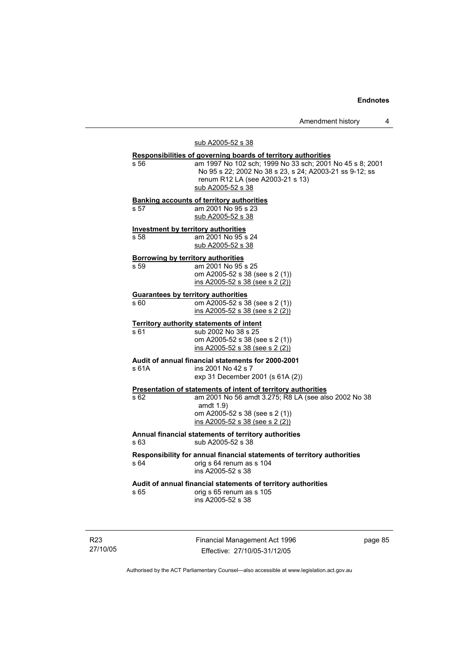Amendment history 4

# sub A2005-52 s 38

|       | Responsibilities of governing boards of territory authorities                                                         |
|-------|-----------------------------------------------------------------------------------------------------------------------|
| s 56  | am 1997 No 102 sch; 1999 No 33 sch; 2001 No 45 s 8; 2001<br>No 95 s 22; 2002 No 38 s 23, s 24; A2003-21 ss 9-12; ss   |
|       | renum R12 LA (see A2003-21 s 13)                                                                                      |
|       | sub A2005-52 s 38                                                                                                     |
|       | <b>Banking accounts of territory authorities</b>                                                                      |
| s 57  | am 2001 No 95 s 23<br>sub A2005-52 s 38                                                                               |
|       |                                                                                                                       |
| s 58  | <b>Investment by territory authorities</b><br>am 2001 No 95 s 24                                                      |
|       | sub A2005-52 s 38                                                                                                     |
|       | <b>Borrowing by territory authorities</b>                                                                             |
| s 59  | am 2001 No 95 s 25                                                                                                    |
|       | om A2005-52 s 38 (see s 2 (1))                                                                                        |
|       | ins A2005-52 s 38 (see s 2 (2))                                                                                       |
|       | <b>Guarantees by territory authorities</b>                                                                            |
| s 60  | om A2005-52 s 38 (see s 2 (1))                                                                                        |
|       | ins A2005-52 s 38 (see s 2 (2))                                                                                       |
|       | Territory authority statements of intent                                                                              |
| s 61  | sub 2002 No 38 s 25                                                                                                   |
|       | om A2005-52 s 38 (see s 2 (1))<br>ins A2005-52 s 38 (see s 2 (2))                                                     |
|       |                                                                                                                       |
| s 61A | Audit of annual financial statements for 2000-2001<br>ins 2001 No 42 s 7                                              |
|       | exp 31 December 2001 (s 61A (2))                                                                                      |
|       |                                                                                                                       |
| s 62  | Presentation of statements of intent of territory authorities<br>am 2001 No 56 amdt 3.275; R8 LA (see also 2002 No 38 |
|       | amdt 1.9)                                                                                                             |
|       | om A2005-52 s 38 (see s 2 (1))                                                                                        |
|       | ins A2005-52 s 38 (see s 2 (2))                                                                                       |
|       | Annual financial statements of territory authorities                                                                  |
| s 63  | sub A2005-52 s 38                                                                                                     |
|       | Responsibility for annual financial statements of territory authorities                                               |
| s 64  | orig s 64 renum as s 104                                                                                              |
|       | ins A2005-52 s 38                                                                                                     |
|       | Audit of annual financial statements of territory authorities                                                         |
| s 65  | orig s 65 renum as s 105                                                                                              |
|       | ins A2005-52 s 38                                                                                                     |
|       |                                                                                                                       |

R23 27/10/05 Financial Management Act 1996 Effective: 27/10/05-31/12/05

page 85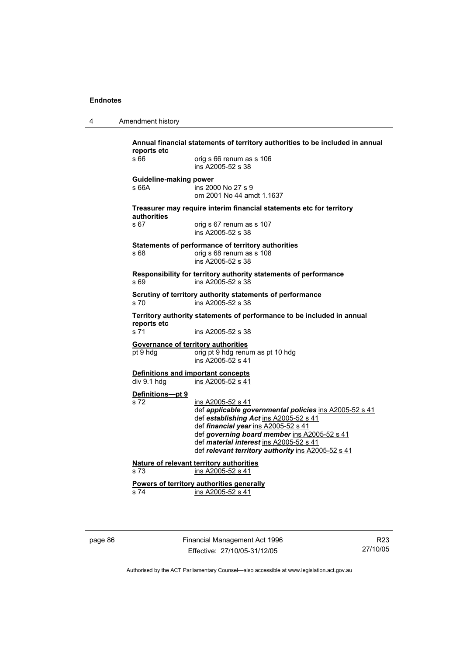| Amendment history |  |
|-------------------|--|
|-------------------|--|

| reports etc                         | Annual financial statements of territory authorities to be included in annual           |
|-------------------------------------|-----------------------------------------------------------------------------------------|
| s 66                                | orig s 66 renum as s 106<br>ins A2005-52 s 38                                           |
| Guideline-making power              |                                                                                         |
| s 66A                               | ins 2000 No 27 s 9<br>om 2001 No 44 amdt 1.1637                                         |
| authorities                         | Treasurer may require interim financial statements etc for territory                    |
| s 67                                | orig s 67 renum as s 107<br>ins A2005-52 s 38                                           |
|                                     | Statements of performance of territory authorities                                      |
| s 68                                | orig s 68 renum as s 108<br>ins A2005-52 s 38                                           |
| s 69                                | Responsibility for territory authority statements of performance<br>ins A2005-52 s 38   |
| s 70                                | Scrutiny of territory authority statements of performance<br>ins A2005-52 s 38          |
| reports etc                         | Territory authority statements of performance to be included in annual                  |
| s 71                                | ins A2005-52 s 38                                                                       |
| Governance of territory authorities |                                                                                         |
| pt 9 hdg                            | orig pt 9 hdg renum as pt 10 hdg<br>ins A2005-52 s 41                                   |
|                                     | <b>Definitions and important concepts</b>                                               |
| div 9.1 hdg                         | ins A2005-52 s 41                                                                       |
| Definitions-pt 9                    |                                                                                         |
| s 72                                | ins A2005-52 s 41<br>def applicable governmental policies ins A2005-52 s 41             |
|                                     | def establishing Act ins A2005-52 s 41                                                  |
|                                     | def financial year ins A2005-52 s 41                                                    |
|                                     | def governing board member ins A2005-52 s 41<br>def material interest ins A2005-52 s 41 |
|                                     | def relevant territory authority ins A2005-52 s 41                                      |
|                                     | Nature of relevant territory authorities                                                |
| s 73                                | ins A2005-52 s 41                                                                       |
|                                     | Powers of territory authorities generally                                               |
| s 74                                | ins A2005-52 s 41                                                                       |

page 86 Financial Management Act 1996 Effective: 27/10/05-31/12/05

R23 27/10/05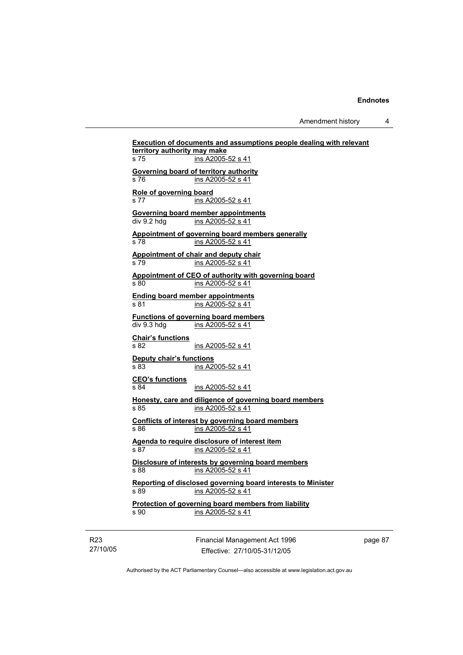Amendment history 4

**Execution of documents and assumptions people dealing with relevant territory authority may make** s 75 ins A2005-52 s 41 **Governing board of territory authority** s 76 ins A2005-52 s 41 **Role of governing board** s 77 ins A2005-52 s 41 **Governing board member appointments**<br>div 9.2 hdg ins A2005-52 s 41 ins A2005-52 s 41 **Appointment of governing board members generally** s 78 ins A2005-52 s 41 **Appointment of chair and deputy chair** s 79 ins A2005-52 s 41 **Appointment of CEO of authority with governing board** s 80 ins A2005-52 s 41 **Ending board member appointments** s 81 ins A2005-52 s 41 **Functions of governing board members** div 9.3 hdg ins A2005-52 s 41 **Chair's functions** s 82 ins A2005-52 s 41 **Deputy chair's functions** s 83 ins A2005-52 s 41 **CEO's functions** s 84 ins A2005-52 s 41 **Honesty, care and diligence of governing board members** s 85 ins A2005-52 s 41 **Conflicts of interest by governing board members** s 86 ins A2005-52 s 41 **Agenda to require disclosure of interest item** s 87 ins A2005-52 s 41 **Disclosure of interests by governing board members** s 88 **ins A2005-52 s 41 Reporting of disclosed governing board interests to Minister** s 89 ins A2005-52 s 41 **Protection of governing board members from liability** s 90 ins A2005-52 s 41

R23 27/10/05 Financial Management Act 1996 Effective: 27/10/05-31/12/05

page 87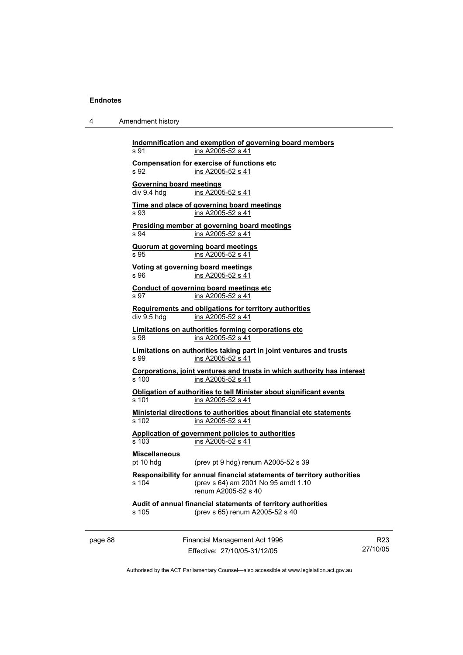4 Amendment history

| s 91                            | ins A2005-52 s 41                                                                                                                     |
|---------------------------------|---------------------------------------------------------------------------------------------------------------------------------------|
|                                 | <b>Compensation for exercise of functions etc</b>                                                                                     |
| s 92                            | ins A2005-52 s 41                                                                                                                     |
| <b>Governing board meetings</b> |                                                                                                                                       |
| div 9.4 hda                     | ins A2005-52 s 41                                                                                                                     |
|                                 | Time and place of governing board meetings                                                                                            |
| s 93                            | ins A2005-52 s 41                                                                                                                     |
|                                 | Presiding member at governing board meetings                                                                                          |
| s 94                            | ins A2005-52 s 41                                                                                                                     |
|                                 | <b>Quorum at governing board meetings</b>                                                                                             |
| s 95                            | ins A2005-52 s 41                                                                                                                     |
|                                 | Voting at governing board meetings                                                                                                    |
| s 96                            | ins A2005-52 s 41                                                                                                                     |
|                                 | Conduct of governing board meetings etc                                                                                               |
| s 97                            | ins A2005-52 s 41                                                                                                                     |
|                                 | Requirements and obligations for territory authorities                                                                                |
| div 9.5 hdg                     | ins A2005-52 s 41                                                                                                                     |
|                                 | Limitations on authorities forming corporations etc                                                                                   |
| s 98                            | ins A2005-52 s 41                                                                                                                     |
|                                 | Limitations on authorities taking part in joint ventures and trusts                                                                   |
| S.99                            | ins A2005-52 s 41                                                                                                                     |
|                                 | Corporations, joint ventures and trusts in which authority has interest                                                               |
| s <sub>100</sub>                | ins A2005-52 s 41                                                                                                                     |
|                                 | Obligation of authorities to tell Minister about significant events                                                                   |
| s <sub>101</sub>                | ins A2005-52 s 41                                                                                                                     |
|                                 | Ministerial directions to authorities about financial etc statements                                                                  |
| $\overline{s}$ 102              | ins A2005-52 s 41                                                                                                                     |
|                                 | Application of government policies to authorities                                                                                     |
| s 103                           | ins A2005-52 s 41                                                                                                                     |
| <b>Miscellaneous</b>            |                                                                                                                                       |
| pt 10 hdg                       | (prev pt 9 hdg) renum A2005-52 s 39                                                                                                   |
| s 104                           | Responsibility for annual financial statements of territory authorities<br>(prev s 64) am 2001 No 95 amdt 1.10<br>renum A2005-52 s 40 |
|                                 | Audit of annual financial statements of territory authorities                                                                         |
| s 105                           | (prev s 65) renum A2005-52 s 40                                                                                                       |

page 88 Financial Management Act 1996 Effective: 27/10/05-31/12/05

R23 27/10/05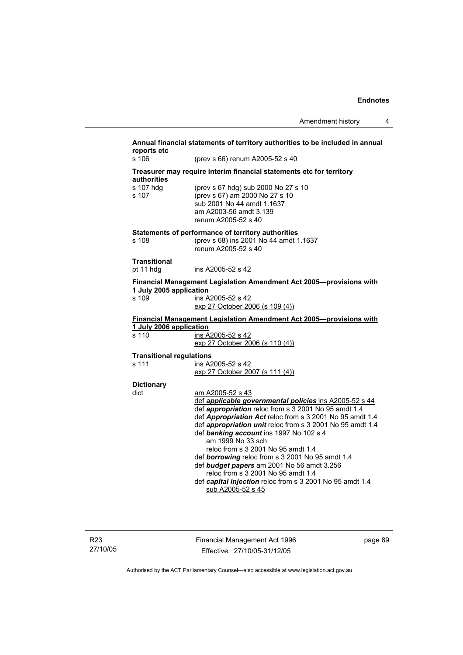### **Annual financial statements of territory authorities to be included in annual reports etc**  s 106 (prev s 66) renum A2005-52 s 40 **Treasurer may require interim financial statements etc for territory authorities** s 107 hdg (prev s 67 hdg) sub 2000 No 27 s 10 s 107 (prev s 67) am 2000 No 27 s 10 sub 2001 No 44 amdt 1.1637 am A2003-56 amdt 3.139 renum A2005-52 s 40 **Statements of performance of territory authorities**  s 108 (prev s 68) ins 2001 No 44 amdt 1.1637 renum A2005-52 s 40 **Transitional**  pt 11 hdg ins A2005-52 s 42 **Financial Management Legislation Amendment Act 2005—provisions with 1 July 2005 application**  s 109 ins A2005-52 s 42 exp 27 October 2006 (s 109 (4)) **Financial Management Legislation Amendment Act 2005—provisions with 1 July 2006 application** s 110 ins A2005-52 s 42  $exp 27$  October  $2006$  (s 110 (4)) **Transitional regulations**  s 111 ins A2005-52 s 42 exp 27 October 2007 (s 111 (4)) **Dictionary**  dict am A2005-52 s 43 def *applicable governmental policies* ins A2005-52 s 44 def *appropriation* reloc from s 3 2001 No 95 amdt 1.4 def *Appropriation Act* reloc from s 3 2001 No 95 amdt 1.4 def *appropriation unit* reloc from s 3 2001 No 95 amdt 1.4 def *banking account* ins 1997 No 102 s 4 am 1999 No 33 sch reloc from s 3 2001 No 95 amdt 1.4 def *borrowing* reloc from s 3 2001 No 95 amdt 1.4 def *budget papers* am 2001 No 56 amdt 3.256 reloc from s 3 2001 No 95 amdt 1.4 def *capital injection* reloc from s 3 2001 No 95 amdt 1.4 sub A2005-52 s 45

Financial Management Act 1996 Effective: 27/10/05-31/12/05

page 89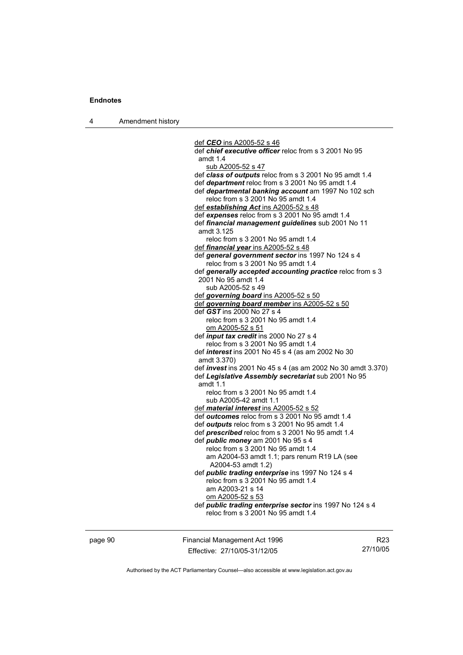4 Amendment history

 def *CEO* ins A2005-52 s 46 def *chief executive officer* reloc from s 3 2001 No 95 amdt 1.4 sub A2005-52 s 47 def *class of outputs* reloc from s 3 2001 No 95 amdt 1.4 def *department* reloc from s 3 2001 No 95 amdt 1.4 def *departmental banking account* am 1997 No 102 sch reloc from s 3 2001 No 95 amdt 1.4 def *establishing Act* ins A2005-52 s 48 def *expenses* reloc from s 3 2001 No 95 amdt 1.4 def *financial management guidelines* sub 2001 No 11 amdt 3.125 reloc from s 3 2001 No 95 amdt 1.4 def *financial year* ins A2005-52 s 48 def *general government sector* ins 1997 No 124 s 4 reloc from s 3 2001 No 95 amdt 1.4 def *generally accepted accounting practice* reloc from s 3 2001 No 95 amdt 1.4 sub A2005-52 s 49 def *governing board* ins A2005-52 s 50 def *governing board member* ins A2005-52 s 50 def *GST* ins 2000 No 27 s 4 reloc from s 3 2001 No 95 amdt 1.4 om A2005-52 s 51 def *input tax credit* ins 2000 No 27 s 4 reloc from s 3 2001 No 95 amdt 1.4 def *interest* ins 2001 No 45 s 4 (as am 2002 No 30 amdt 3.370) def *invest* ins 2001 No 45 s 4 (as am 2002 No 30 amdt 3.370) def *Legislative Assembly secretariat* sub 2001 No 95 amdt 1.1 reloc from s 3 2001 No 95 amdt 1.4 sub A2005-42 amdt 1.1 def *material interest* ins A2005-52 s 52 def *outcomes* reloc from s 3 2001 No 95 amdt 1.4 def *outputs* reloc from s 3 2001 No 95 amdt 1.4 def *prescribed* reloc from s 3 2001 No 95 amdt 1.4 def *public money* am 2001 No 95 s 4 reloc from s 3 2001 No 95 amdt 1.4 am A2004-53 amdt 1.1; pars renum R19 LA (see A2004-53 amdt 1.2) def *public trading enterprise* ins 1997 No 124 s 4 reloc from s 3 2001 No 95 amdt 1.4 am A2003-21 s 14 om A2005-52 s 53 def *public trading enterprise sector* ins 1997 No 124 s 4 reloc from s 3 2001 No 95 amdt 1.4

page 90 Financial Management Act 1996 Effective: 27/10/05-31/12/05

R23 27/10/05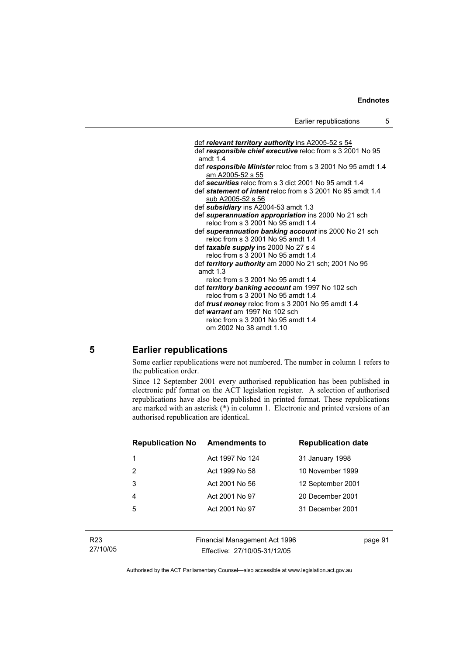def *relevant territory authority* ins A2005-52 s 54 def *responsible chief executive* reloc from s 3 2001 No 95 amdt 1.4 def *responsible Minister* reloc from s 3 2001 No 95 amdt 1.4 am A2005-52 s 55 def *securities* reloc from s 3 dict 2001 No 95 amdt 1.4 def *statement of intent* reloc from s 3 2001 No 95 amdt 1.4 sub A2005-52 s 56 def *subsidiary* ins A2004-53 amdt 1.3 def *superannuation appropriation* ins 2000 No 21 sch reloc from s 3 2001 No 95 amdt 1.4 def *superannuation banking account* ins 2000 No 21 sch reloc from s 3 2001 No 95 amdt 1.4 def *taxable supply* ins 2000 No 27 s 4 reloc from s 3 2001 No 95 amdt 1.4 def *territory authority* am 2000 No 21 sch; 2001 No 95 amdt 1.3 reloc from s 3 2001 No 95 amdt 1.4 def *territory banking account* am 1997 No 102 sch reloc from s 3 2001 No 95 amdt 1.4 def *trust money* reloc from s 3 2001 No 95 amdt 1.4 def *warrant* am 1997 No 102 sch reloc from s 3 2001 No 95 amdt 1.4 om 2002 No 38 amdt 1.10

#### **5 Earlier republications**

Some earlier republications were not numbered. The number in column 1 refers to the publication order.

Since 12 September 2001 every authorised republication has been published in electronic pdf format on the ACT legislation register. A selection of authorised republications have also been published in printed format. These republications are marked with an asterisk (\*) in column 1. Electronic and printed versions of an authorised republication are identical.

| <b>Republication No Amendments to</b> |                 | <b>Republication date</b> |
|---------------------------------------|-----------------|---------------------------|
| 1                                     | Act 1997 No 124 | 31 January 1998           |
| 2                                     | Act 1999 No 58  | 10 November 1999          |
| 3                                     | Act 2001 No 56  | 12 September 2001         |
| 4                                     | Act 2001 No 97  | 20 December 2001          |
| 5                                     | Act 2001 No 97  | 31 December 2001          |
|                                       |                 |                           |

| R23      |
|----------|
| 27/10/05 |

Financial Management Act 1996 Effective: 27/10/05-31/12/05

page 91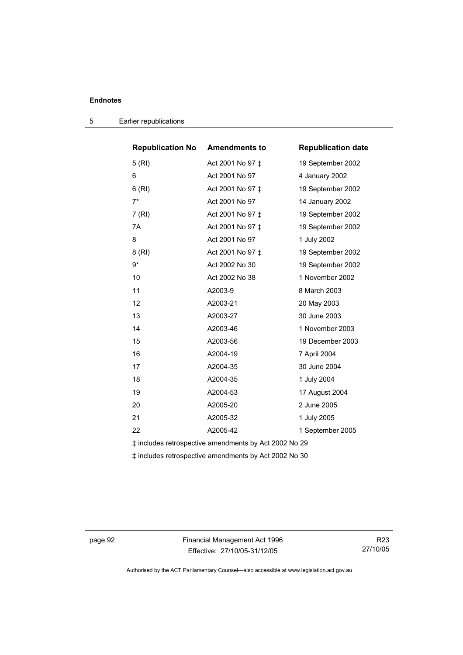| <b>Republication No Amendments to</b>                 |                  | <b>Republication date</b> |  |
|-------------------------------------------------------|------------------|---------------------------|--|
| 5(RI)                                                 | Act 2001 No 97 ‡ | 19 September 2002         |  |
| 6                                                     | Act 2001 No 97   | 4 January 2002            |  |
| 6(RI)                                                 | Act 2001 No 97 ‡ | 19 September 2002         |  |
| $7*$                                                  | Act 2001 No 97   | 14 January 2002           |  |
| 7 (RI)                                                | Act 2001 No 97 ‡ | 19 September 2002         |  |
| 7A                                                    | Act 2001 No 97 ‡ | 19 September 2002         |  |
| 8                                                     | Act 2001 No 97   | 1 July 2002               |  |
| 8(RI)                                                 | Act 2001 No 97 ‡ | 19 September 2002         |  |
| $9*$                                                  | Act 2002 No 30   | 19 September 2002         |  |
| 10                                                    | Act 2002 No 38   | 1 November 2002           |  |
| 11                                                    | A2003-9          | 8 March 2003              |  |
| 12                                                    | A2003-21         | 20 May 2003               |  |
| 13                                                    | A2003-27         | 30 June 2003              |  |
| 14                                                    | A2003-46         | 1 November 2003           |  |
| 15                                                    | A2003-56         | 19 December 2003          |  |
| 16                                                    | A2004-19         | 7 April 2004              |  |
| 17                                                    | A2004-35         | 30 June 2004              |  |
| 18                                                    | A2004-35         | 1 July 2004               |  |
| 19                                                    | A2004-53         | 17 August 2004            |  |
| 20                                                    | A2005-20         | 2 June 2005               |  |
| 21                                                    | A2005-32         | 1 July 2005               |  |
| 22                                                    | A2005-42         | 1 September 2005          |  |
| ‡ includes retrospective amendments by Act 2002 No 29 |                  |                           |  |

5 Earlier republications

‡ includes retrospective amendments by Act 2002 No 30

page 92 Financial Management Act 1996 Effective: 27/10/05-31/12/05

R23 27/10/05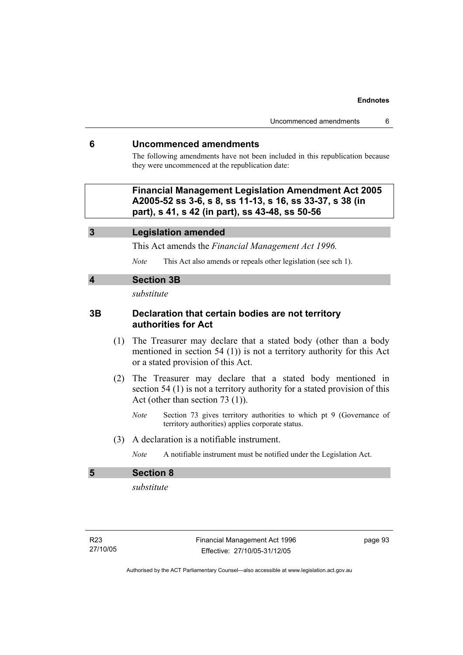### **6 Uncommenced amendments**

The following amendments have not been included in this republication because they were uncommenced at the republication date:

 **Financial Management Legislation Amendment Act 2005 A2005-52 ss 3-6, s 8, ss 11-13, s 16, ss 33-37, s 38 (in part), s 41, s 42 (in part), ss 43-48, ss 50-56** 

### **3 Legislation amended**

This Act amends the *Financial Management Act 1996.* 

*Note* This Act also amends or repeals other legislation (see sch 1).

### **4 Section 3B**

*substitute* 

# **3B Declaration that certain bodies are not territory authorities for Act**

- (1) The Treasurer may declare that a stated body (other than a body mentioned in section 54 (1)) is not a territory authority for this Act or a stated provision of this Act.
- (2) The Treasurer may declare that a stated body mentioned in section 54 (1) is not a territory authority for a stated provision of this Act (other than section 73 (1)).
	- *Note* Section 73 gives territory authorities to which pt 9 (Governance of territory authorities) applies corporate status.
- (3) A declaration is a notifiable instrument.
	- *Note* A notifiable instrument must be notified under the Legislation Act.

# **5 Section 8**

*substitute* 

page 93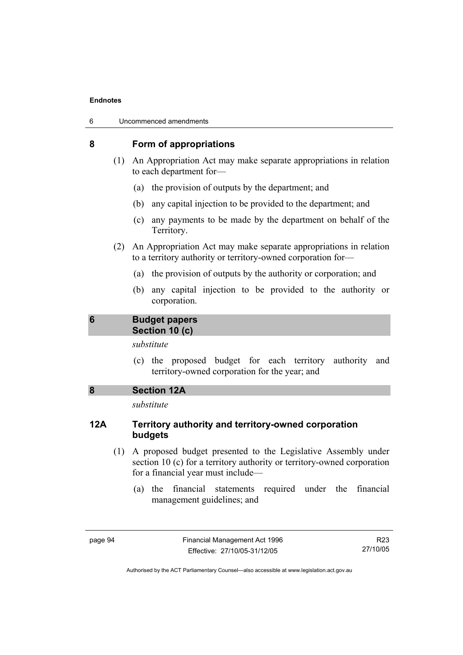| 6 | Uncommenced amendments |
|---|------------------------|
|---|------------------------|

### **8 Form of appropriations**

- (1) An Appropriation Act may make separate appropriations in relation to each department for—
	- (a) the provision of outputs by the department; and
	- (b) any capital injection to be provided to the department; and
	- (c) any payments to be made by the department on behalf of the Territory.
- (2) An Appropriation Act may make separate appropriations in relation to a territory authority or territory-owned corporation for—
	- (a) the provision of outputs by the authority or corporation; and
	- (b) any capital injection to be provided to the authority or corporation.

### **6 Budget papers Section 10 (c)**

# *substitute*

- (c) the proposed budget for each territory authority and territory-owned corporation for the year; and
- **8 Section 12A**

*substitute* 

# **12A Territory authority and territory-owned corporation budgets**

- (1) A proposed budget presented to the Legislative Assembly under section 10 (c) for a territory authority or territory-owned corporation for a financial year must include—
	- (a) the financial statements required under the financial management guidelines; and

R23 27/10/05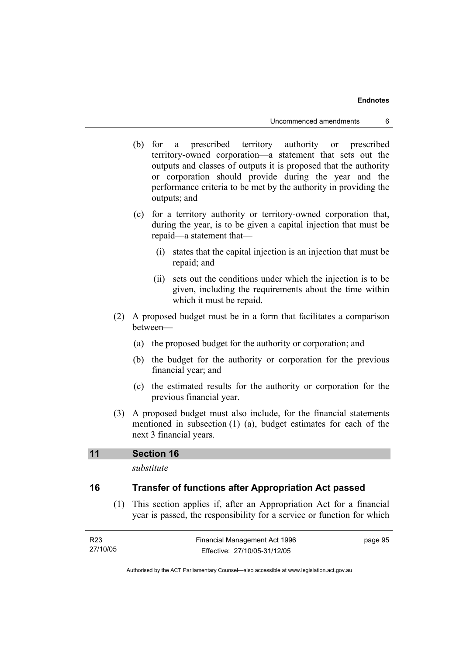- (b) for a prescribed territory authority or prescribed territory-owned corporation—a statement that sets out the outputs and classes of outputs it is proposed that the authority or corporation should provide during the year and the performance criteria to be met by the authority in providing the outputs; and
- (c) for a territory authority or territory-owned corporation that, during the year, is to be given a capital injection that must be repaid—a statement that—
	- (i) states that the capital injection is an injection that must be repaid; and
	- (ii) sets out the conditions under which the injection is to be given, including the requirements about the time within which it must be repaid.
- (2) A proposed budget must be in a form that facilitates a comparison between—
	- (a) the proposed budget for the authority or corporation; and
	- (b) the budget for the authority or corporation for the previous financial year; and
	- (c) the estimated results for the authority or corporation for the previous financial year.
- (3) A proposed budget must also include, for the financial statements mentioned in subsection (1) (a), budget estimates for each of the next 3 financial years.

### **11 Section 16**

*substitute* 

# **16 Transfer of functions after Appropriation Act passed**

 (1) This section applies if, after an Appropriation Act for a financial year is passed, the responsibility for a service or function for which

| R23      | Financial Management Act 1996 | page 95 |
|----------|-------------------------------|---------|
| 27/10/05 | Effective: 27/10/05-31/12/05  |         |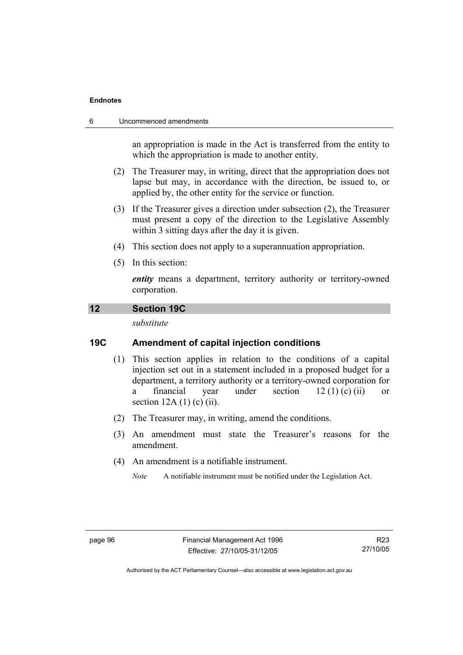#### 6 Uncommenced amendments

an appropriation is made in the Act is transferred from the entity to which the appropriation is made to another entity.

- (2) The Treasurer may, in writing, direct that the appropriation does not lapse but may, in accordance with the direction, be issued to, or applied by, the other entity for the service or function.
- (3) If the Treasurer gives a direction under subsection (2), the Treasurer must present a copy of the direction to the Legislative Assembly within 3 sitting days after the day it is given.
- (4) This section does not apply to a superannuation appropriation.
- (5) In this section:

*entity* means a department, territory authority or territory-owned corporation.

### **12 Section 19C**

*substitute* 

# **19C Amendment of capital injection conditions**

- (1) This section applies in relation to the conditions of a capital injection set out in a statement included in a proposed budget for a department, a territory authority or a territory-owned corporation for a financial year under section  $12 (1) (c) (ii)$  or section  $12A(1)$  (c) (ii).
- (2) The Treasurer may, in writing, amend the conditions.
- (3) An amendment must state the Treasurer's reasons for the amendment.
- (4) An amendment is a notifiable instrument.
	- *Note* A notifiable instrument must be notified under the Legislation Act.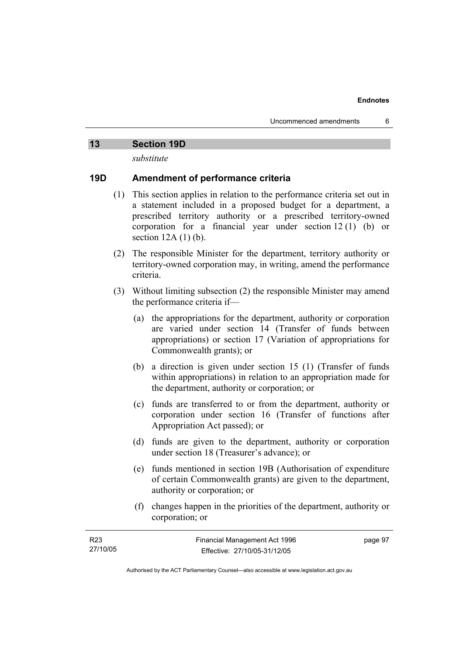### **13 Section 19D**

*substitute* 

# **19D Amendment of performance criteria**

- (1) This section applies in relation to the performance criteria set out in a statement included in a proposed budget for a department, a prescribed territory authority or a prescribed territory-owned corporation for a financial year under section 12 (1) (b) or section  $12A(1)(b)$ .
- (2) The responsible Minister for the department, territory authority or territory-owned corporation may, in writing, amend the performance criteria.
- (3) Without limiting subsection (2) the responsible Minister may amend the performance criteria if—
	- (a) the appropriations for the department, authority or corporation are varied under section 14 (Transfer of funds between appropriations) or section 17 (Variation of appropriations for Commonwealth grants); or
	- (b) a direction is given under section 15 (1) (Transfer of funds within appropriations) in relation to an appropriation made for the department, authority or corporation; or
	- (c) funds are transferred to or from the department, authority or corporation under section 16 (Transfer of functions after Appropriation Act passed); or
	- (d) funds are given to the department, authority or corporation under section 18 (Treasurer's advance); or
	- (e) funds mentioned in section 19B (Authorisation of expenditure of certain Commonwealth grants) are given to the department, authority or corporation; or
	- (f) changes happen in the priorities of the department, authority or corporation; or

| R <sub>23</sub> | Financial Management Act 1996 | page 97 |
|-----------------|-------------------------------|---------|
| 27/10/05        | Effective: 27/10/05-31/12/05  |         |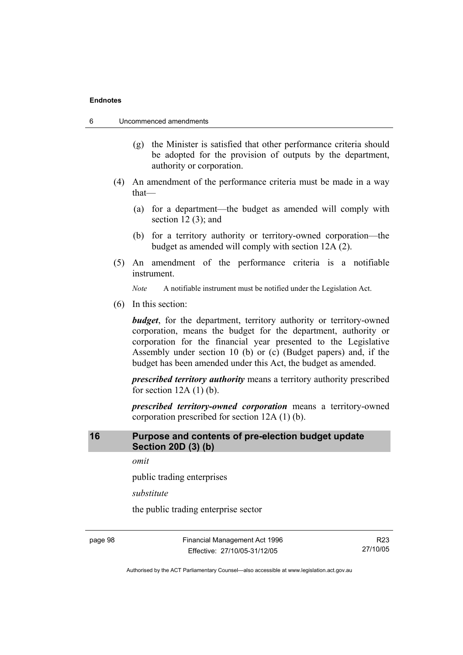- 6 Uncommenced amendments
	- (g) the Minister is satisfied that other performance criteria should be adopted for the provision of outputs by the department, authority or corporation.
	- (4) An amendment of the performance criteria must be made in a way that—
		- (a) for a department—the budget as amended will comply with section  $12(3)$ ; and
		- (b) for a territory authority or territory-owned corporation—the budget as amended will comply with section 12A (2).
	- (5) An amendment of the performance criteria is a notifiable instrument.

*Note* A notifiable instrument must be notified under the Legislation Act.

(6) In this section:

*budget*, for the department, territory authority or territory-owned corporation, means the budget for the department, authority or corporation for the financial year presented to the Legislative Assembly under section 10 (b) or (c) (Budget papers) and, if the budget has been amended under this Act, the budget as amended.

*prescribed territory authority* means a territory authority prescribed for section  $12A(1)$  (b).

*prescribed territory-owned corporation* means a territory-owned corporation prescribed for section 12A (1) (b).

# **16 Purpose and contents of pre-election budget update Section 20D (3) (b)**

*omit* 

public trading enterprises

*substitute* 

the public trading enterprise sector

page 98 Financial Management Act 1996 Effective: 27/10/05-31/12/05

R23 27/10/05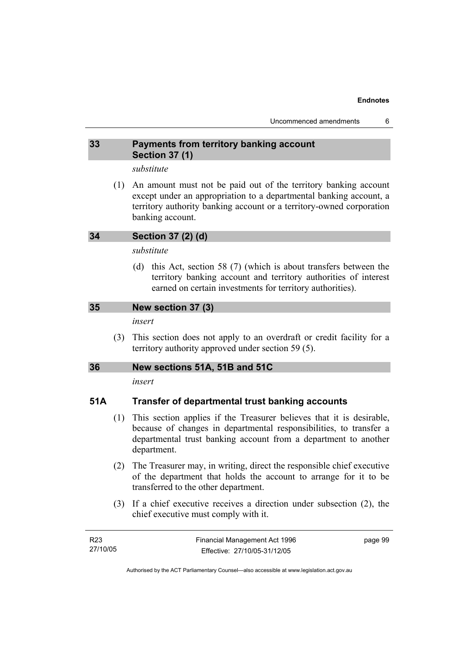# **33 Payments from territory banking account Section 37 (1)**

# *substitute*

 (1) An amount must not be paid out of the territory banking account except under an appropriation to a departmental banking account, a territory authority banking account or a territory-owned corporation banking account.

# **34 Section 37 (2) (d)**

# *substitute*

 (d) this Act, section 58 (7) (which is about transfers between the territory banking account and territory authorities of interest earned on certain investments for territory authorities).

# **35 New section 37 (3)**

### *insert*

 (3) This section does not apply to an overdraft or credit facility for a territory authority approved under section 59 (5).

# **36 New sections 51A, 51B and 51C**

*insert* 

# **51A Transfer of departmental trust banking accounts**

- (1) This section applies if the Treasurer believes that it is desirable, because of changes in departmental responsibilities, to transfer a departmental trust banking account from a department to another department.
- (2) The Treasurer may, in writing, direct the responsible chief executive of the department that holds the account to arrange for it to be transferred to the other department.
- (3) If a chief executive receives a direction under subsection (2), the chief executive must comply with it.

| R23      | Financial Management Act 1996 | page 99 |
|----------|-------------------------------|---------|
| 27/10/05 | Effective: 27/10/05-31/12/05  |         |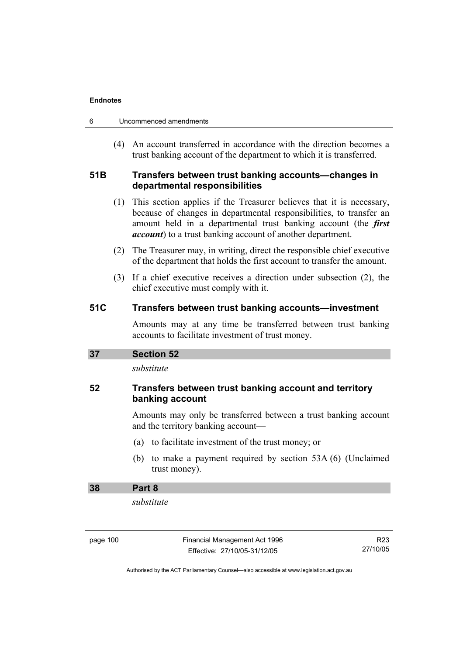| Uncommenced amendments |
|------------------------|
|                        |

 (4) An account transferred in accordance with the direction becomes a trust banking account of the department to which it is transferred.

# **51B Transfers between trust banking accounts—changes in departmental responsibilities**

- (1) This section applies if the Treasurer believes that it is necessary, because of changes in departmental responsibilities, to transfer an amount held in a departmental trust banking account (the *first account*) to a trust banking account of another department.
- (2) The Treasurer may, in writing, direct the responsible chief executive of the department that holds the first account to transfer the amount.
- (3) If a chief executive receives a direction under subsection (2), the chief executive must comply with it.

### **51C Transfers between trust banking accounts—investment**

Amounts may at any time be transferred between trust banking accounts to facilitate investment of trust money.

| <b>Section 52</b><br>37 |  |
|-------------------------|--|
|-------------------------|--|

*substitute* 

# **52 Transfers between trust banking account and territory banking account**

Amounts may only be transferred between a trust banking account and the territory banking account—

- (a) to facilitate investment of the trust money; or
- (b) to make a payment required by section 53A (6) (Unclaimed trust money).

# **38 Part 8**

*substitute* 

| page 100 |  |
|----------|--|
|----------|--|

Financial Management Act 1996 Effective: 27/10/05-31/12/05

R23 27/10/05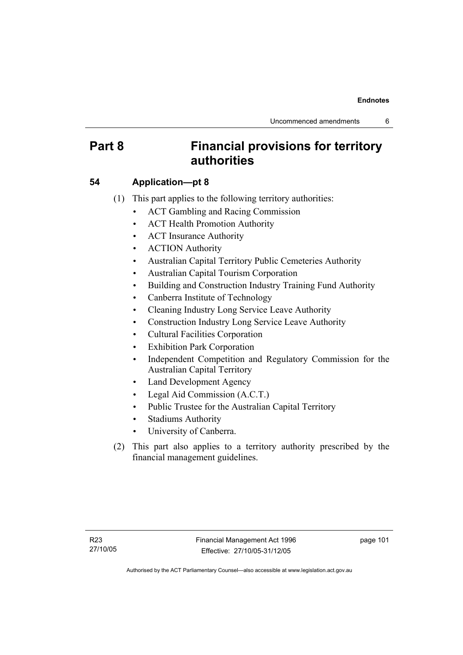# **Part 8 Financial provisions for territory authorities**

## **54 Application—pt 8**

- (1) This part applies to the following territory authorities:
	- ACT Gambling and Racing Commission
	- ACT Health Promotion Authority
	- ACT Insurance Authority
	- ACTION Authority
	- Australian Capital Territory Public Cemeteries Authority
	- Australian Capital Tourism Corporation
	- Building and Construction Industry Training Fund Authority
	- Canberra Institute of Technology
	- Cleaning Industry Long Service Leave Authority
	- Construction Industry Long Service Leave Authority
	- Cultural Facilities Corporation
	- Exhibition Park Corporation
	- Independent Competition and Regulatory Commission for the Australian Capital Territory
	- Land Development Agency
	- Legal Aid Commission (A.C.T.)
	- Public Trustee for the Australian Capital Territory
	- Stadiums Authority
	- University of Canberra.
- (2) This part also applies to a territory authority prescribed by the financial management guidelines.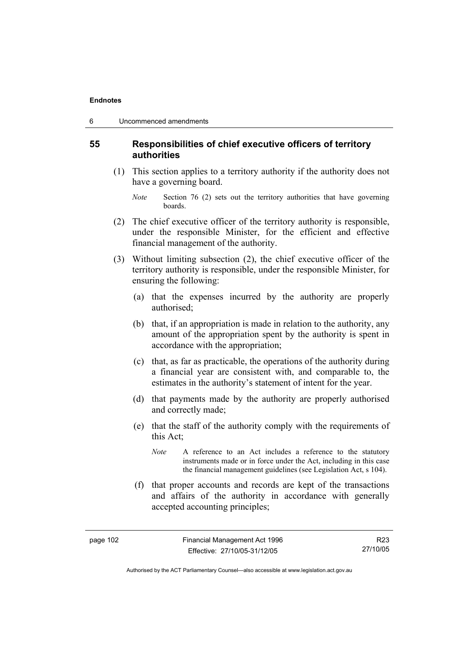### **55 Responsibilities of chief executive officers of territory authorities**

- (1) This section applies to a territory authority if the authority does not have a governing board.
	- *Note* Section 76 (2) sets out the territory authorities that have governing boards.
- (2) The chief executive officer of the territory authority is responsible, under the responsible Minister, for the efficient and effective financial management of the authority.
- (3) Without limiting subsection (2), the chief executive officer of the territory authority is responsible, under the responsible Minister, for ensuring the following:
	- (a) that the expenses incurred by the authority are properly authorised;
	- (b) that, if an appropriation is made in relation to the authority, any amount of the appropriation spent by the authority is spent in accordance with the appropriation;
	- (c) that, as far as practicable, the operations of the authority during a financial year are consistent with, and comparable to, the estimates in the authority's statement of intent for the year.
	- (d) that payments made by the authority are properly authorised and correctly made;
	- (e) that the staff of the authority comply with the requirements of this Act;
		- *Note* A reference to an Act includes a reference to the statutory instruments made or in force under the Act, including in this case the financial management guidelines (see Legislation Act, s 104).
	- (f) that proper accounts and records are kept of the transactions and affairs of the authority in accordance with generally accepted accounting principles;

Authorised by the ACT Parliamentary Counsel—also accessible at www.legislation.act.gov.au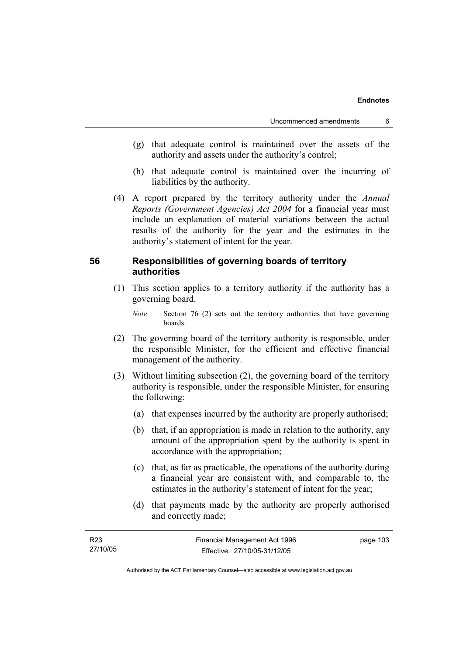- (g) that adequate control is maintained over the assets of the authority and assets under the authority's control;
- (h) that adequate control is maintained over the incurring of liabilities by the authority.
- (4) A report prepared by the territory authority under the *Annual Reports (Government Agencies) Act 2004* for a financial year must include an explanation of material variations between the actual results of the authority for the year and the estimates in the authority's statement of intent for the year.

### **56 Responsibilities of governing boards of territory authorities**

- (1) This section applies to a territory authority if the authority has a governing board.
	- *Note* Section 76 (2) sets out the territory authorities that have governing boards.
- (2) The governing board of the territory authority is responsible, under the responsible Minister, for the efficient and effective financial management of the authority.
- (3) Without limiting subsection (2), the governing board of the territory authority is responsible, under the responsible Minister, for ensuring the following:
	- (a) that expenses incurred by the authority are properly authorised;
	- (b) that, if an appropriation is made in relation to the authority, any amount of the appropriation spent by the authority is spent in accordance with the appropriation;
	- (c) that, as far as practicable, the operations of the authority during a financial year are consistent with, and comparable to, the estimates in the authority's statement of intent for the year;
	- (d) that payments made by the authority are properly authorised and correctly made;

| R23      | Financial Management Act 1996 | page 103 |
|----------|-------------------------------|----------|
| 27/10/05 | Effective: 27/10/05-31/12/05  |          |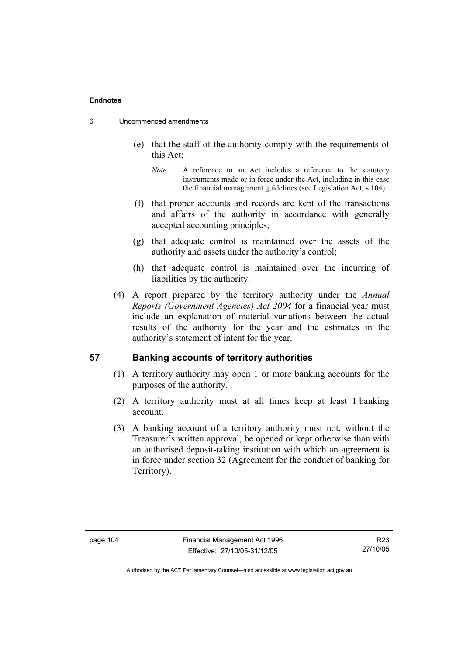- 6 Uncommenced amendments
	- (e) that the staff of the authority comply with the requirements of this Act;
		- *Note* A reference to an Act includes a reference to the statutory instruments made or in force under the Act, including in this case the financial management guidelines (see Legislation Act, s 104).
	- (f) that proper accounts and records are kept of the transactions and affairs of the authority in accordance with generally accepted accounting principles;
	- (g) that adequate control is maintained over the assets of the authority and assets under the authority's control;
	- (h) that adequate control is maintained over the incurring of liabilities by the authority.
	- (4) A report prepared by the territory authority under the *Annual Reports (Government Agencies) Act 2004* for a financial year must include an explanation of material variations between the actual results of the authority for the year and the estimates in the authority's statement of intent for the year.

### **57 Banking accounts of territory authorities**

- (1) A territory authority may open 1 or more banking accounts for the purposes of the authority.
- (2) A territory authority must at all times keep at least 1 banking account.
- (3) A banking account of a territory authority must not, without the Treasurer's written approval, be opened or kept otherwise than with an authorised deposit-taking institution with which an agreement is in force under section 32 (Agreement for the conduct of banking for Territory).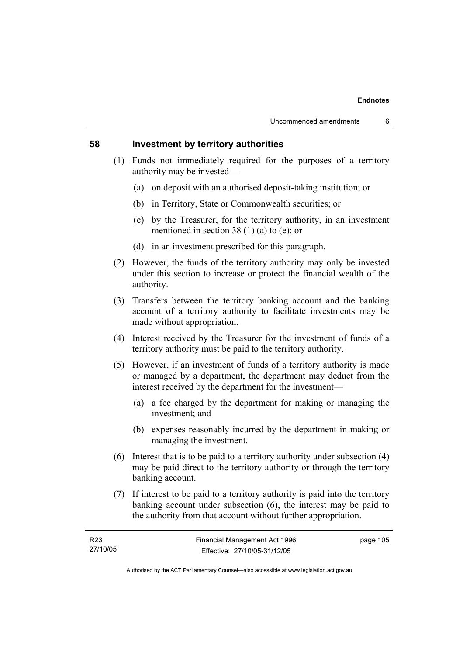### **58 Investment by territory authorities**

- (1) Funds not immediately required for the purposes of a territory authority may be invested—
	- (a) on deposit with an authorised deposit-taking institution; or
	- (b) in Territory, State or Commonwealth securities; or
	- (c) by the Treasurer, for the territory authority, in an investment mentioned in section 38 (1) (a) to (e); or
	- (d) in an investment prescribed for this paragraph.
- (2) However, the funds of the territory authority may only be invested under this section to increase or protect the financial wealth of the authority.
- (3) Transfers between the territory banking account and the banking account of a territory authority to facilitate investments may be made without appropriation.
- (4) Interest received by the Treasurer for the investment of funds of a territory authority must be paid to the territory authority.
- (5) However, if an investment of funds of a territory authority is made or managed by a department, the department may deduct from the interest received by the department for the investment—
	- (a) a fee charged by the department for making or managing the investment; and
	- (b) expenses reasonably incurred by the department in making or managing the investment.
- (6) Interest that is to be paid to a territory authority under subsection (4) may be paid direct to the territory authority or through the territory banking account.
- (7) If interest to be paid to a territory authority is paid into the territory banking account under subsection (6), the interest may be paid to the authority from that account without further appropriation.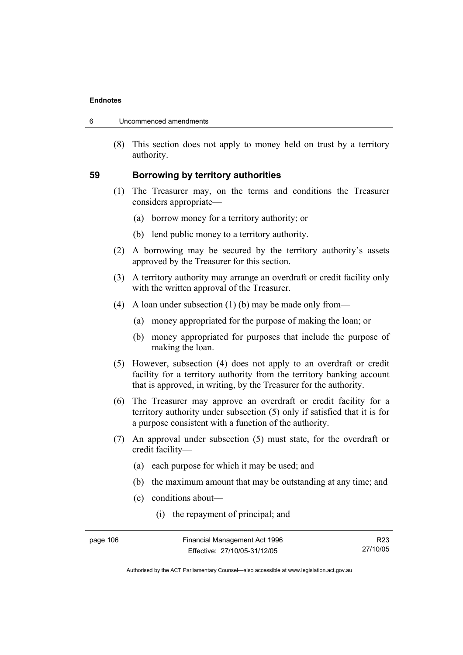| Uncommenced amendments<br>-6 |  |
|------------------------------|--|
|------------------------------|--|

 (8) This section does not apply to money held on trust by a territory authority.

### **59 Borrowing by territory authorities**

- (1) The Treasurer may, on the terms and conditions the Treasurer considers appropriate—
	- (a) borrow money for a territory authority; or
	- (b) lend public money to a territory authority.
- (2) A borrowing may be secured by the territory authority's assets approved by the Treasurer for this section.
- (3) A territory authority may arrange an overdraft or credit facility only with the written approval of the Treasurer.
- (4) A loan under subsection (1) (b) may be made only from—
	- (a) money appropriated for the purpose of making the loan; or
	- (b) money appropriated for purposes that include the purpose of making the loan.
- (5) However, subsection (4) does not apply to an overdraft or credit facility for a territory authority from the territory banking account that is approved, in writing, by the Treasurer for the authority.
- (6) The Treasurer may approve an overdraft or credit facility for a territory authority under subsection (5) only if satisfied that it is for a purpose consistent with a function of the authority.
- (7) An approval under subsection (5) must state, for the overdraft or credit facility—
	- (a) each purpose for which it may be used; and
	- (b) the maximum amount that may be outstanding at any time; and
	- (c) conditions about—
		- (i) the repayment of principal; and

R23 27/10/05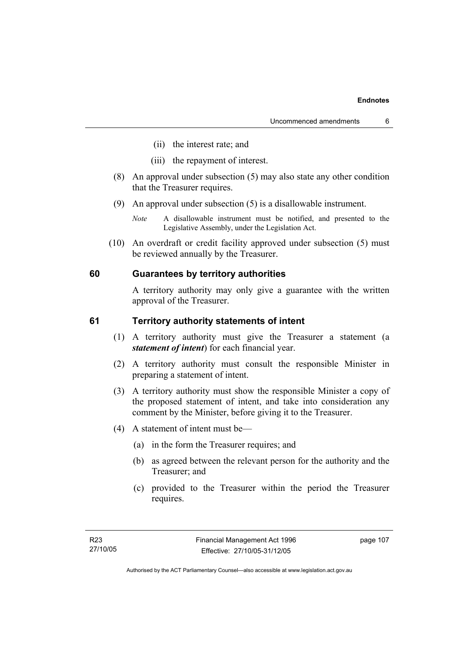- (ii) the interest rate; and
- (iii) the repayment of interest.
- (8) An approval under subsection (5) may also state any other condition that the Treasurer requires.
- (9) An approval under subsection (5) is a disallowable instrument.
	- *Note* A disallowable instrument must be notified, and presented to the Legislative Assembly, under the Legislation Act.
- (10) An overdraft or credit facility approved under subsection (5) must be reviewed annually by the Treasurer.

### **60 Guarantees by territory authorities**

A territory authority may only give a guarantee with the written approval of the Treasurer.

### **61 Territory authority statements of intent**

- (1) A territory authority must give the Treasurer a statement (a *statement of intent*) for each financial year.
- (2) A territory authority must consult the responsible Minister in preparing a statement of intent.
- (3) A territory authority must show the responsible Minister a copy of the proposed statement of intent, and take into consideration any comment by the Minister, before giving it to the Treasurer.
- (4) A statement of intent must be—
	- (a) in the form the Treasurer requires; and
	- (b) as agreed between the relevant person for the authority and the Treasurer; and
	- (c) provided to the Treasurer within the period the Treasurer requires.

page 107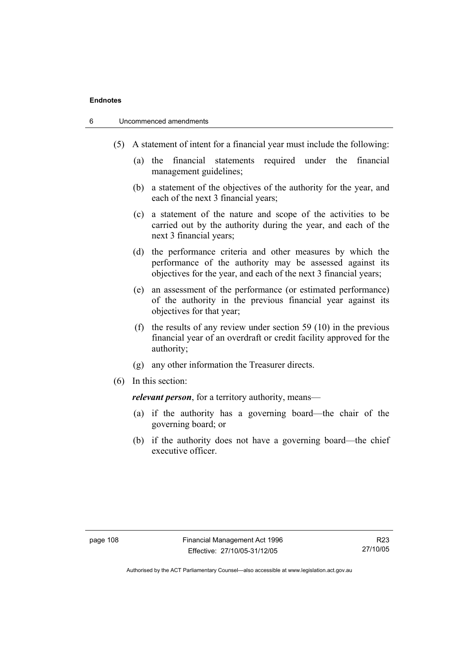- 6 Uncommenced amendments
	- (5) A statement of intent for a financial year must include the following:
		- (a) the financial statements required under the financial management guidelines;
		- (b) a statement of the objectives of the authority for the year, and each of the next 3 financial years;
		- (c) a statement of the nature and scope of the activities to be carried out by the authority during the year, and each of the next 3 financial years;
		- (d) the performance criteria and other measures by which the performance of the authority may be assessed against its objectives for the year, and each of the next 3 financial years;
		- (e) an assessment of the performance (or estimated performance) of the authority in the previous financial year against its objectives for that year;
		- (f) the results of any review under section 59 (10) in the previous financial year of an overdraft or credit facility approved for the authority;
		- (g) any other information the Treasurer directs.
	- (6) In this section:

*relevant person*, for a territory authority, means—

- (a) if the authority has a governing board—the chair of the governing board; or
- (b) if the authority does not have a governing board—the chief executive officer.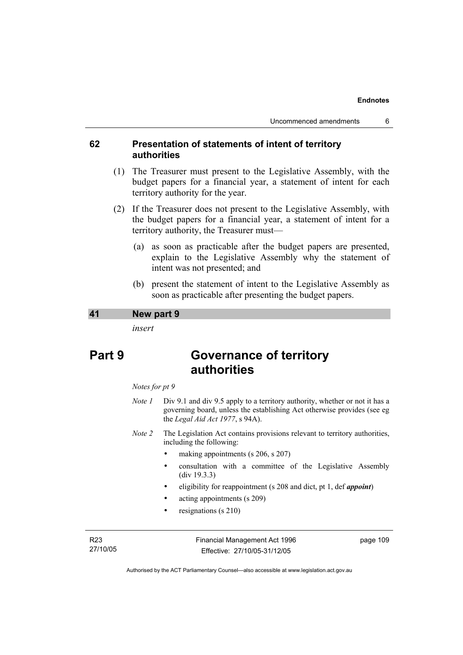### **62 Presentation of statements of intent of territory authorities**

- (1) The Treasurer must present to the Legislative Assembly, with the budget papers for a financial year, a statement of intent for each territory authority for the year.
- (2) If the Treasurer does not present to the Legislative Assembly, with the budget papers for a financial year, a statement of intent for a territory authority, the Treasurer must—
	- (a) as soon as practicable after the budget papers are presented, explain to the Legislative Assembly why the statement of intent was not presented; and
	- (b) present the statement of intent to the Legislative Assembly as soon as practicable after presenting the budget papers.

### **41 New part 9**

*insert* 

# **Part 9 Governance of territory authorities**

#### *Notes for pt 9*

- *Note 1* Div 9.1 and div 9.5 apply to a territory authority, whether or not it has a governing board, unless the establishing Act otherwise provides (see eg the *Legal Aid Act 1977*, s 94A).
- *Note 2* The Legislation Act contains provisions relevant to territory authorities, including the following:
	- making appointments (s 206, s 207)
	- consultation with a committee of the Legislative Assembly (div 19.3.3)
	- eligibility for reappointment (s 208 and dict, pt 1, def *appoint*)
	- acting appointments (s 209)
	- resignations (s 210)

R23 27/10/05 Financial Management Act 1996 Effective: 27/10/05-31/12/05

page 109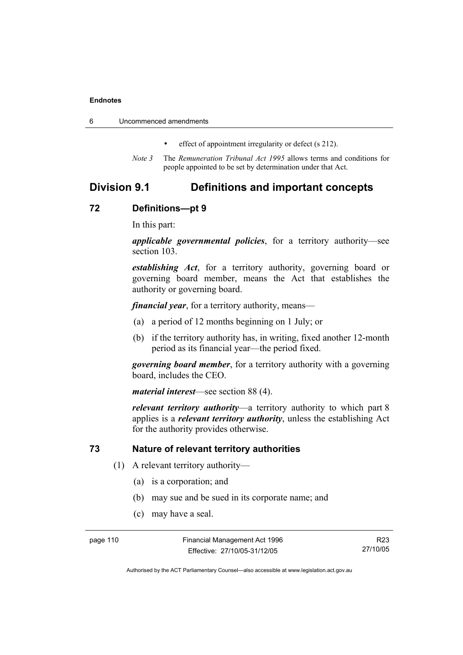|  | Uncommenced amendments |
|--|------------------------|
|--|------------------------|

- effect of appointment irregularity or defect (s 212).
- *Note 3* The *Remuneration Tribunal Act 1995* allows terms and conditions for people appointed to be set by determination under that Act.

### **Division 9.1 Definitions and important concepts**

### **72 Definitions—pt 9**

In this part:

*applicable governmental policies*, for a territory authority—see section 103.

*establishing Act*, for a territory authority, governing board or governing board member, means the Act that establishes the authority or governing board.

*financial year*, for a territory authority, means—

- (a) a period of 12 months beginning on 1 July; or
- (b) if the territory authority has, in writing, fixed another 12-month period as its financial year—the period fixed.

*governing board member*, for a territory authority with a governing board, includes the CEO.

*material interest*—see section 88 (4).

*relevant territory authority*—a territory authority to which part 8 applies is a *relevant territory authority*, unless the establishing Act for the authority provides otherwise.

### **73 Nature of relevant territory authorities**

- (1) A relevant territory authority—
	- (a) is a corporation; and
	- (b) may sue and be sued in its corporate name; and
	- (c) may have a seal.

page 110 Financial Management Act 1996 Effective: 27/10/05-31/12/05

R23 27/10/05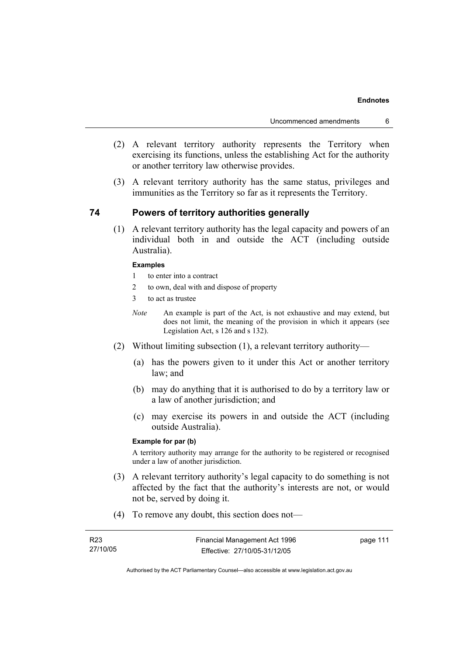- (2) A relevant territory authority represents the Territory when exercising its functions, unless the establishing Act for the authority or another territory law otherwise provides.
- (3) A relevant territory authority has the same status, privileges and immunities as the Territory so far as it represents the Territory.

### **74 Powers of territory authorities generally**

 (1) A relevant territory authority has the legal capacity and powers of an individual both in and outside the ACT (including outside Australia).

#### **Examples**

- 1 to enter into a contract
- 2 to own, deal with and dispose of property
- 3 to act as trustee
- *Note* An example is part of the Act, is not exhaustive and may extend, but does not limit, the meaning of the provision in which it appears (see Legislation Act, s 126 and s 132).
- (2) Without limiting subsection (1), a relevant territory authority—
	- (a) has the powers given to it under this Act or another territory law; and
	- (b) may do anything that it is authorised to do by a territory law or a law of another jurisdiction; and
	- (c) may exercise its powers in and outside the ACT (including outside Australia).

### **Example for par (b)**

A territory authority may arrange for the authority to be registered or recognised under a law of another jurisdiction.

- (3) A relevant territory authority's legal capacity to do something is not affected by the fact that the authority's interests are not, or would not be, served by doing it.
- (4) To remove any doubt, this section does not—

| R <sub>23</sub> | Financial Management Act 1996 | page 111 |
|-----------------|-------------------------------|----------|
| 27/10/05        | Effective: 27/10/05-31/12/05  |          |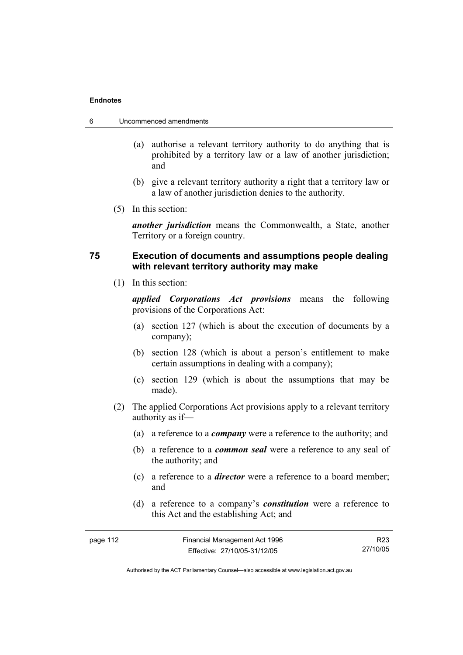- 6 Uncommenced amendments
	- (a) authorise a relevant territory authority to do anything that is prohibited by a territory law or a law of another jurisdiction; and
	- (b) give a relevant territory authority a right that a territory law or a law of another jurisdiction denies to the authority.
	- (5) In this section:

*another jurisdiction* means the Commonwealth, a State, another Territory or a foreign country.

### **75 Execution of documents and assumptions people dealing with relevant territory authority may make**

(1) In this section:

*applied Corporations Act provisions* means the following provisions of the Corporations Act:

- (a) section 127 (which is about the execution of documents by a company);
- (b) section 128 (which is about a person's entitlement to make certain assumptions in dealing with a company);
- (c) section 129 (which is about the assumptions that may be made).
- (2) The applied Corporations Act provisions apply to a relevant territory authority as if—
	- (a) a reference to a *company* were a reference to the authority; and
	- (b) a reference to a *common seal* were a reference to any seal of the authority; and
	- (c) a reference to a *director* were a reference to a board member; and
	- (d) a reference to a company's *constitution* were a reference to this Act and the establishing Act; and

| page 112 | Financial Management Act 1996 | R23      |
|----------|-------------------------------|----------|
|          | Effective: 27/10/05-31/12/05  | 27/10/05 |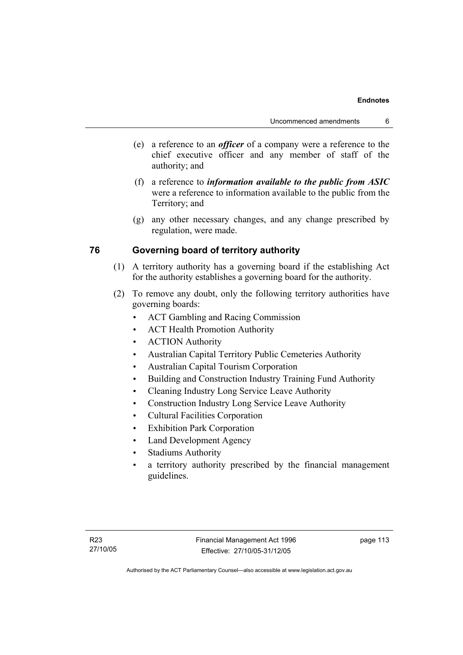- (e) a reference to an *officer* of a company were a reference to the chief executive officer and any member of staff of the authority; and
- (f) a reference to *information available to the public from ASIC*  were a reference to information available to the public from the Territory; and
- (g) any other necessary changes, and any change prescribed by regulation, were made.

### **76 Governing board of territory authority**

- (1) A territory authority has a governing board if the establishing Act for the authority establishes a governing board for the authority.
- (2) To remove any doubt, only the following territory authorities have governing boards:
	- ACT Gambling and Racing Commission
	- ACT Health Promotion Authority
	- ACTION Authority
	- Australian Capital Territory Public Cemeteries Authority
	- Australian Capital Tourism Corporation
	- Building and Construction Industry Training Fund Authority
	- Cleaning Industry Long Service Leave Authority
	- Construction Industry Long Service Leave Authority
	- Cultural Facilities Corporation
	- Exhibition Park Corporation
	- Land Development Agency
	- Stadiums Authority
	- a territory authority prescribed by the financial management guidelines.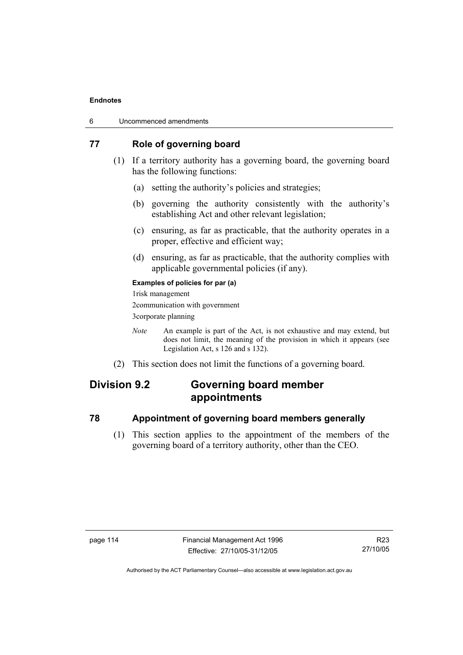| 6 | Uncommenced amendments |
|---|------------------------|
|---|------------------------|

### **77 Role of governing board**

- (1) If a territory authority has a governing board, the governing board has the following functions:
	- (a) setting the authority's policies and strategies;
	- (b) governing the authority consistently with the authority's establishing Act and other relevant legislation;
	- (c) ensuring, as far as practicable, that the authority operates in a proper, effective and efficient way;
	- (d) ensuring, as far as practicable, that the authority complies with applicable governmental policies (if any).

### **Examples of policies for par (a)**

1risk management 2communication with government 3corporate planning

- *Note* An example is part of the Act, is not exhaustive and may extend, but does not limit, the meaning of the provision in which it appears (see Legislation Act, s 126 and s 132).
- (2) This section does not limit the functions of a governing board.

# **Division 9.2 Governing board member appointments**

### **78 Appointment of governing board members generally**

 (1) This section applies to the appointment of the members of the governing board of a territory authority, other than the CEO.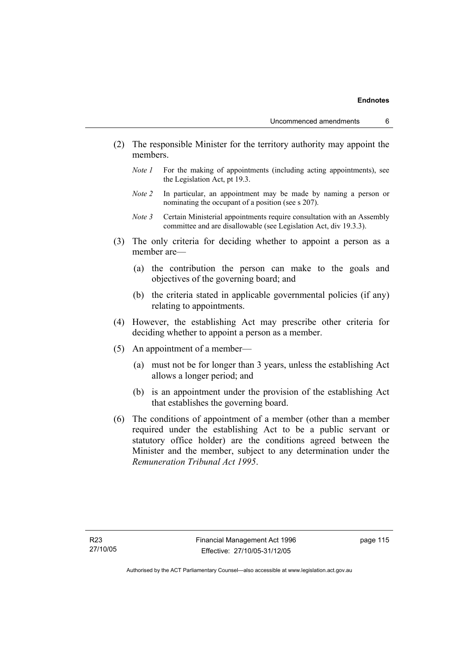- (2) The responsible Minister for the territory authority may appoint the members.
	- *Note 1* For the making of appointments (including acting appointments), see the Legislation Act, pt 19.3.
	- *Note 2* In particular, an appointment may be made by naming a person or nominating the occupant of a position (see s 207).
	- *Note 3* Certain Ministerial appointments require consultation with an Assembly committee and are disallowable (see Legislation Act, div 19.3.3).
- (3) The only criteria for deciding whether to appoint a person as a member are—
	- (a) the contribution the person can make to the goals and objectives of the governing board; and
	- (b) the criteria stated in applicable governmental policies (if any) relating to appointments.
- (4) However, the establishing Act may prescribe other criteria for deciding whether to appoint a person as a member.
- (5) An appointment of a member—
	- (a) must not be for longer than 3 years, unless the establishing Act allows a longer period; and
	- (b) is an appointment under the provision of the establishing Act that establishes the governing board.
- (6) The conditions of appointment of a member (other than a member required under the establishing Act to be a public servant or statutory office holder) are the conditions agreed between the Minister and the member, subject to any determination under the *Remuneration Tribunal Act 1995*.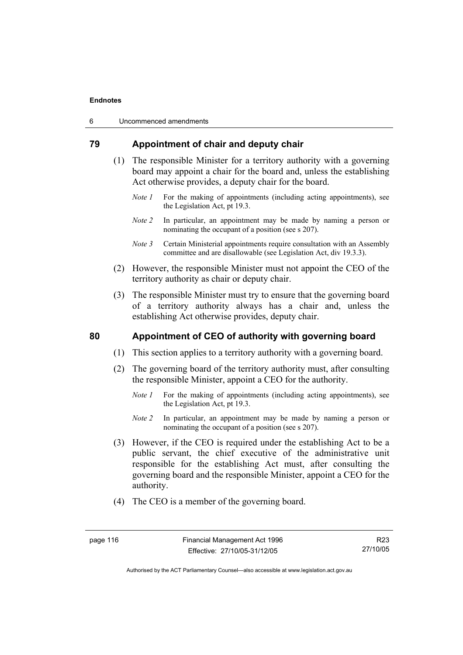| 6 | Uncommenced amendments |  |
|---|------------------------|--|
|---|------------------------|--|

### **79 Appointment of chair and deputy chair**

- (1) The responsible Minister for a territory authority with a governing board may appoint a chair for the board and, unless the establishing Act otherwise provides, a deputy chair for the board.
	- *Note 1* For the making of appointments (including acting appointments), see the Legislation Act, pt 19.3.
	- *Note 2* In particular, an appointment may be made by naming a person or nominating the occupant of a position (see s 207).
	- *Note 3* Certain Ministerial appointments require consultation with an Assembly committee and are disallowable (see Legislation Act, div 19.3.3).
- (2) However, the responsible Minister must not appoint the CEO of the territory authority as chair or deputy chair.
- (3) The responsible Minister must try to ensure that the governing board of a territory authority always has a chair and, unless the establishing Act otherwise provides, deputy chair.

### **80 Appointment of CEO of authority with governing board**

- (1) This section applies to a territory authority with a governing board.
- (2) The governing board of the territory authority must, after consulting the responsible Minister, appoint a CEO for the authority.
	- *Note 1* For the making of appointments (including acting appointments), see the Legislation Act, pt 19.3.
	- *Note 2* In particular, an appointment may be made by naming a person or nominating the occupant of a position (see s 207).
- (3) However, if the CEO is required under the establishing Act to be a public servant, the chief executive of the administrative unit responsible for the establishing Act must, after consulting the governing board and the responsible Minister, appoint a CEO for the authority.
- (4) The CEO is a member of the governing board.

Authorised by the ACT Parliamentary Counsel—also accessible at www.legislation.act.gov.au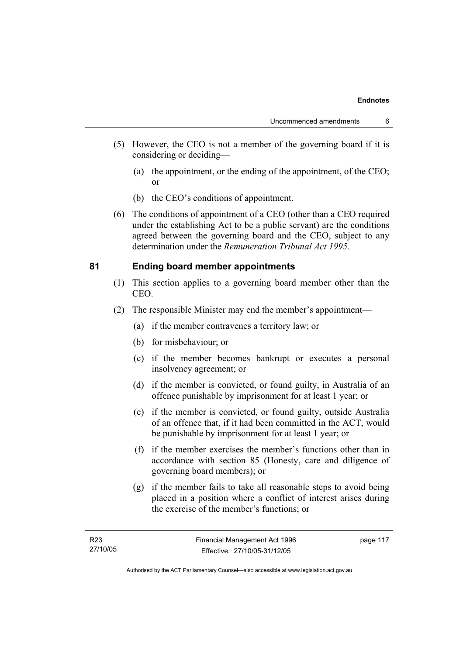- (5) However, the CEO is not a member of the governing board if it is considering or deciding—
	- (a) the appointment, or the ending of the appointment, of the CEO; or
	- (b) the CEO's conditions of appointment.
- (6) The conditions of appointment of a CEO (other than a CEO required under the establishing Act to be a public servant) are the conditions agreed between the governing board and the CEO, subject to any determination under the *Remuneration Tribunal Act 1995*.

### **81 Ending board member appointments**

- (1) This section applies to a governing board member other than the CEO.
- (2) The responsible Minister may end the member's appointment—
	- (a) if the member contravenes a territory law; or
	- (b) for misbehaviour; or
	- (c) if the member becomes bankrupt or executes a personal insolvency agreement; or
	- (d) if the member is convicted, or found guilty, in Australia of an offence punishable by imprisonment for at least 1 year; or
	- (e) if the member is convicted, or found guilty, outside Australia of an offence that, if it had been committed in the ACT, would be punishable by imprisonment for at least 1 year; or
	- (f) if the member exercises the member's functions other than in accordance with section 85 (Honesty, care and diligence of governing board members); or
	- (g) if the member fails to take all reasonable steps to avoid being placed in a position where a conflict of interest arises during the exercise of the member's functions; or

page 117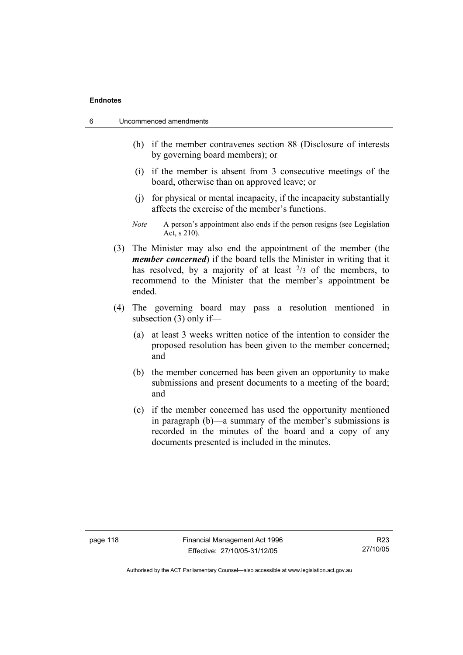| 6 | Uncommenced amendments |  |
|---|------------------------|--|
|---|------------------------|--|

- (h) if the member contravenes section 88 (Disclosure of interests by governing board members); or
- (i) if the member is absent from 3 consecutive meetings of the board, otherwise than on approved leave; or
- (j) for physical or mental incapacity, if the incapacity substantially affects the exercise of the member's functions.
- *Note* A person's appointment also ends if the person resigns (see Legislation Act, s 210).
- (3) The Minister may also end the appointment of the member (the *member concerned*) if the board tells the Minister in writing that it has resolved, by a majority of at least  $\frac{2}{3}$  of the members, to recommend to the Minister that the member's appointment be ended.
- (4) The governing board may pass a resolution mentioned in subsection (3) only if—
	- (a) at least 3 weeks written notice of the intention to consider the proposed resolution has been given to the member concerned; and
	- (b) the member concerned has been given an opportunity to make submissions and present documents to a meeting of the board; and
	- (c) if the member concerned has used the opportunity mentioned in paragraph (b)—a summary of the member's submissions is recorded in the minutes of the board and a copy of any documents presented is included in the minutes.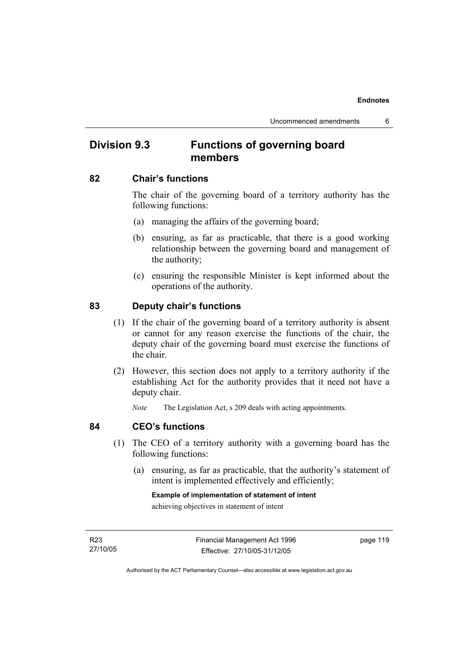# **Division 9.3 Functions of governing board members**

### **82 Chair's functions**

The chair of the governing board of a territory authority has the following functions:

- (a) managing the affairs of the governing board;
- (b) ensuring, as far as practicable, that there is a good working relationship between the governing board and management of the authority;
- (c) ensuring the responsible Minister is kept informed about the operations of the authority.

### **83 Deputy chair's functions**

- (1) If the chair of the governing board of a territory authority is absent or cannot for any reason exercise the functions of the chair, the deputy chair of the governing board must exercise the functions of the chair.
- (2) However, this section does not apply to a territory authority if the establishing Act for the authority provides that it need not have a deputy chair.

*Note* The Legislation Act, s 209 deals with acting appointments.

### **84 CEO's functions**

- (1) The CEO of a territory authority with a governing board has the following functions:
	- (a) ensuring, as far as practicable, that the authority's statement of intent is implemented effectively and efficiently;

**Example of implementation of statement of intent**  achieving objectives in statement of intent

R23 27/10/05 page 119

Authorised by the ACT Parliamentary Counsel—also accessible at www.legislation.act.gov.au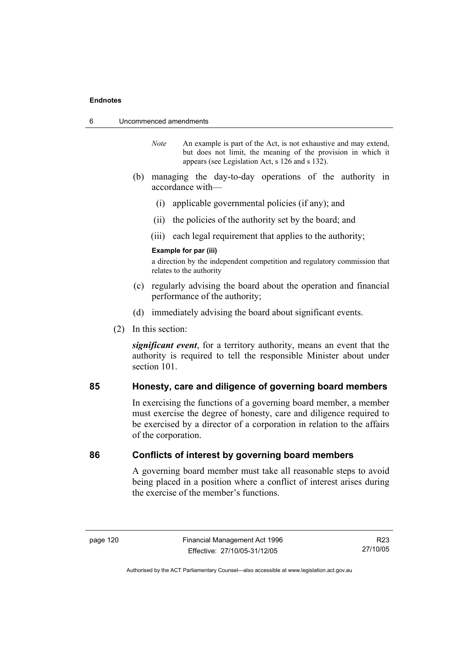- 6 Uncommenced amendments
	- *Note* An example is part of the Act, is not exhaustive and may extend, but does not limit, the meaning of the provision in which it appears (see Legislation Act, s 126 and s 132).
	- (b) managing the day-to-day operations of the authority in accordance with—
		- (i) applicable governmental policies (if any); and
		- (ii) the policies of the authority set by the board; and
		- (iii) each legal requirement that applies to the authority;

#### **Example for par (iii)**

a direction by the independent competition and regulatory commission that relates to the authority

- (c) regularly advising the board about the operation and financial performance of the authority;
- (d) immediately advising the board about significant events.
- (2) In this section:

*significant event*, for a territory authority, means an event that the authority is required to tell the responsible Minister about under section 101.

### **85 Honesty, care and diligence of governing board members**

In exercising the functions of a governing board member, a member must exercise the degree of honesty, care and diligence required to be exercised by a director of a corporation in relation to the affairs of the corporation.

### **86 Conflicts of interest by governing board members**

A governing board member must take all reasonable steps to avoid being placed in a position where a conflict of interest arises during the exercise of the member's functions.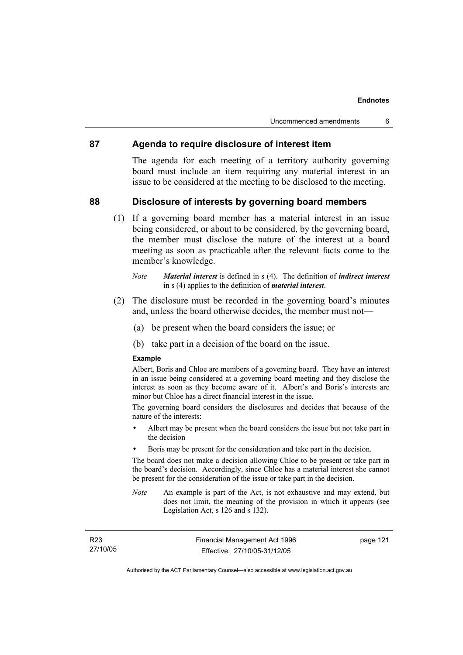### **87 Agenda to require disclosure of interest item**

The agenda for each meeting of a territory authority governing board must include an item requiring any material interest in an issue to be considered at the meeting to be disclosed to the meeting.

### **88 Disclosure of interests by governing board members**

 (1) If a governing board member has a material interest in an issue being considered, or about to be considered, by the governing board, the member must disclose the nature of the interest at a board meeting as soon as practicable after the relevant facts come to the member's knowledge.

- (2) The disclosure must be recorded in the governing board's minutes and, unless the board otherwise decides, the member must not—
	- (a) be present when the board considers the issue; or
	- (b) take part in a decision of the board on the issue.

#### **Example**

Albert, Boris and Chloe are members of a governing board. They have an interest in an issue being considered at a governing board meeting and they disclose the interest as soon as they become aware of it. Albert's and Boris's interests are minor but Chloe has a direct financial interest in the issue.

The governing board considers the disclosures and decides that because of the nature of the interests:

- Albert may be present when the board considers the issue but not take part in the decision
- Boris may be present for the consideration and take part in the decision.

The board does not make a decision allowing Chloe to be present or take part in the board's decision. Accordingly, since Chloe has a material interest she cannot be present for the consideration of the issue or take part in the decision.

*Note* An example is part of the Act, is not exhaustive and may extend, but does not limit, the meaning of the provision in which it appears (see Legislation Act, s 126 and s 132).

page 121

*Note Material interest* is defined in s (4). The definition of *indirect interest* in s (4) applies to the definition of *material interest*.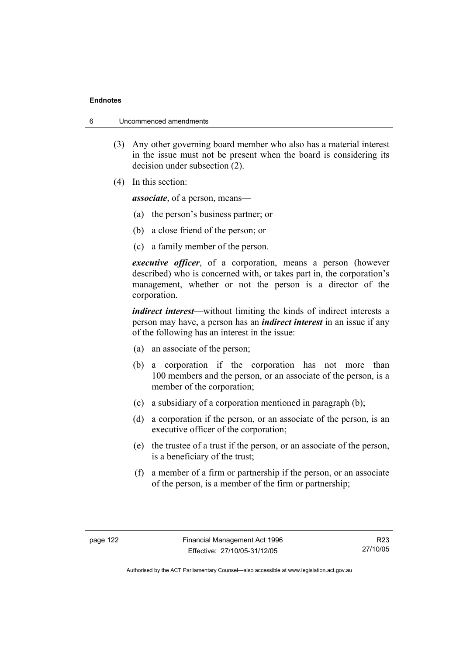- 6 Uncommenced amendments
	- (3) Any other governing board member who also has a material interest in the issue must not be present when the board is considering its decision under subsection (2).
	- (4) In this section:

*associate*, of a person, means—

- (a) the person's business partner; or
- (b) a close friend of the person; or
- (c) a family member of the person.

*executive officer*, of a corporation, means a person (however described) who is concerned with, or takes part in, the corporation's management, whether or not the person is a director of the corporation.

*indirect interest*—without limiting the kinds of indirect interests a person may have, a person has an *indirect interest* in an issue if any of the following has an interest in the issue:

- (a) an associate of the person;
- (b) a corporation if the corporation has not more than 100 members and the person, or an associate of the person, is a member of the corporation;
- (c) a subsidiary of a corporation mentioned in paragraph (b);
- (d) a corporation if the person, or an associate of the person, is an executive officer of the corporation;
- (e) the trustee of a trust if the person, or an associate of the person, is a beneficiary of the trust;
- (f) a member of a firm or partnership if the person, or an associate of the person, is a member of the firm or partnership;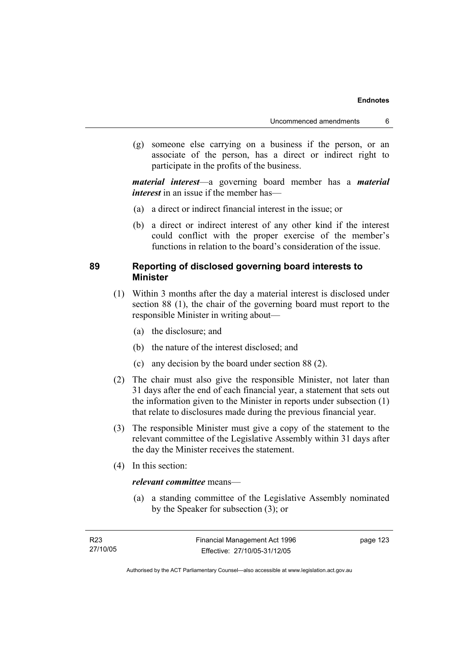(g) someone else carrying on a business if the person, or an associate of the person, has a direct or indirect right to participate in the profits of the business.

*material interest*—a governing board member has a *material interest* in an issue if the member has—

- (a) a direct or indirect financial interest in the issue; or
- (b) a direct or indirect interest of any other kind if the interest could conflict with the proper exercise of the member's functions in relation to the board's consideration of the issue.

### **89 Reporting of disclosed governing board interests to Minister**

- (1) Within 3 months after the day a material interest is disclosed under section 88 (1), the chair of the governing board must report to the responsible Minister in writing about—
	- (a) the disclosure; and
	- (b) the nature of the interest disclosed; and
	- (c) any decision by the board under section 88 (2).
- (2) The chair must also give the responsible Minister, not later than 31 days after the end of each financial year, a statement that sets out the information given to the Minister in reports under subsection (1) that relate to disclosures made during the previous financial year.
- (3) The responsible Minister must give a copy of the statement to the relevant committee of the Legislative Assembly within 31 days after the day the Minister receives the statement.
- (4) In this section:

### *relevant committee* means—

 (a) a standing committee of the Legislative Assembly nominated by the Speaker for subsection (3); or

page 123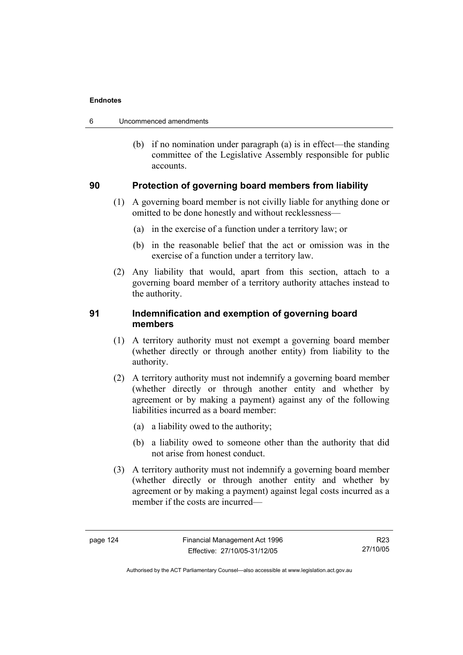| Uncommenced amendments<br>6 |  |
|-----------------------------|--|
|-----------------------------|--|

 (b) if no nomination under paragraph (a) is in effect—the standing committee of the Legislative Assembly responsible for public accounts.

### **90 Protection of governing board members from liability**

- (1) A governing board member is not civilly liable for anything done or omitted to be done honestly and without recklessness—
	- (a) in the exercise of a function under a territory law; or
	- (b) in the reasonable belief that the act or omission was in the exercise of a function under a territory law.
- (2) Any liability that would, apart from this section, attach to a governing board member of a territory authority attaches instead to the authority.

### **91 Indemnification and exemption of governing board members**

- (1) A territory authority must not exempt a governing board member (whether directly or through another entity) from liability to the authority.
- (2) A territory authority must not indemnify a governing board member (whether directly or through another entity and whether by agreement or by making a payment) against any of the following liabilities incurred as a board member:
	- (a) a liability owed to the authority;
	- (b) a liability owed to someone other than the authority that did not arise from honest conduct.
- (3) A territory authority must not indemnify a governing board member (whether directly or through another entity and whether by agreement or by making a payment) against legal costs incurred as a member if the costs are incurred—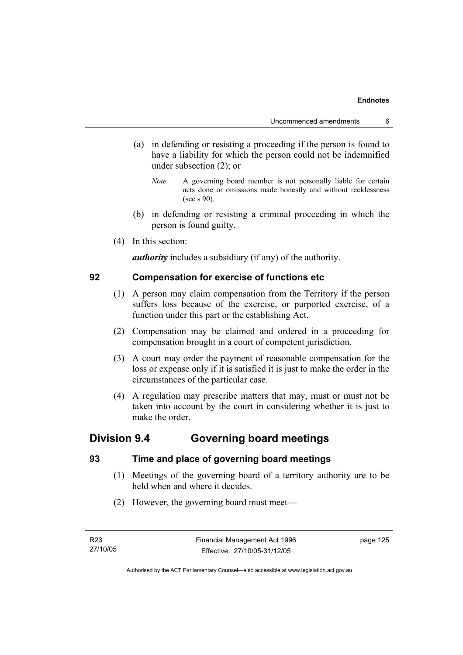- (a) in defending or resisting a proceeding if the person is found to have a liability for which the person could not be indemnified under subsection (2); or
	- *Note* A governing board member is not personally liable for certain acts done or omissions made honestly and without recklessness (see s 90).
- (b) in defending or resisting a criminal proceeding in which the person is found guilty.
- (4) In this section:

*authority* includes a subsidiary (if any) of the authority.

### **92 Compensation for exercise of functions etc**

- (1) A person may claim compensation from the Territory if the person suffers loss because of the exercise, or purported exercise, of a function under this part or the establishing Act.
- (2) Compensation may be claimed and ordered in a proceeding for compensation brought in a court of competent jurisdiction.
- (3) A court may order the payment of reasonable compensation for the loss or expense only if it is satisfied it is just to make the order in the circumstances of the particular case.
- (4) A regulation may prescribe matters that may, must or must not be taken into account by the court in considering whether it is just to make the order.

### **Division 9.4 Governing board meetings**

### **93 Time and place of governing board meetings**

- (1) Meetings of the governing board of a territory authority are to be held when and where it decides.
- (2) However, the governing board must meet—

page 125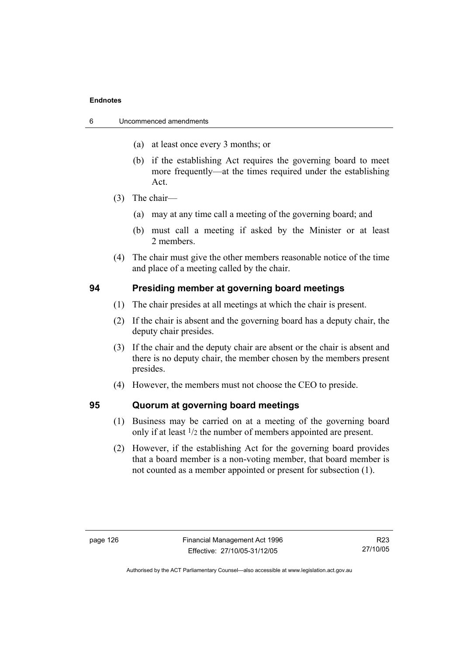| 6 | Uncommenced amendments |  |
|---|------------------------|--|
|   |                        |  |

- (a) at least once every 3 months; or
- (b) if the establishing Act requires the governing board to meet more frequently—at the times required under the establishing Act.
- (3) The chair—
	- (a) may at any time call a meeting of the governing board; and
	- (b) must call a meeting if asked by the Minister or at least 2 members.
- (4) The chair must give the other members reasonable notice of the time and place of a meeting called by the chair.

### **94 Presiding member at governing board meetings**

- (1) The chair presides at all meetings at which the chair is present.
- (2) If the chair is absent and the governing board has a deputy chair, the deputy chair presides.
- (3) If the chair and the deputy chair are absent or the chair is absent and there is no deputy chair, the member chosen by the members present presides.
- (4) However, the members must not choose the CEO to preside.

### **95 Quorum at governing board meetings**

- (1) Business may be carried on at a meeting of the governing board only if at least 1/2 the number of members appointed are present.
- (2) However, if the establishing Act for the governing board provides that a board member is a non-voting member, that board member is not counted as a member appointed or present for subsection (1).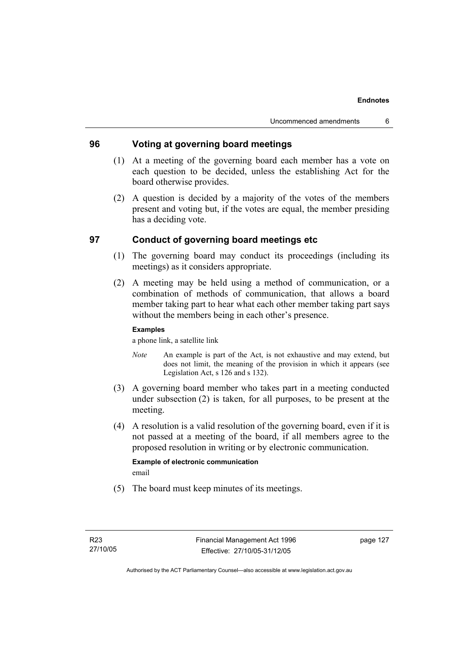### **96 Voting at governing board meetings**

- (1) At a meeting of the governing board each member has a vote on each question to be decided, unless the establishing Act for the board otherwise provides.
- (2) A question is decided by a majority of the votes of the members present and voting but, if the votes are equal, the member presiding has a deciding vote.

### **97 Conduct of governing board meetings etc**

- (1) The governing board may conduct its proceedings (including its meetings) as it considers appropriate.
- (2) A meeting may be held using a method of communication, or a combination of methods of communication, that allows a board member taking part to hear what each other member taking part says without the members being in each other's presence.

### **Examples**

a phone link, a satellite link

- *Note* An example is part of the Act, is not exhaustive and may extend, but does not limit, the meaning of the provision in which it appears (see Legislation Act, s 126 and s 132).
- (3) A governing board member who takes part in a meeting conducted under subsection (2) is taken, for all purposes, to be present at the meeting.
- (4) A resolution is a valid resolution of the governing board, even if it is not passed at a meeting of the board, if all members agree to the proposed resolution in writing or by electronic communication.

### **Example of electronic communication**  email

(5) The board must keep minutes of its meetings.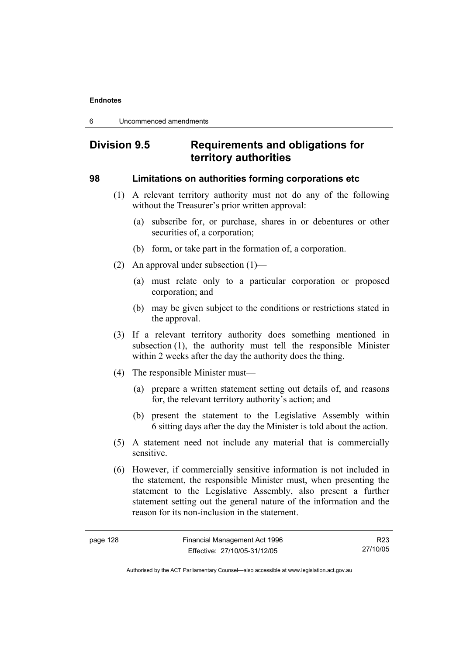6 Uncommenced amendments

# **Division 9.5 Requirements and obligations for territory authorities**

### **98 Limitations on authorities forming corporations etc**

- (1) A relevant territory authority must not do any of the following without the Treasurer's prior written approval:
	- (a) subscribe for, or purchase, shares in or debentures or other securities of, a corporation;
	- (b) form, or take part in the formation of, a corporation.
- (2) An approval under subsection (1)—
	- (a) must relate only to a particular corporation or proposed corporation; and
	- (b) may be given subject to the conditions or restrictions stated in the approval.
- (3) If a relevant territory authority does something mentioned in subsection (1), the authority must tell the responsible Minister within 2 weeks after the day the authority does the thing.
- (4) The responsible Minister must—
	- (a) prepare a written statement setting out details of, and reasons for, the relevant territory authority's action; and
	- (b) present the statement to the Legislative Assembly within 6 sitting days after the day the Minister is told about the action.
- (5) A statement need not include any material that is commercially sensitive.
- (6) However, if commercially sensitive information is not included in the statement, the responsible Minister must, when presenting the statement to the Legislative Assembly, also present a further statement setting out the general nature of the information and the reason for its non-inclusion in the statement.

R23 27/10/05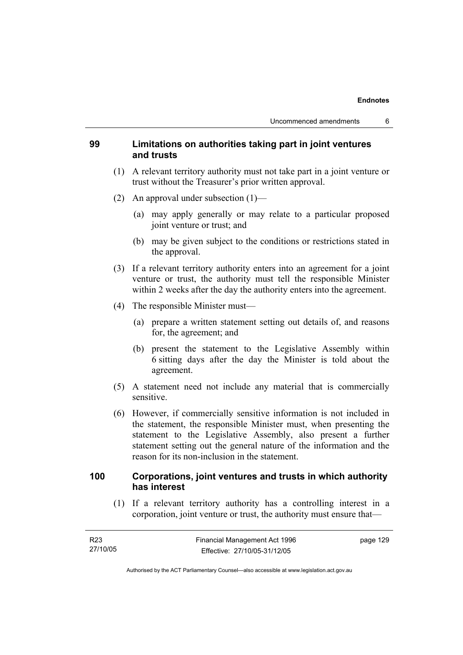### **99 Limitations on authorities taking part in joint ventures and trusts**

- (1) A relevant territory authority must not take part in a joint venture or trust without the Treasurer's prior written approval.
- (2) An approval under subsection (1)—
	- (a) may apply generally or may relate to a particular proposed joint venture or trust; and
	- (b) may be given subject to the conditions or restrictions stated in the approval.
- (3) If a relevant territory authority enters into an agreement for a joint venture or trust, the authority must tell the responsible Minister within 2 weeks after the day the authority enters into the agreement.
- (4) The responsible Minister must—
	- (a) prepare a written statement setting out details of, and reasons for, the agreement; and
	- (b) present the statement to the Legislative Assembly within 6 sitting days after the day the Minister is told about the agreement.
- (5) A statement need not include any material that is commercially sensitive.
- (6) However, if commercially sensitive information is not included in the statement, the responsible Minister must, when presenting the statement to the Legislative Assembly, also present a further statement setting out the general nature of the information and the reason for its non-inclusion in the statement.

### **100 Corporations, joint ventures and trusts in which authority has interest**

 (1) If a relevant territory authority has a controlling interest in a corporation, joint venture or trust, the authority must ensure that—

| R23      | Financial Management Act 1996 | page 129 |
|----------|-------------------------------|----------|
| 27/10/05 | Effective: 27/10/05-31/12/05  |          |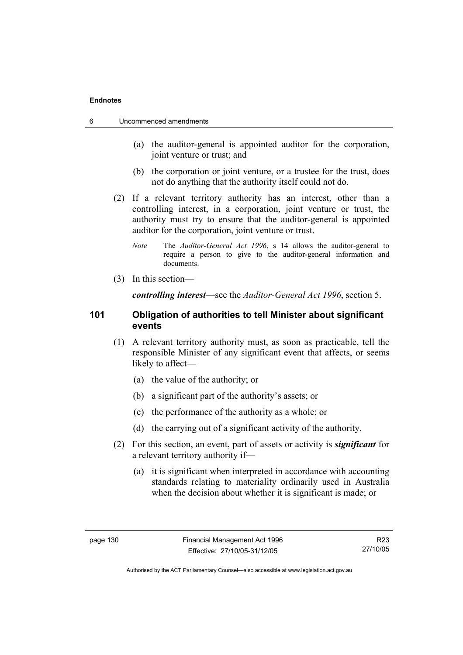- 6 Uncommenced amendments
	- (a) the auditor-general is appointed auditor for the corporation, joint venture or trust; and
	- (b) the corporation or joint venture, or a trustee for the trust, does not do anything that the authority itself could not do.
	- (2) If a relevant territory authority has an interest, other than a controlling interest, in a corporation, joint venture or trust, the authority must try to ensure that the auditor-general is appointed auditor for the corporation, joint venture or trust.
		- *Note* The *Auditor-General Act 1996*, s 14 allows the auditor-general to require a person to give to the auditor-general information and documents.
	- (3) In this section—

*controlling interest*—see the *Auditor-General Act 1996*, section 5.

### **101 Obligation of authorities to tell Minister about significant events**

- (1) A relevant territory authority must, as soon as practicable, tell the responsible Minister of any significant event that affects, or seems likely to affect—
	- (a) the value of the authority; or
	- (b) a significant part of the authority's assets; or
	- (c) the performance of the authority as a whole; or
	- (d) the carrying out of a significant activity of the authority.
- (2) For this section, an event, part of assets or activity is *significant* for a relevant territory authority if—
	- (a) it is significant when interpreted in accordance with accounting standards relating to materiality ordinarily used in Australia when the decision about whether it is significant is made; or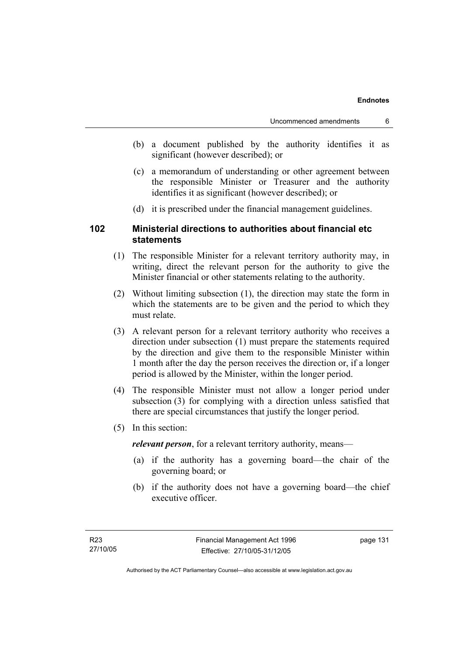- (b) a document published by the authority identifies it as significant (however described); or
- (c) a memorandum of understanding or other agreement between the responsible Minister or Treasurer and the authority identifies it as significant (however described); or
- (d) it is prescribed under the financial management guidelines.

### **102 Ministerial directions to authorities about financial etc statements**

- (1) The responsible Minister for a relevant territory authority may, in writing, direct the relevant person for the authority to give the Minister financial or other statements relating to the authority.
- (2) Without limiting subsection (1), the direction may state the form in which the statements are to be given and the period to which they must relate.
- (3) A relevant person for a relevant territory authority who receives a direction under subsection (1) must prepare the statements required by the direction and give them to the responsible Minister within 1 month after the day the person receives the direction or, if a longer period is allowed by the Minister, within the longer period.
- (4) The responsible Minister must not allow a longer period under subsection (3) for complying with a direction unless satisfied that there are special circumstances that justify the longer period.
- (5) In this section:

*relevant person*, for a relevant territory authority, means—

- (a) if the authority has a governing board—the chair of the governing board; or
- (b) if the authority does not have a governing board—the chief executive officer.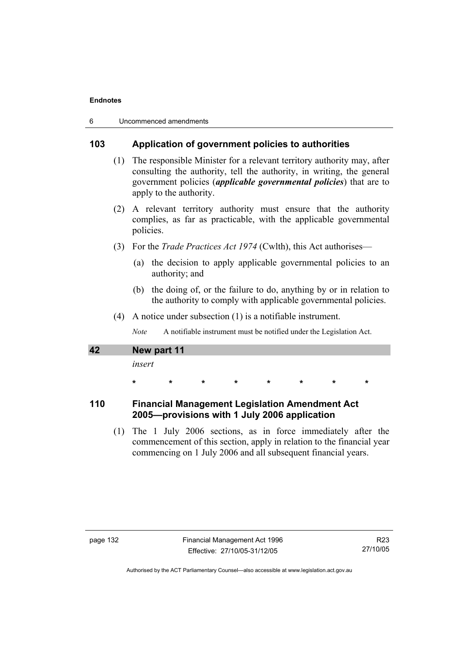| 6 | Uncommenced amendments |  |
|---|------------------------|--|
|---|------------------------|--|

### **103 Application of government policies to authorities**

- (1) The responsible Minister for a relevant territory authority may, after consulting the authority, tell the authority, in writing, the general government policies (*applicable governmental policies*) that are to apply to the authority.
- (2) A relevant territory authority must ensure that the authority complies, as far as practicable, with the applicable governmental policies.
- (3) For the *Trade Practices Act 1974* (Cwlth), this Act authorises—
	- (a) the decision to apply applicable governmental policies to an authority; and
	- (b) the doing of, or the failure to do, anything by or in relation to the authority to comply with applicable governmental policies.
- (4) A notice under subsection (1) is a notifiable instrument.

*Note* A notifiable instrument must be notified under the Legislation Act.

# **42 New part 11**

*insert* 

 **\* \* \* \* \* \* \* \*** 

### **110 Financial Management Legislation Amendment Act 2005—provisions with 1 July 2006 application**

 (1) The 1 July 2006 sections, as in force immediately after the commencement of this section, apply in relation to the financial year commencing on 1 July 2006 and all subsequent financial years.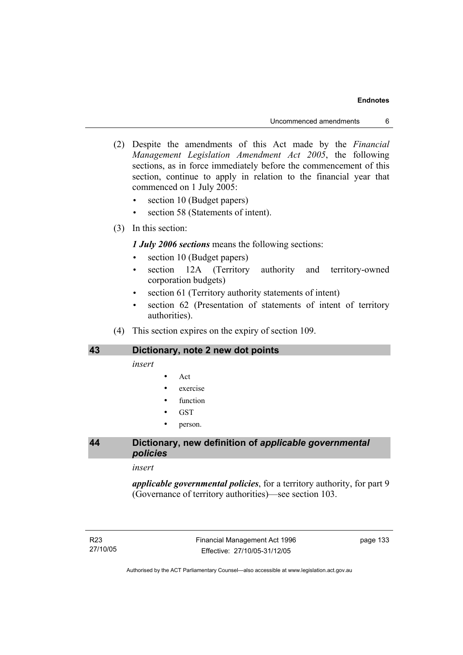Uncommenced amendments 6

- (2) Despite the amendments of this Act made by the *Financial Management Legislation Amendment Act 2005*, the following sections, as in force immediately before the commencement of this section, continue to apply in relation to the financial year that commenced on 1 July 2005:
	- section 10 (Budget papers)
	- section 58 (Statements of intent).
- (3) In this section:

### *1 July 2006 sections* means the following sections:

- section 10 (Budget papers)
- section 12A (Territory authority and territory-owned corporation budgets)
- section 61 (Territory authority statements of intent)
- section 62 (Presentation of statements of intent of territory authorities).
- (4) This section expires on the expiry of section 109.

### **43 Dictionary, note 2 new dot points**

*insert* 

- Act
- exercise
- function
- GST
- person.

### **44 Dictionary, new definition of** *applicable governmental policies*

#### *insert*

*applicable governmental policies*, for a territory authority, for part 9 (Governance of territory authorities)—see section 103.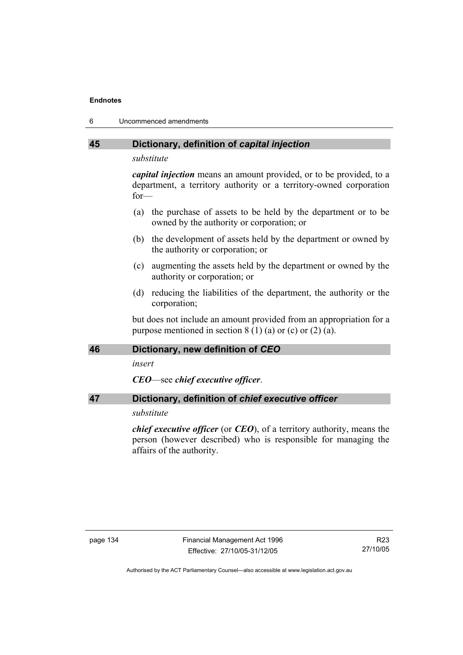| 6 | Uncommenced amendments |
|---|------------------------|
|---|------------------------|

### **45 Dictionary, definition of** *capital injection*

*substitute* 

*capital injection* means an amount provided, or to be provided, to a department, a territory authority or a territory-owned corporation for—

- (a) the purchase of assets to be held by the department or to be owned by the authority or corporation; or
- (b) the development of assets held by the department or owned by the authority or corporation; or
- (c) augmenting the assets held by the department or owned by the authority or corporation; or
- (d) reducing the liabilities of the department, the authority or the corporation;

but does not include an amount provided from an appropriation for a purpose mentioned in section  $8(1)(a)$  or (c) or  $(2)(a)$ .

### **46 Dictionary, new definition of** *CEO*

*insert* 

*CEO*—see *chief executive officer*.

### **47 Dictionary, definition of** *chief executive officer*

### *substitute*

*chief executive officer* (or *CEO*), of a territory authority, means the person (however described) who is responsible for managing the affairs of the authority.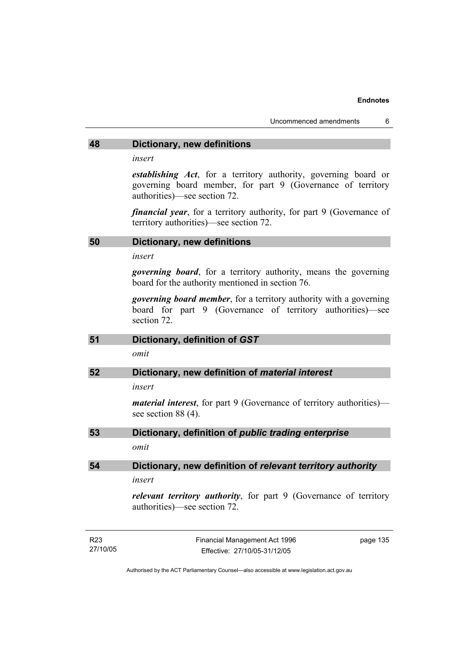### **48 Dictionary, new definitions**

*insert* 

*establishing Act*, for a territory authority, governing board or governing board member, for part 9 (Governance of territory authorities)—see section 72.

*financial year*, for a territory authority, for part 9 (Governance of territory authorities)—see section 72.

### **50 Dictionary, new definitions**

*insert* 

27/10/05

*governing board*, for a territory authority, means the governing board for the authority mentioned in section 76.

*governing board member*, for a territory authority with a governing board for part 9 (Governance of territory authorities)—see section 72.

| 51              | Dictionary, definition of GST                                                                             |  |  |  |
|-----------------|-----------------------------------------------------------------------------------------------------------|--|--|--|
|                 | omit                                                                                                      |  |  |  |
| 52              | Dictionary, new definition of <i>material interest</i>                                                    |  |  |  |
|                 | insert                                                                                                    |  |  |  |
|                 | <i>material interest</i> , for part 9 (Governance of territory authorities)—<br>see section $88(4)$ .     |  |  |  |
| 53              | Dictionary, definition of public trading enterprise                                                       |  |  |  |
|                 | omit                                                                                                      |  |  |  |
| 54              | Dictionary, new definition of relevant territory authority                                                |  |  |  |
|                 | insert                                                                                                    |  |  |  |
|                 | <i>relevant territory authority</i> , for part 9 (Governance of territory<br>authorities)—see section 72. |  |  |  |
| R <sub>23</sub> | Financial Management Act 1996<br>page 135                                                                 |  |  |  |

Authorised by the ACT Parliamentary Counsel—also accessible at www.legislation.act.gov.au

Effective: 27/10/05-31/12/05